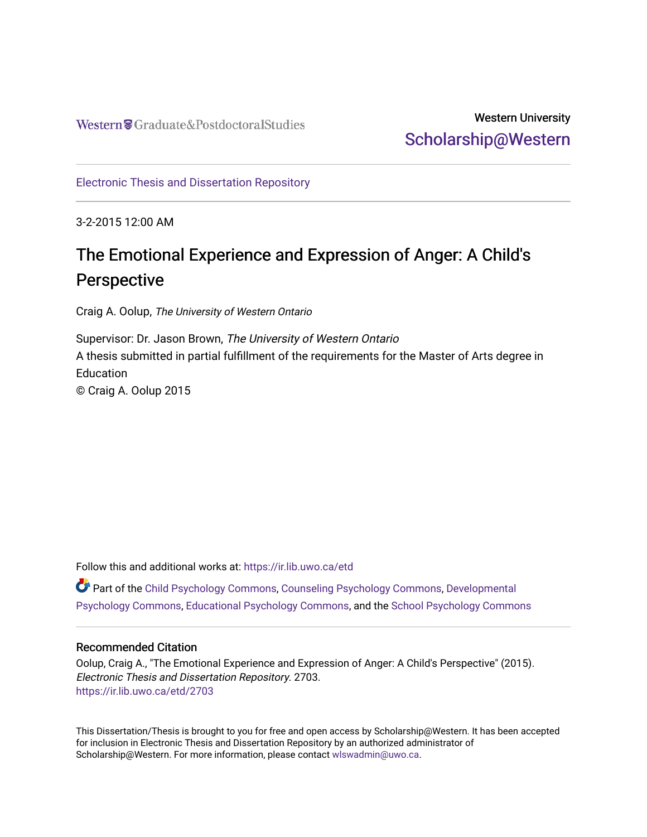## Western University [Scholarship@Western](https://ir.lib.uwo.ca/)

[Electronic Thesis and Dissertation Repository](https://ir.lib.uwo.ca/etd)

3-2-2015 12:00 AM

# The Emotional Experience and Expression of Anger: A Child's Perspective

Craig A. Oolup, The University of Western Ontario

Supervisor: Dr. Jason Brown, The University of Western Ontario A thesis submitted in partial fulfillment of the requirements for the Master of Arts degree in **Education** © Craig A. Oolup 2015

Follow this and additional works at: [https://ir.lib.uwo.ca/etd](https://ir.lib.uwo.ca/etd?utm_source=ir.lib.uwo.ca%2Fetd%2F2703&utm_medium=PDF&utm_campaign=PDFCoverPages) 

Part of the [Child Psychology Commons,](http://network.bepress.com/hgg/discipline/1023?utm_source=ir.lib.uwo.ca%2Fetd%2F2703&utm_medium=PDF&utm_campaign=PDFCoverPages) [Counseling Psychology Commons](http://network.bepress.com/hgg/discipline/1044?utm_source=ir.lib.uwo.ca%2Fetd%2F2703&utm_medium=PDF&utm_campaign=PDFCoverPages), [Developmental](http://network.bepress.com/hgg/discipline/410?utm_source=ir.lib.uwo.ca%2Fetd%2F2703&utm_medium=PDF&utm_campaign=PDFCoverPages)  [Psychology Commons,](http://network.bepress.com/hgg/discipline/410?utm_source=ir.lib.uwo.ca%2Fetd%2F2703&utm_medium=PDF&utm_campaign=PDFCoverPages) [Educational Psychology Commons](http://network.bepress.com/hgg/discipline/798?utm_source=ir.lib.uwo.ca%2Fetd%2F2703&utm_medium=PDF&utm_campaign=PDFCoverPages), and the [School Psychology Commons](http://network.bepress.com/hgg/discipline/1072?utm_source=ir.lib.uwo.ca%2Fetd%2F2703&utm_medium=PDF&utm_campaign=PDFCoverPages)

#### Recommended Citation

Oolup, Craig A., "The Emotional Experience and Expression of Anger: A Child's Perspective" (2015). Electronic Thesis and Dissertation Repository. 2703. [https://ir.lib.uwo.ca/etd/2703](https://ir.lib.uwo.ca/etd/2703?utm_source=ir.lib.uwo.ca%2Fetd%2F2703&utm_medium=PDF&utm_campaign=PDFCoverPages)

This Dissertation/Thesis is brought to you for free and open access by Scholarship@Western. It has been accepted for inclusion in Electronic Thesis and Dissertation Repository by an authorized administrator of Scholarship@Western. For more information, please contact [wlswadmin@uwo.ca.](mailto:wlswadmin@uwo.ca)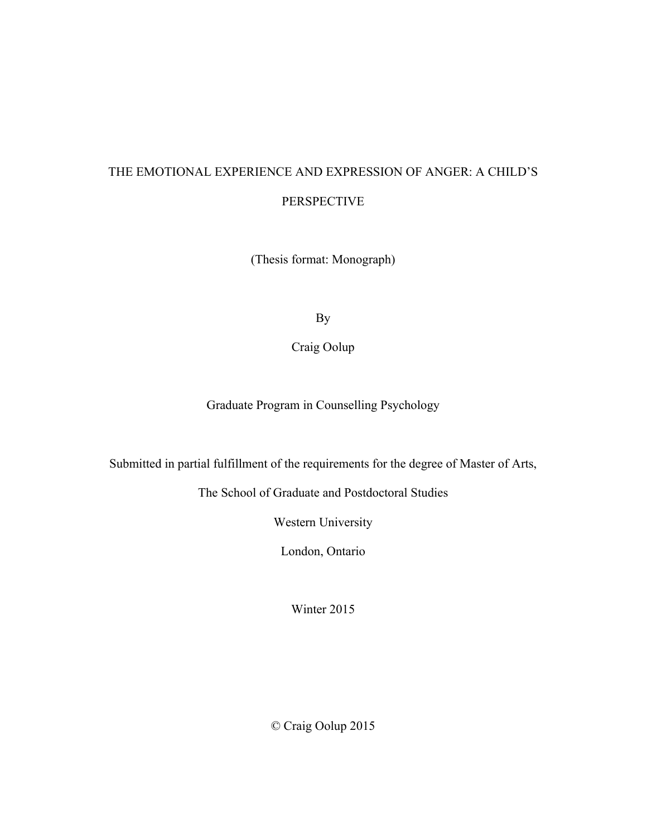## THE EMOTIONAL EXPERIENCE AND EXPRESSION OF ANGER: A CHILD'S PERSPECTIVE

(Thesis format: Monograph)

By

Craig Oolup

Graduate Program in Counselling Psychology

Submitted in partial fulfillment of the requirements for the degree of Master of Arts,

The School of Graduate and Postdoctoral Studies

Western University

London, Ontario

Winter 2015

© Craig Oolup 2015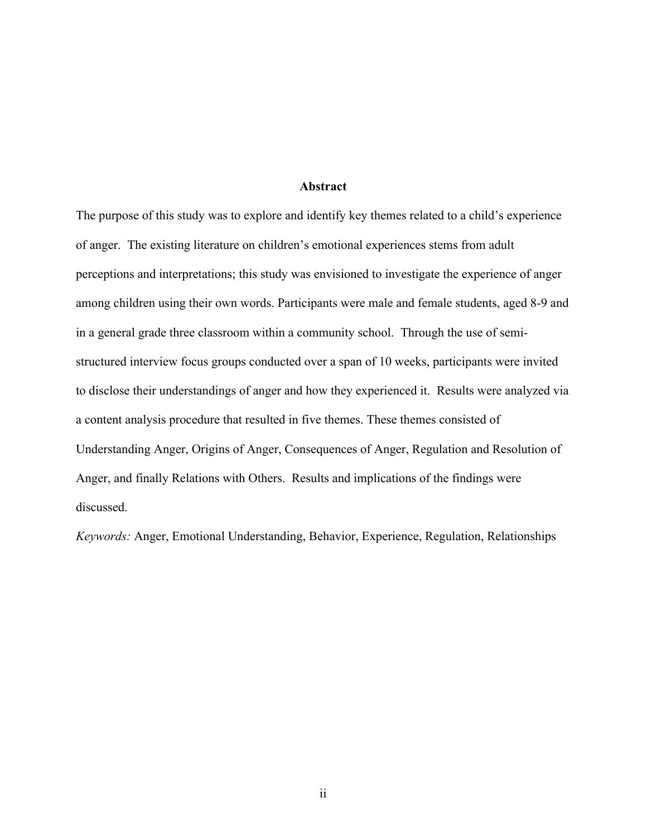#### **Abstract**

The purpose of this study was to explore and identify key themes related to a child's experience of anger. The existing literature on children's emotional experiences stems from adult perceptions and interpretations; this study was envisioned to investigate the experience of anger among children using their own words. Participants were male and female students, aged 8-9 and in a general grade three classroom within a community school. Through the use of semistructured interview focus groups conducted over a span of 10 weeks, participants were invited to disclose their understandings of anger and how they experienced it. Results were analyzed via a content analysis procedure that resulted in five themes. These themes consisted of Understanding Anger, Origins of Anger, Consequences of Anger, Regulation and Resolution of Anger, and finally Relations with Others. Results and implications of the findings were discussed.

*Keywords:* Anger, Emotional Understanding, Behavior, Experience, Regulation, Relationships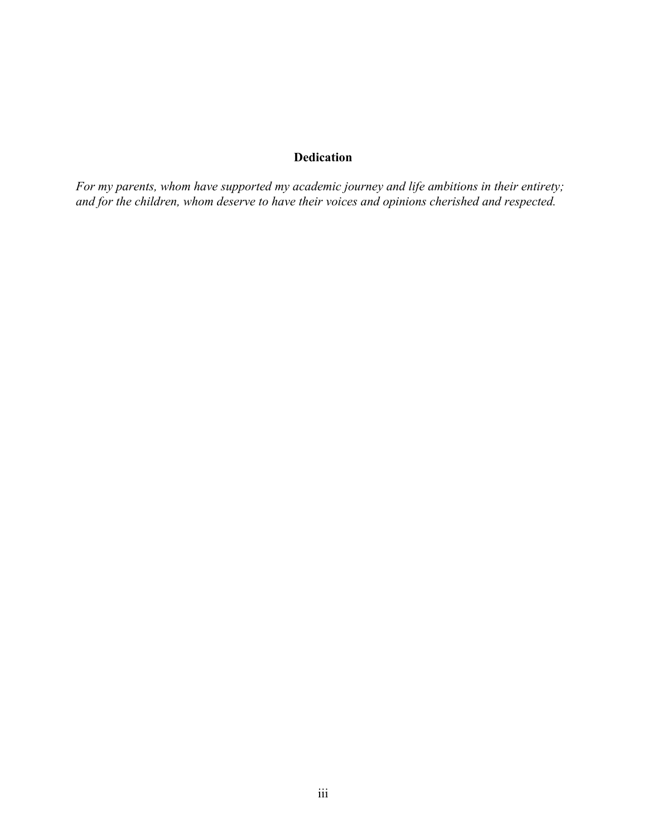### **Dedication**

*For my parents, whom have supported my academic journey and life ambitions in their entirety; and for the children, whom deserve to have their voices and opinions cherished and respected.*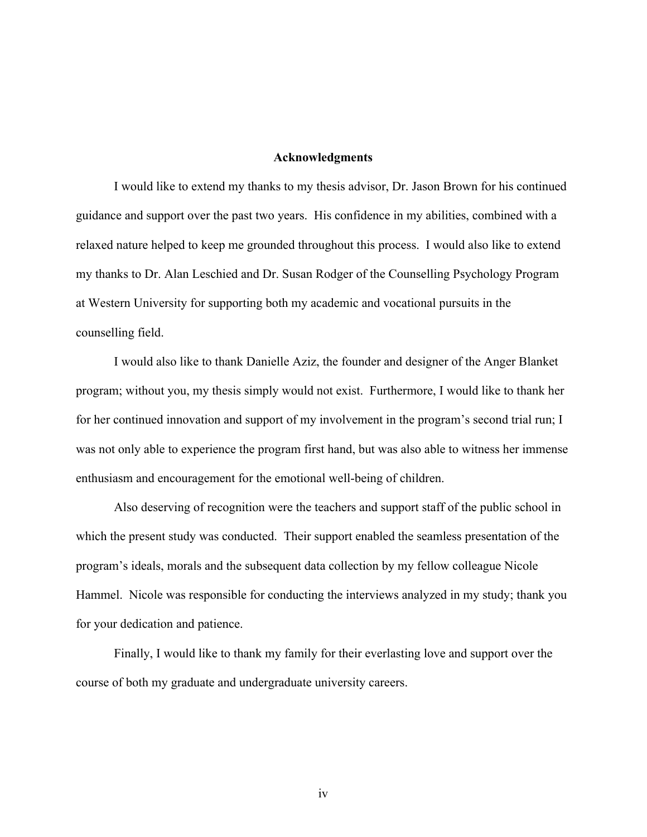#### **Acknowledgments**

I would like to extend my thanks to my thesis advisor, Dr. Jason Brown for his continued guidance and support over the past two years. His confidence in my abilities, combined with a relaxed nature helped to keep me grounded throughout this process. I would also like to extend my thanks to Dr. Alan Leschied and Dr. Susan Rodger of the Counselling Psychology Program at Western University for supporting both my academic and vocational pursuits in the counselling field.

I would also like to thank Danielle Aziz, the founder and designer of the Anger Blanket program; without you, my thesis simply would not exist. Furthermore, I would like to thank her for her continued innovation and support of my involvement in the program's second trial run; I was not only able to experience the program first hand, but was also able to witness her immense enthusiasm and encouragement for the emotional well-being of children.

Also deserving of recognition were the teachers and support staff of the public school in which the present study was conducted. Their support enabled the seamless presentation of the program's ideals, morals and the subsequent data collection by my fellow colleague Nicole Hammel. Nicole was responsible for conducting the interviews analyzed in my study; thank you for your dedication and patience.

Finally, I would like to thank my family for their everlasting love and support over the course of both my graduate and undergraduate university careers.

iv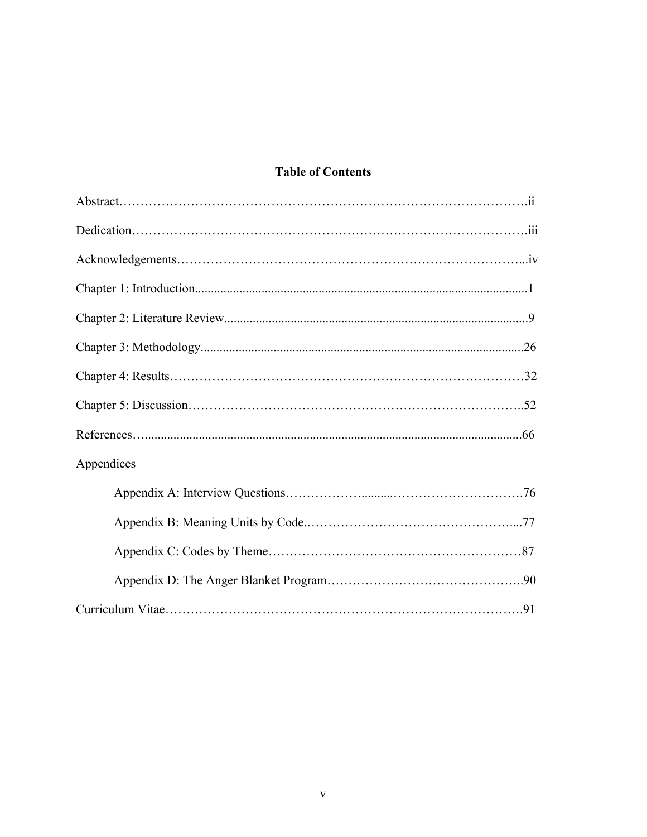### **Table of Contents**

| Appendices |
|------------|
|            |
|            |
|            |
|            |
|            |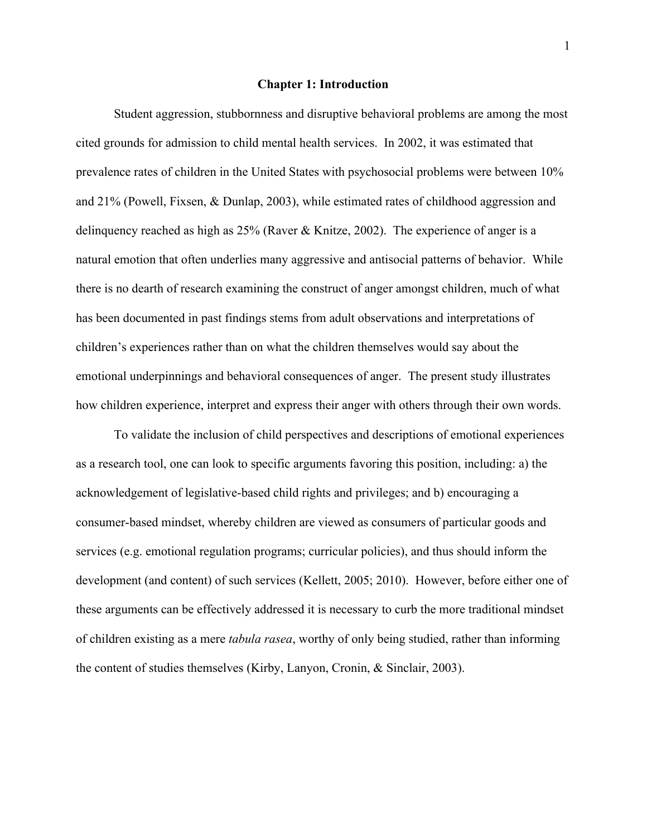#### **Chapter 1: Introduction**

Student aggression, stubbornness and disruptive behavioral problems are among the most cited grounds for admission to child mental health services. In 2002, it was estimated that prevalence rates of children in the United States with psychosocial problems were between 10% and 21% (Powell, Fixsen, & Dunlap, 2003), while estimated rates of childhood aggression and delinquency reached as high as 25% (Raver & Knitze, 2002). The experience of anger is a natural emotion that often underlies many aggressive and antisocial patterns of behavior. While there is no dearth of research examining the construct of anger amongst children, much of what has been documented in past findings stems from adult observations and interpretations of children's experiences rather than on what the children themselves would say about the emotional underpinnings and behavioral consequences of anger. The present study illustrates how children experience, interpret and express their anger with others through their own words.

To validate the inclusion of child perspectives and descriptions of emotional experiences as a research tool, one can look to specific arguments favoring this position, including: a) the acknowledgement of legislative-based child rights and privileges; and b) encouraging a consumer-based mindset, whereby children are viewed as consumers of particular goods and services (e.g. emotional regulation programs; curricular policies), and thus should inform the development (and content) of such services (Kellett, 2005; 2010). However, before either one of these arguments can be effectively addressed it is necessary to curb the more traditional mindset of children existing as a mere *tabula rasea*, worthy of only being studied, rather than informing the content of studies themselves (Kirby, Lanyon, Cronin, & Sinclair, 2003).

1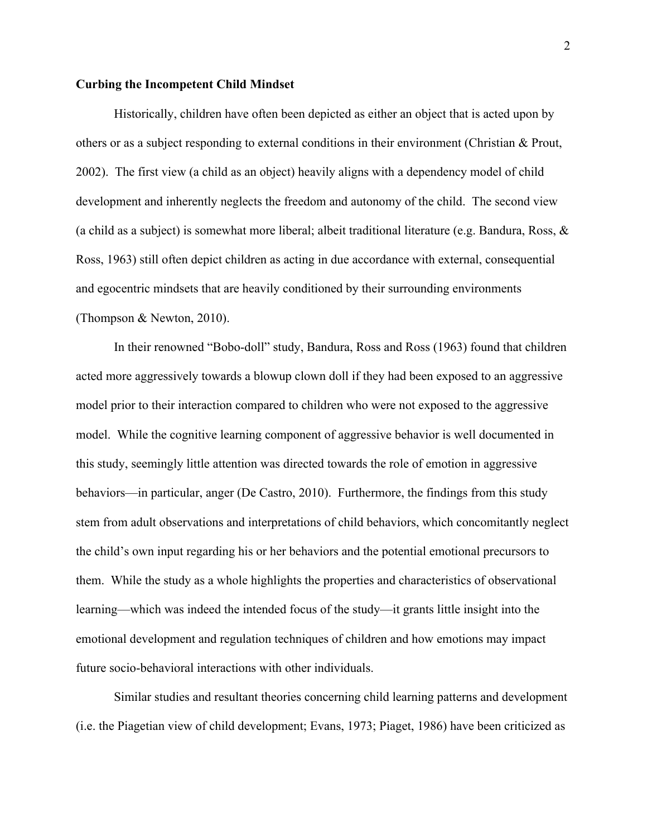#### **Curbing the Incompetent Child Mindset**

Historically, children have often been depicted as either an object that is acted upon by others or as a subject responding to external conditions in their environment (Christian & Prout, 2002). The first view (a child as an object) heavily aligns with a dependency model of child development and inherently neglects the freedom and autonomy of the child. The second view (a child as a subject) is somewhat more liberal; albeit traditional literature (e.g. Bandura, Ross,  $\&$ Ross, 1963) still often depict children as acting in due accordance with external, consequential and egocentric mindsets that are heavily conditioned by their surrounding environments (Thompson & Newton, 2010).

In their renowned "Bobo-doll" study, Bandura, Ross and Ross (1963) found that children acted more aggressively towards a blowup clown doll if they had been exposed to an aggressive model prior to their interaction compared to children who were not exposed to the aggressive model. While the cognitive learning component of aggressive behavior is well documented in this study, seemingly little attention was directed towards the role of emotion in aggressive behaviors—in particular, anger (De Castro, 2010). Furthermore, the findings from this study stem from adult observations and interpretations of child behaviors, which concomitantly neglect the child's own input regarding his or her behaviors and the potential emotional precursors to them. While the study as a whole highlights the properties and characteristics of observational learning—which was indeed the intended focus of the study—it grants little insight into the emotional development and regulation techniques of children and how emotions may impact future socio-behavioral interactions with other individuals.

Similar studies and resultant theories concerning child learning patterns and development (i.e. the Piagetian view of child development; Evans, 1973; Piaget, 1986) have been criticized as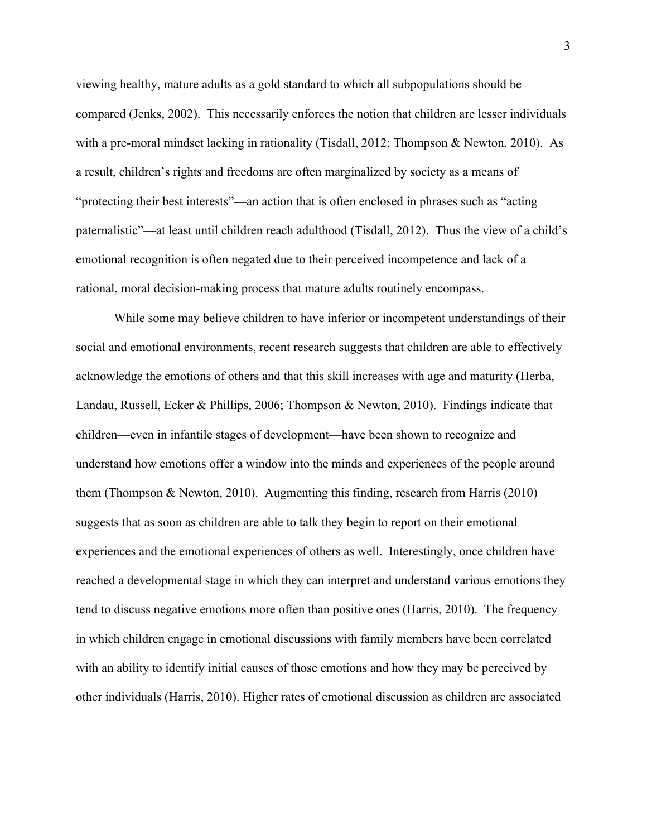viewing healthy, mature adults as a gold standard to which all subpopulations should be compared (Jenks, 2002). This necessarily enforces the notion that children are lesser individuals with a pre-moral mindset lacking in rationality (Tisdall, 2012; Thompson & Newton, 2010). As a result, children's rights and freedoms are often marginalized by society as a means of "protecting their best interests"—an action that is often enclosed in phrases such as "acting paternalistic"—at least until children reach adulthood (Tisdall, 2012). Thus the view of a child's emotional recognition is often negated due to their perceived incompetence and lack of a rational, moral decision-making process that mature adults routinely encompass.

While some may believe children to have inferior or incompetent understandings of their social and emotional environments, recent research suggests that children are able to effectively acknowledge the emotions of others and that this skill increases with age and maturity (Herba, Landau, Russell, Ecker & Phillips, 2006; Thompson & Newton, 2010). Findings indicate that children—even in infantile stages of development—have been shown to recognize and understand how emotions offer a window into the minds and experiences of the people around them (Thompson & Newton, 2010). Augmenting this finding, research from Harris (2010) suggests that as soon as children are able to talk they begin to report on their emotional experiences and the emotional experiences of others as well. Interestingly, once children have reached a developmental stage in which they can interpret and understand various emotions they tend to discuss negative emotions more often than positive ones (Harris, 2010). The frequency in which children engage in emotional discussions with family members have been correlated with an ability to identify initial causes of those emotions and how they may be perceived by other individuals (Harris, 2010). Higher rates of emotional discussion as children are associated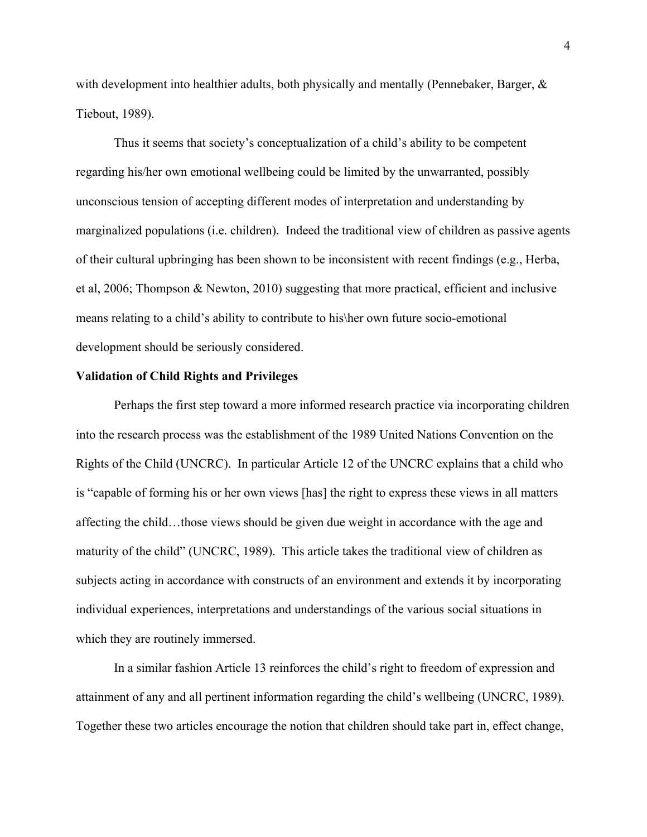with development into healthier adults, both physically and mentally (Pennebaker, Barger, & Tiebout, 1989).

Thus it seems that society's conceptualization of a child's ability to be competent regarding his/her own emotional wellbeing could be limited by the unwarranted, possibly unconscious tension of accepting different modes of interpretation and understanding by marginalized populations (i.e. children).Indeed the traditional view of children as passive agents of their cultural upbringing has been shown to be inconsistent with recent findings (e.g., Herba, et al, 2006; Thompson & Newton, 2010) suggesting that more practical, efficient and inclusive means relating to a child's ability to contribute to his\her own future socio-emotional development should be seriously considered.

#### **Validation of Child Rights and Privileges**

Perhaps the first step toward a more informed research practice via incorporating children into the research process was the establishment of the 1989 United Nations Convention on the Rights of the Child (UNCRC). In particular Article 12 of the UNCRC explains that a child who is "capable of forming his or her own views [has] the right to express these views in all matters affecting the child…those views should be given due weight in accordance with the age and maturity of the child" (UNCRC, 1989). This article takes the traditional view of children as subjects acting in accordance with constructs of an environment and extends it by incorporating individual experiences, interpretations and understandings of the various social situations in which they are routinely immersed.

In a similar fashion Article 13 reinforces the child's right to freedom of expression and attainment of any and all pertinent information regarding the child's wellbeing (UNCRC, 1989). Together these two articles encourage the notion that children should take part in, effect change,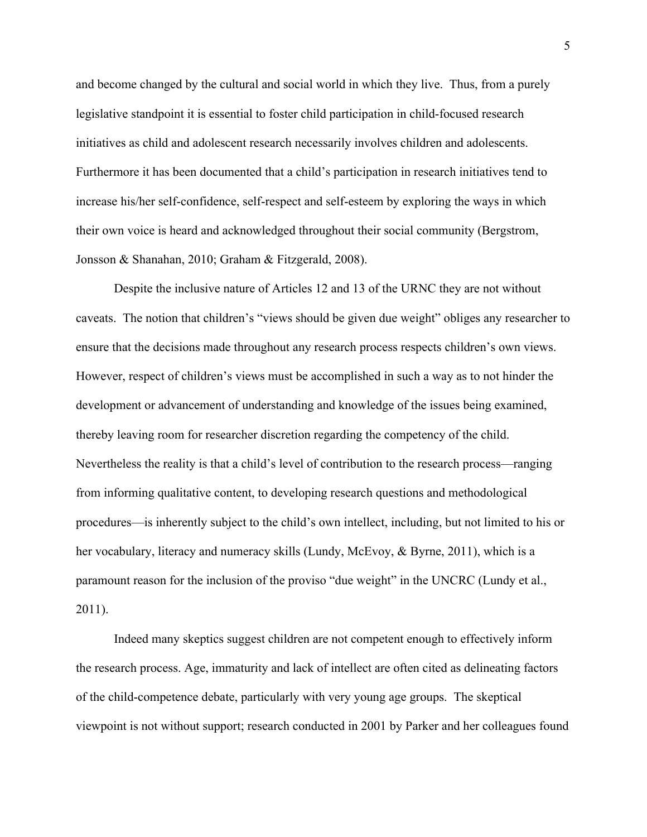and become changed by the cultural and social world in which they live. Thus, from a purely legislative standpoint it is essential to foster child participation in child-focused research initiatives as child and adolescent research necessarily involves children and adolescents. Furthermore it has been documented that a child's participation in research initiatives tend to increase his/her self-confidence, self-respect and self-esteem by exploring the ways in which their own voice is heard and acknowledged throughout their social community (Bergstrom, Jonsson & Shanahan, 2010; Graham & Fitzgerald, 2008).

Despite the inclusive nature of Articles 12 and 13 of the URNC they are not without caveats. The notion that children's "views should be given due weight" obliges any researcher to ensure that the decisions made throughout any research process respects children's own views. However, respect of children's views must be accomplished in such a way as to not hinder the development or advancement of understanding and knowledge of the issues being examined, thereby leaving room for researcher discretion regarding the competency of the child. Nevertheless the reality is that a child's level of contribution to the research process—ranging from informing qualitative content, to developing research questions and methodological procedures—is inherently subject to the child's own intellect, including, but not limited to his or her vocabulary, literacy and numeracy skills (Lundy, McEvoy, & Byrne, 2011), which is a paramount reason for the inclusion of the proviso "due weight" in the UNCRC (Lundy et al., 2011).

Indeed many skeptics suggest children are not competent enough to effectively inform the research process. Age, immaturity and lack of intellect are often cited as delineating factors of the child-competence debate, particularly with very young age groups. The skeptical viewpoint is not without support; research conducted in 2001 by Parker and her colleagues found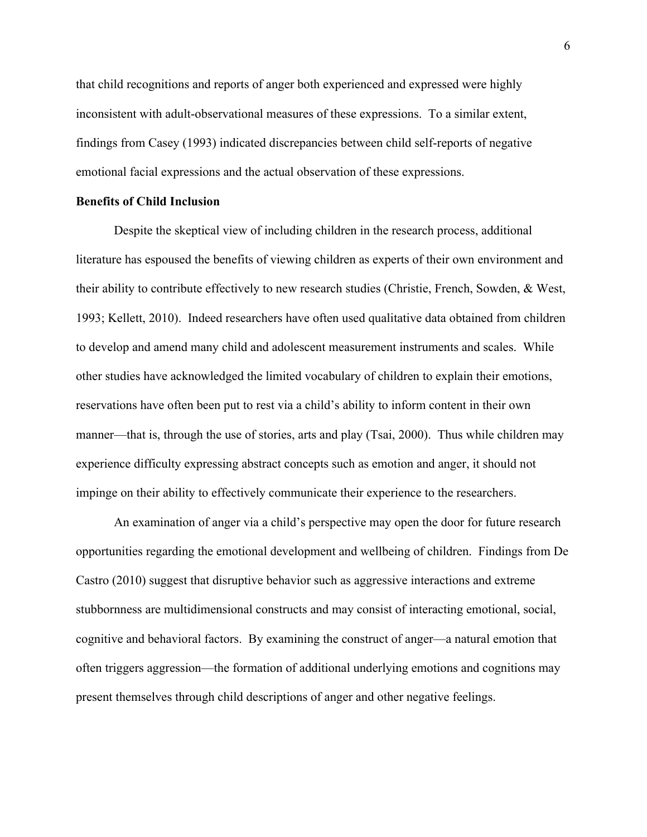that child recognitions and reports of anger both experienced and expressed were highly inconsistent with adult-observational measures of these expressions. To a similar extent, findings from Casey (1993) indicated discrepancies between child self-reports of negative emotional facial expressions and the actual observation of these expressions.

#### **Benefits of Child Inclusion**

Despite the skeptical view of including children in the research process, additional literature has espoused the benefits of viewing children as experts of their own environment and their ability to contribute effectively to new research studies (Christie, French, Sowden, & West, 1993; Kellett, 2010). Indeed researchers have often used qualitative data obtained from children to develop and amend many child and adolescent measurement instruments and scales. While other studies have acknowledged the limited vocabulary of children to explain their emotions, reservations have often been put to rest via a child's ability to inform content in their own manner—that is, through the use of stories, arts and play (Tsai, 2000). Thus while children may experience difficulty expressing abstract concepts such as emotion and anger, it should not impinge on their ability to effectively communicate their experience to the researchers.

An examination of anger via a child's perspective may open the door for future research opportunities regarding the emotional development and wellbeing of children. Findings from De Castro (2010) suggest that disruptive behavior such as aggressive interactions and extreme stubbornness are multidimensional constructs and may consist of interacting emotional, social, cognitive and behavioral factors. By examining the construct of anger—a natural emotion that often triggers aggression—the formation of additional underlying emotions and cognitions may present themselves through child descriptions of anger and other negative feelings.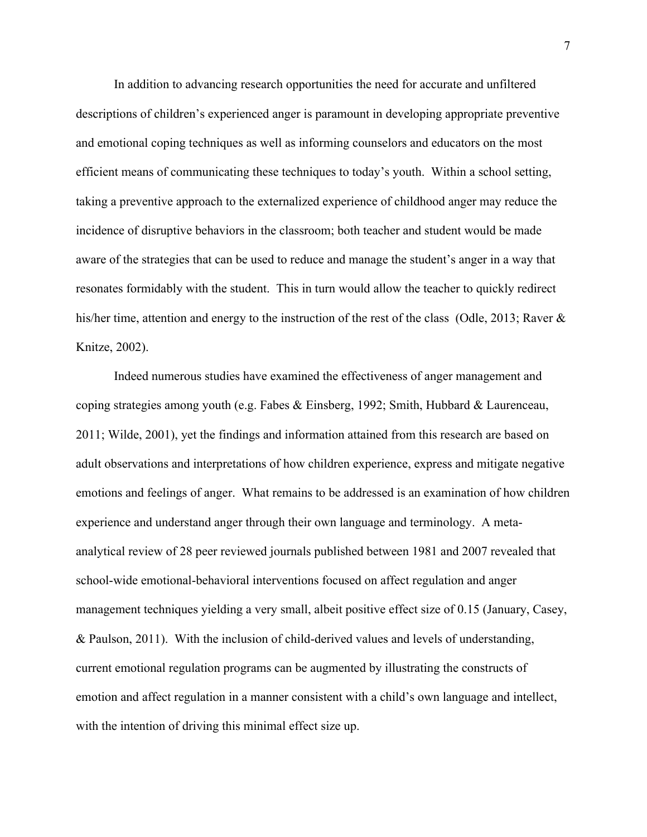In addition to advancing research opportunities the need for accurate and unfiltered descriptions of children's experienced anger is paramount in developing appropriate preventive and emotional coping techniques as well as informing counselors and educators on the most efficient means of communicating these techniques to today's youth. Within a school setting, taking a preventive approach to the externalized experience of childhood anger may reduce the incidence of disruptive behaviors in the classroom; both teacher and student would be made aware of the strategies that can be used to reduce and manage the student's anger in a way that resonates formidably with the student. This in turn would allow the teacher to quickly redirect his/her time, attention and energy to the instruction of the rest of the class (Odle, 2013; Raver & Knitze, 2002).

Indeed numerous studies have examined the effectiveness of anger management and coping strategies among youth (e.g. Fabes & Einsberg, 1992; Smith, Hubbard & Laurenceau, 2011; Wilde, 2001), yet the findings and information attained from this research are based on adult observations and interpretations of how children experience, express and mitigate negative emotions and feelings of anger. What remains to be addressed is an examination of how children experience and understand anger through their own language and terminology. A metaanalytical review of 28 peer reviewed journals published between 1981 and 2007 revealed that school-wide emotional-behavioral interventions focused on affect regulation and anger management techniques yielding a very small, albeit positive effect size of 0.15 (January, Casey, & Paulson, 2011). With the inclusion of child-derived values and levels of understanding, current emotional regulation programs can be augmented by illustrating the constructs of emotion and affect regulation in a manner consistent with a child's own language and intellect, with the intention of driving this minimal effect size up.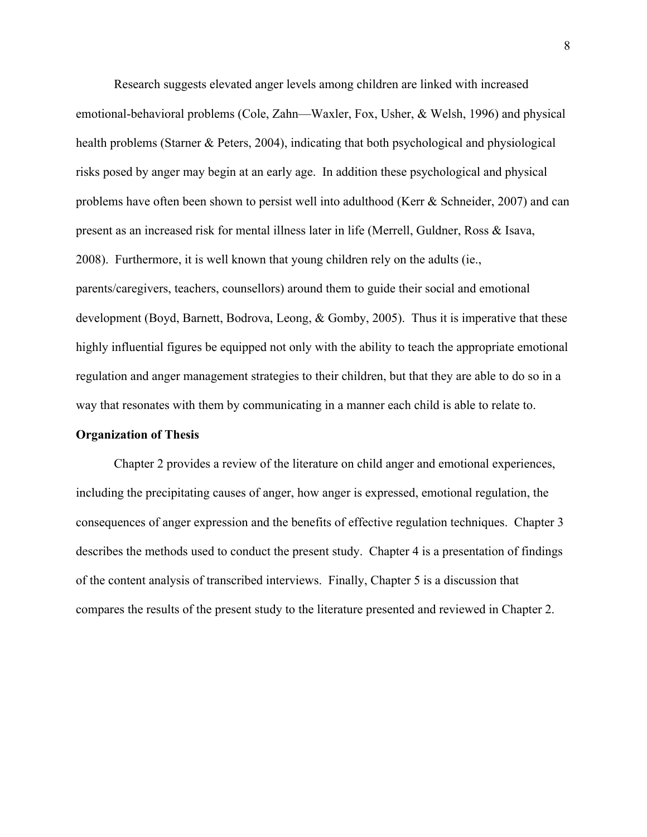Research suggests elevated anger levels among children are linked with increased emotional-behavioral problems (Cole, Zahn—Waxler, Fox, Usher, & Welsh, 1996) and physical health problems (Starner & Peters, 2004), indicating that both psychological and physiological risks posed by anger may begin at an early age. In addition these psychological and physical problems have often been shown to persist well into adulthood (Kerr & Schneider, 2007) and can present as an increased risk for mental illness later in life (Merrell, Guldner, Ross & Isava, 2008). Furthermore, it is well known that young children rely on the adults (ie., parents/caregivers, teachers, counsellors) around them to guide their social and emotional development (Boyd, Barnett, Bodrova, Leong, & Gomby, 2005). Thus it is imperative that these highly influential figures be equipped not only with the ability to teach the appropriate emotional regulation and anger management strategies to their children, but that they are able to do so in a way that resonates with them by communicating in a manner each child is able to relate to.

#### **Organization of Thesis**

Chapter 2 provides a review of the literature on child anger and emotional experiences, including the precipitating causes of anger, how anger is expressed, emotional regulation, the consequences of anger expression and the benefits of effective regulation techniques. Chapter 3 describes the methods used to conduct the present study. Chapter 4 is a presentation of findings of the content analysis of transcribed interviews. Finally, Chapter 5 is a discussion that compares the results of the present study to the literature presented and reviewed in Chapter 2.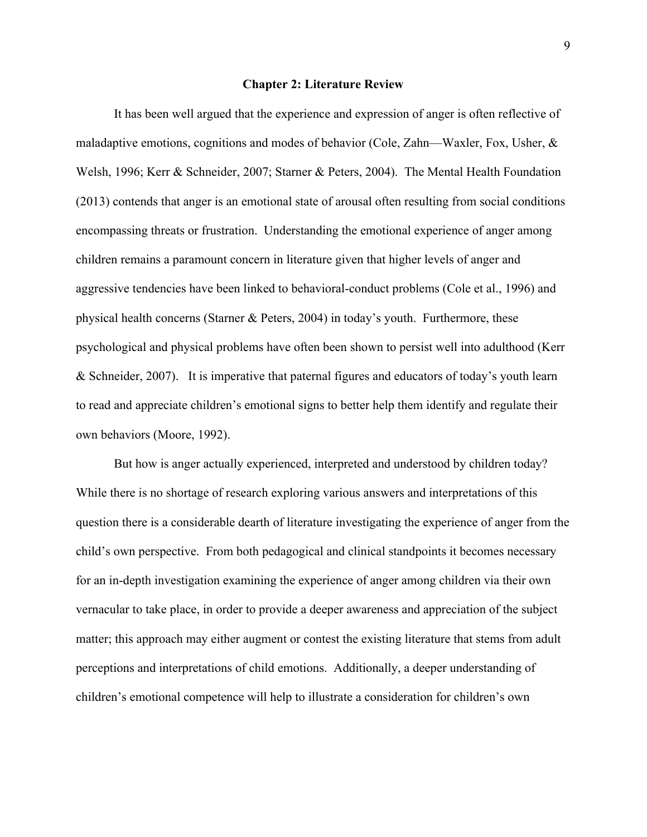#### **Chapter 2: Literature Review**

It has been well argued that the experience and expression of anger is often reflective of maladaptive emotions, cognitions and modes of behavior (Cole, Zahn—Waxler, Fox, Usher, & Welsh, 1996; Kerr & Schneider, 2007; Starner & Peters, 2004). The Mental Health Foundation (2013) contends that anger is an emotional state of arousal often resulting from social conditions encompassing threats or frustration. Understanding the emotional experience of anger among children remains a paramount concern in literature given that higher levels of anger and aggressive tendencies have been linked to behavioral-conduct problems (Cole et al., 1996) and physical health concerns (Starner & Peters, 2004) in today's youth. Furthermore, these psychological and physical problems have often been shown to persist well into adulthood (Kerr & Schneider, 2007). It is imperative that paternal figures and educators of today's youth learn to read and appreciate children's emotional signs to better help them identify and regulate their own behaviors (Moore, 1992).

But how is anger actually experienced, interpreted and understood by children today? While there is no shortage of research exploring various answers and interpretations of this question there is a considerable dearth of literature investigating the experience of anger from the child's own perspective. From both pedagogical and clinical standpoints it becomes necessary for an in-depth investigation examining the experience of anger among children via their own vernacular to take place, in order to provide a deeper awareness and appreciation of the subject matter; this approach may either augment or contest the existing literature that stems from adult perceptions and interpretations of child emotions. Additionally, a deeper understanding of children's emotional competence will help to illustrate a consideration for children's own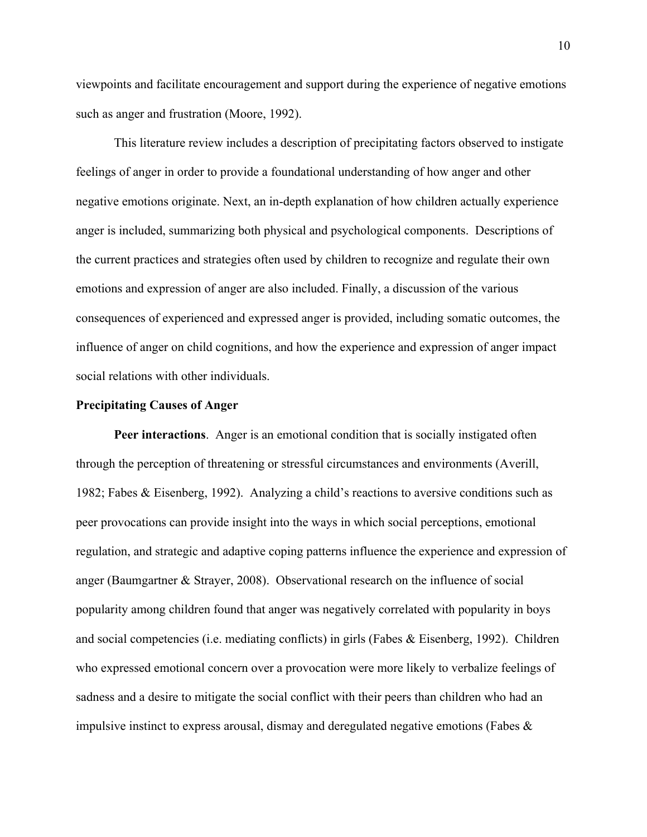viewpoints and facilitate encouragement and support during the experience of negative emotions such as anger and frustration (Moore, 1992).

This literature review includes a description of precipitating factors observed to instigate feelings of anger in order to provide a foundational understanding of how anger and other negative emotions originate. Next, an in-depth explanation of how children actually experience anger is included, summarizing both physical and psychological components. Descriptions of the current practices and strategies often used by children to recognize and regulate their own emotions and expression of anger are also included. Finally, a discussion of the various consequences of experienced and expressed anger is provided, including somatic outcomes, the influence of anger on child cognitions, and how the experience and expression of anger impact social relations with other individuals.

#### **Precipitating Causes of Anger**

**Peer interactions**. Anger is an emotional condition that is socially instigated often through the perception of threatening or stressful circumstances and environments (Averill, 1982; Fabes & Eisenberg, 1992). Analyzing a child's reactions to aversive conditions such as peer provocations can provide insight into the ways in which social perceptions, emotional regulation, and strategic and adaptive coping patterns influence the experience and expression of anger (Baumgartner & Strayer, 2008). Observational research on the influence of social popularity among children found that anger was negatively correlated with popularity in boys and social competencies (i.e. mediating conflicts) in girls (Fabes & Eisenberg, 1992). Children who expressed emotional concern over a provocation were more likely to verbalize feelings of sadness and a desire to mitigate the social conflict with their peers than children who had an impulsive instinct to express arousal, dismay and deregulated negative emotions (Fabes &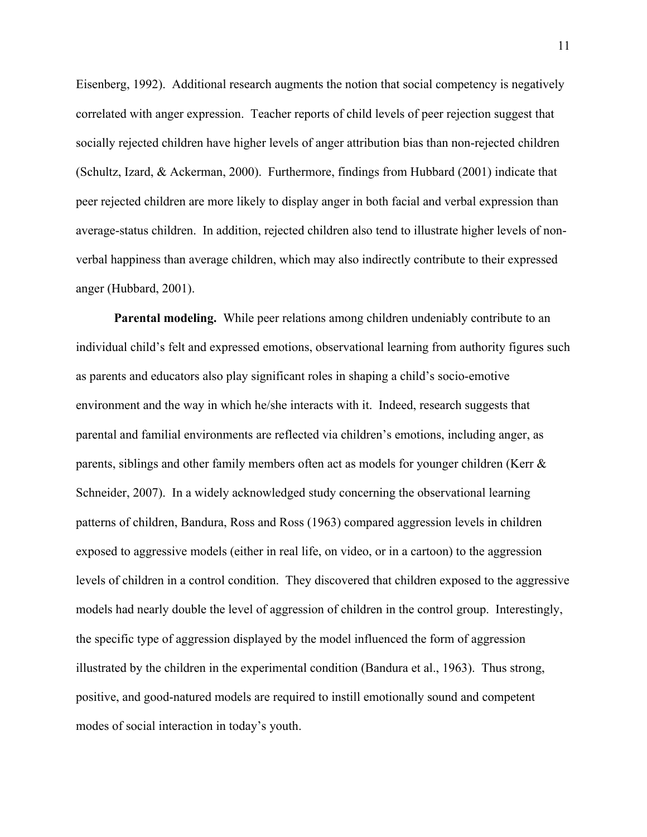Eisenberg, 1992). Additional research augments the notion that social competency is negatively correlated with anger expression. Teacher reports of child levels of peer rejection suggest that socially rejected children have higher levels of anger attribution bias than non-rejected children (Schultz, Izard, & Ackerman, 2000). Furthermore, findings from Hubbard (2001) indicate that peer rejected children are more likely to display anger in both facial and verbal expression than average-status children. In addition, rejected children also tend to illustrate higher levels of nonverbal happiness than average children, which may also indirectly contribute to their expressed anger (Hubbard, 2001).

**Parental modeling.** While peer relations among children undeniably contribute to an individual child's felt and expressed emotions, observational learning from authority figures such as parents and educators also play significant roles in shaping a child's socio-emotive environment and the way in which he/she interacts with it. Indeed, research suggests that parental and familial environments are reflected via children's emotions, including anger, as parents, siblings and other family members often act as models for younger children (Kerr & Schneider, 2007). In a widely acknowledged study concerning the observational learning patterns of children, Bandura, Ross and Ross (1963) compared aggression levels in children exposed to aggressive models (either in real life, on video, or in a cartoon) to the aggression levels of children in a control condition. They discovered that children exposed to the aggressive models had nearly double the level of aggression of children in the control group. Interestingly, the specific type of aggression displayed by the model influenced the form of aggression illustrated by the children in the experimental condition (Bandura et al., 1963). Thus strong, positive, and good-natured models are required to instill emotionally sound and competent modes of social interaction in today's youth.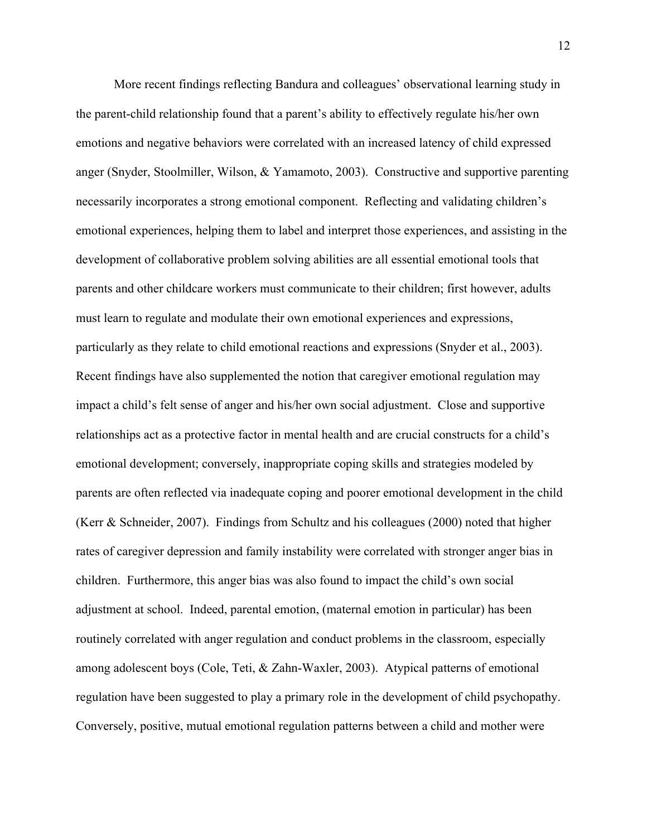More recent findings reflecting Bandura and colleagues' observational learning study in the parent-child relationship found that a parent's ability to effectively regulate his/her own emotions and negative behaviors were correlated with an increased latency of child expressed anger (Snyder, Stoolmiller, Wilson, & Yamamoto, 2003). Constructive and supportive parenting necessarily incorporates a strong emotional component. Reflecting and validating children's emotional experiences, helping them to label and interpret those experiences, and assisting in the development of collaborative problem solving abilities are all essential emotional tools that parents and other childcare workers must communicate to their children; first however, adults must learn to regulate and modulate their own emotional experiences and expressions, particularly as they relate to child emotional reactions and expressions (Snyder et al., 2003). Recent findings have also supplemented the notion that caregiver emotional regulation may impact a child's felt sense of anger and his/her own social adjustment. Close and supportive relationships act as a protective factor in mental health and are crucial constructs for a child's emotional development; conversely, inappropriate coping skills and strategies modeled by parents are often reflected via inadequate coping and poorer emotional development in the child (Kerr & Schneider, 2007). Findings from Schultz and his colleagues (2000) noted that higher rates of caregiver depression and family instability were correlated with stronger anger bias in children. Furthermore, this anger bias was also found to impact the child's own social adjustment at school. Indeed, parental emotion, (maternal emotion in particular) has been routinely correlated with anger regulation and conduct problems in the classroom, especially among adolescent boys (Cole, Teti, & Zahn-Waxler, 2003). Atypical patterns of emotional regulation have been suggested to play a primary role in the development of child psychopathy. Conversely, positive, mutual emotional regulation patterns between a child and mother were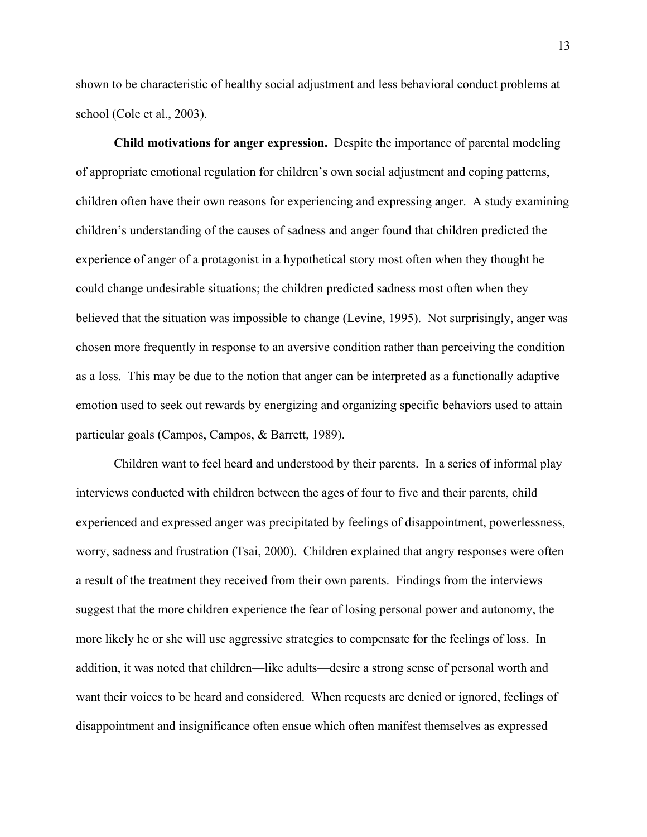shown to be characteristic of healthy social adjustment and less behavioral conduct problems at school (Cole et al., 2003).

**Child motivations for anger expression.** Despite the importance of parental modeling of appropriate emotional regulation for children's own social adjustment and coping patterns, children often have their own reasons for experiencing and expressing anger. A study examining children's understanding of the causes of sadness and anger found that children predicted the experience of anger of a protagonist in a hypothetical story most often when they thought he could change undesirable situations; the children predicted sadness most often when they believed that the situation was impossible to change (Levine, 1995). Not surprisingly, anger was chosen more frequently in response to an aversive condition rather than perceiving the condition as a loss. This may be due to the notion that anger can be interpreted as a functionally adaptive emotion used to seek out rewards by energizing and organizing specific behaviors used to attain particular goals (Campos, Campos, & Barrett, 1989).

Children want to feel heard and understood by their parents. In a series of informal play interviews conducted with children between the ages of four to five and their parents, child experienced and expressed anger was precipitated by feelings of disappointment, powerlessness, worry, sadness and frustration (Tsai, 2000). Children explained that angry responses were often a result of the treatment they received from their own parents. Findings from the interviews suggest that the more children experience the fear of losing personal power and autonomy, the more likely he or she will use aggressive strategies to compensate for the feelings of loss. In addition, it was noted that children—like adults—desire a strong sense of personal worth and want their voices to be heard and considered. When requests are denied or ignored, feelings of disappointment and insignificance often ensue which often manifest themselves as expressed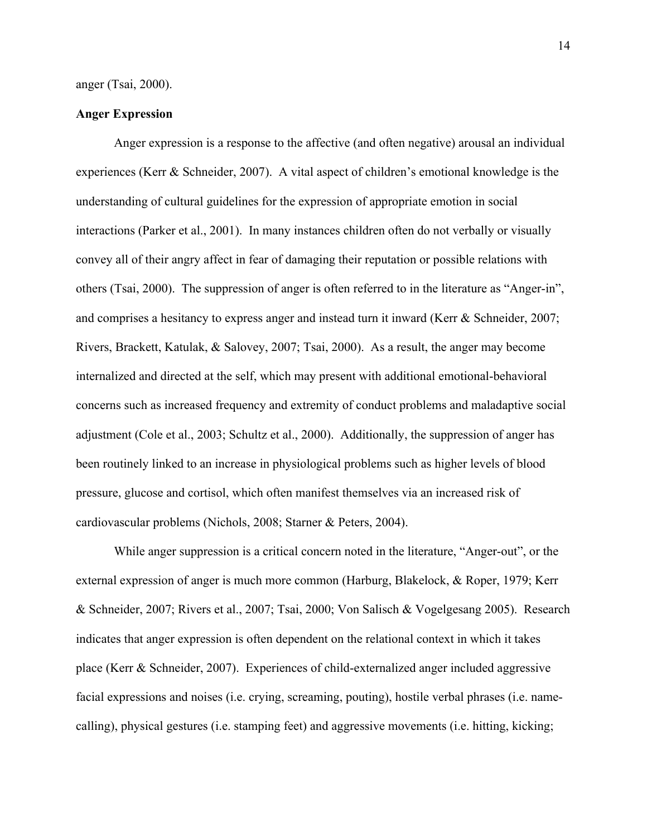#### **Anger Expression**

Anger expression is a response to the affective (and often negative) arousal an individual experiences (Kerr & Schneider, 2007). A vital aspect of children's emotional knowledge is the understanding of cultural guidelines for the expression of appropriate emotion in social interactions (Parker et al., 2001). In many instances children often do not verbally or visually convey all of their angry affect in fear of damaging their reputation or possible relations with others (Tsai, 2000). The suppression of anger is often referred to in the literature as "Anger-in", and comprises a hesitancy to express anger and instead turn it inward (Kerr & Schneider, 2007; Rivers, Brackett, Katulak, & Salovey, 2007; Tsai, 2000). As a result, the anger may become internalized and directed at the self, which may present with additional emotional-behavioral concerns such as increased frequency and extremity of conduct problems and maladaptive social adjustment (Cole et al., 2003; Schultz et al., 2000). Additionally, the suppression of anger has been routinely linked to an increase in physiological problems such as higher levels of blood pressure, glucose and cortisol, which often manifest themselves via an increased risk of cardiovascular problems (Nichols, 2008; Starner & Peters, 2004).

While anger suppression is a critical concern noted in the literature, "Anger-out", or the external expression of anger is much more common (Harburg, Blakelock, & Roper, 1979; Kerr & Schneider, 2007; Rivers et al., 2007; Tsai, 2000; Von Salisch & Vogelgesang 2005). Research indicates that anger expression is often dependent on the relational context in which it takes place (Kerr & Schneider, 2007). Experiences of child-externalized anger included aggressive facial expressions and noises (i.e. crying, screaming, pouting), hostile verbal phrases (i.e. namecalling), physical gestures (i.e. stamping feet) and aggressive movements (i.e. hitting, kicking;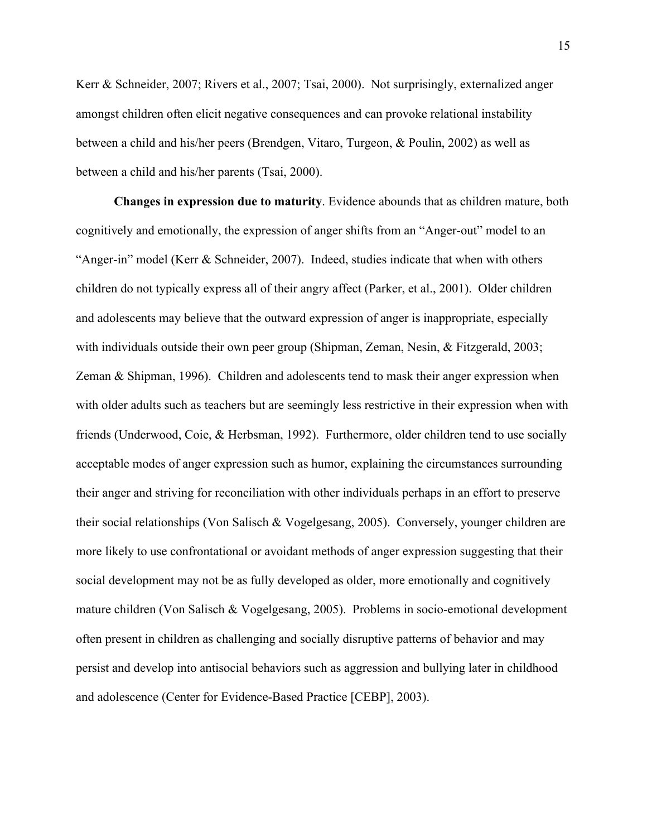Kerr & Schneider, 2007; Rivers et al., 2007; Tsai, 2000). Not surprisingly, externalized anger amongst children often elicit negative consequences and can provoke relational instability between a child and his/her peers (Brendgen, Vitaro, Turgeon, & Poulin, 2002) as well as between a child and his/her parents (Tsai, 2000).

**Changes in expression due to maturity**. Evidence abounds that as children mature, both cognitively and emotionally, the expression of anger shifts from an "Anger-out" model to an "Anger-in" model (Kerr & Schneider, 2007). Indeed, studies indicate that when with others children do not typically express all of their angry affect (Parker, et al., 2001). Older children and adolescents may believe that the outward expression of anger is inappropriate, especially with individuals outside their own peer group (Shipman, Zeman, Nesin, & Fitzgerald, 2003; Zeman & Shipman, 1996). Children and adolescents tend to mask their anger expression when with older adults such as teachers but are seemingly less restrictive in their expression when with friends (Underwood, Coie, & Herbsman, 1992). Furthermore, older children tend to use socially acceptable modes of anger expression such as humor, explaining the circumstances surrounding their anger and striving for reconciliation with other individuals perhaps in an effort to preserve their social relationships (Von Salisch & Vogelgesang, 2005). Conversely, younger children are more likely to use confrontational or avoidant methods of anger expression suggesting that their social development may not be as fully developed as older, more emotionally and cognitively mature children (Von Salisch & Vogelgesang, 2005). Problems in socio-emotional development often present in children as challenging and socially disruptive patterns of behavior and may persist and develop into antisocial behaviors such as aggression and bullying later in childhood and adolescence (Center for Evidence-Based Practice [CEBP], 2003).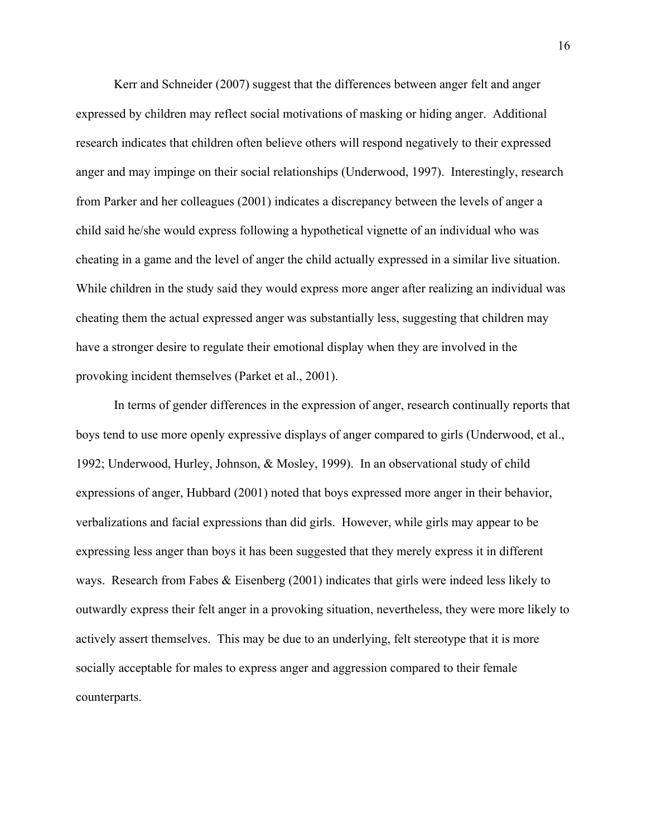Kerr and Schneider (2007) suggest that the differences between anger felt and anger expressed by children may reflect social motivations of masking or hiding anger. Additional research indicates that children often believe others will respond negatively to their expressed anger and may impinge on their social relationships (Underwood, 1997). Interestingly, research from Parker and her colleagues (2001) indicates a discrepancy between the levels of anger a child said he/she would express following a hypothetical vignette of an individual who was cheating in a game and the level of anger the child actually expressed in a similar live situation. While children in the study said they would express more anger after realizing an individual was cheating them the actual expressed anger was substantially less, suggesting that children may have a stronger desire to regulate their emotional display when they are involved in the provoking incident themselves (Parket et al., 2001).

In terms of gender differences in the expression of anger, research continually reports that boys tend to use more openly expressive displays of anger compared to girls (Underwood, et al., 1992; Underwood, Hurley, Johnson, & Mosley, 1999). In an observational study of child expressions of anger, Hubbard (2001) noted that boys expressed more anger in their behavior, verbalizations and facial expressions than did girls. However, while girls may appear to be expressing less anger than boys it has been suggested that they merely express it in different ways. Research from Fabes & Eisenberg (2001) indicates that girls were indeed less likely to outwardly express their felt anger in a provoking situation, nevertheless, they were more likely to actively assert themselves. This may be due to an underlying, felt stereotype that it is more socially acceptable for males to express anger and aggression compared to their female counterparts.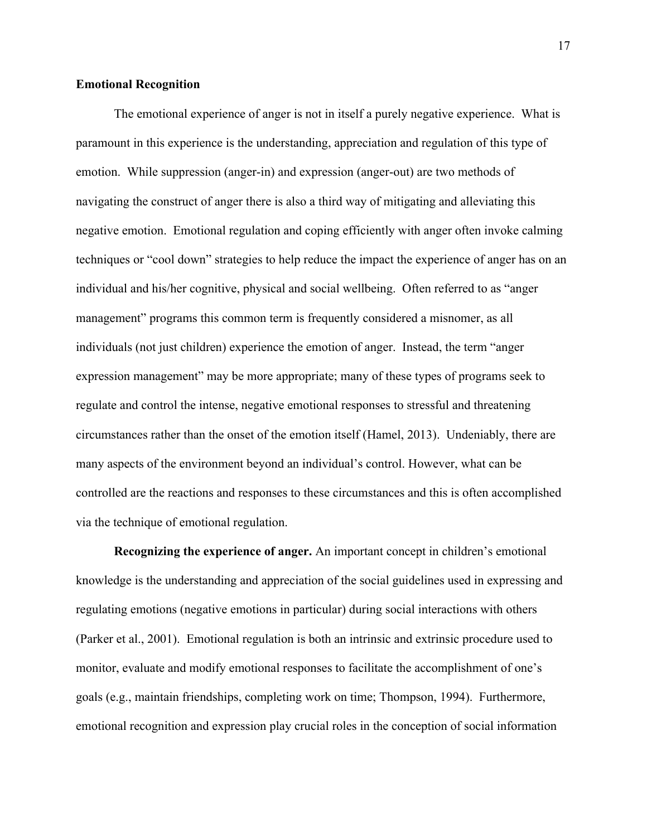#### **Emotional Recognition**

The emotional experience of anger is not in itself a purely negative experience. What is paramount in this experience is the understanding, appreciation and regulation of this type of emotion. While suppression (anger-in) and expression (anger-out) are two methods of navigating the construct of anger there is also a third way of mitigating and alleviating this negative emotion. Emotional regulation and coping efficiently with anger often invoke calming techniques or "cool down" strategies to help reduce the impact the experience of anger has on an individual and his/her cognitive, physical and social wellbeing. Often referred to as "anger management" programs this common term is frequently considered a misnomer, as all individuals (not just children) experience the emotion of anger. Instead, the term "anger expression management" may be more appropriate; many of these types of programs seek to regulate and control the intense, negative emotional responses to stressful and threatening circumstances rather than the onset of the emotion itself (Hamel, 2013). Undeniably, there are many aspects of the environment beyond an individual's control. However, what can be controlled are the reactions and responses to these circumstances and this is often accomplished via the technique of emotional regulation.

**Recognizing the experience of anger.** An important concept in children's emotional knowledge is the understanding and appreciation of the social guidelines used in expressing and regulating emotions (negative emotions in particular) during social interactions with others (Parker et al., 2001). Emotional regulation is both an intrinsic and extrinsic procedure used to monitor, evaluate and modify emotional responses to facilitate the accomplishment of one's goals (e.g., maintain friendships, completing work on time; Thompson, 1994). Furthermore, emotional recognition and expression play crucial roles in the conception of social information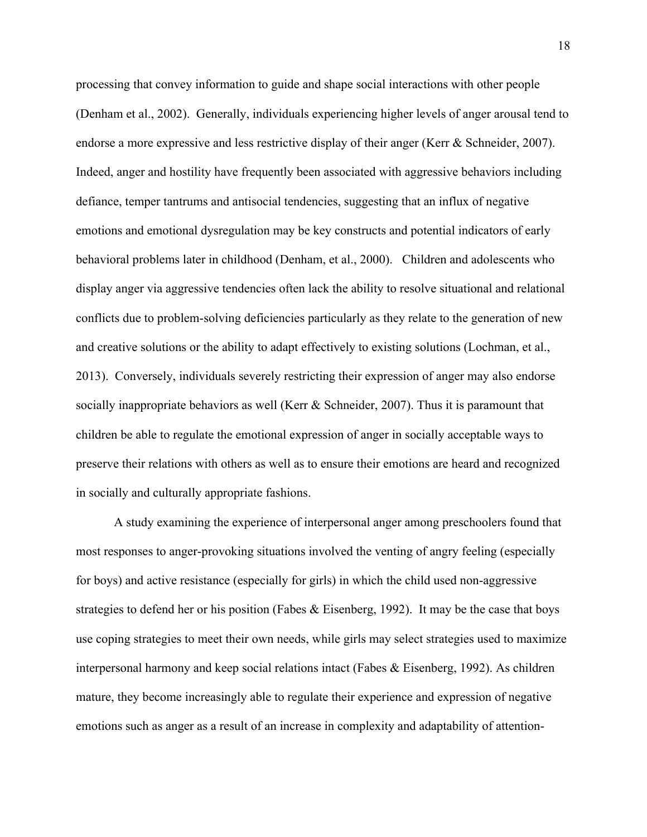processing that convey information to guide and shape social interactions with other people (Denham et al., 2002). Generally, individuals experiencing higher levels of anger arousal tend to endorse a more expressive and less restrictive display of their anger (Kerr & Schneider, 2007). Indeed, anger and hostility have frequently been associated with aggressive behaviors including defiance, temper tantrums and antisocial tendencies, suggesting that an influx of negative emotions and emotional dysregulation may be key constructs and potential indicators of early behavioral problems later in childhood (Denham, et al., 2000). Children and adolescents who display anger via aggressive tendencies often lack the ability to resolve situational and relational conflicts due to problem-solving deficiencies particularly as they relate to the generation of new and creative solutions or the ability to adapt effectively to existing solutions (Lochman, et al., 2013). Conversely, individuals severely restricting their expression of anger may also endorse socially inappropriate behaviors as well (Kerr & Schneider, 2007). Thus it is paramount that children be able to regulate the emotional expression of anger in socially acceptable ways to preserve their relations with others as well as to ensure their emotions are heard and recognized in socially and culturally appropriate fashions.

A study examining the experience of interpersonal anger among preschoolers found that most responses to anger-provoking situations involved the venting of angry feeling (especially for boys) and active resistance (especially for girls) in which the child used non-aggressive strategies to defend her or his position (Fabes & Eisenberg, 1992). It may be the case that boys use coping strategies to meet their own needs, while girls may select strategies used to maximize interpersonal harmony and keep social relations intact (Fabes & Eisenberg, 1992). As children mature, they become increasingly able to regulate their experience and expression of negative emotions such as anger as a result of an increase in complexity and adaptability of attention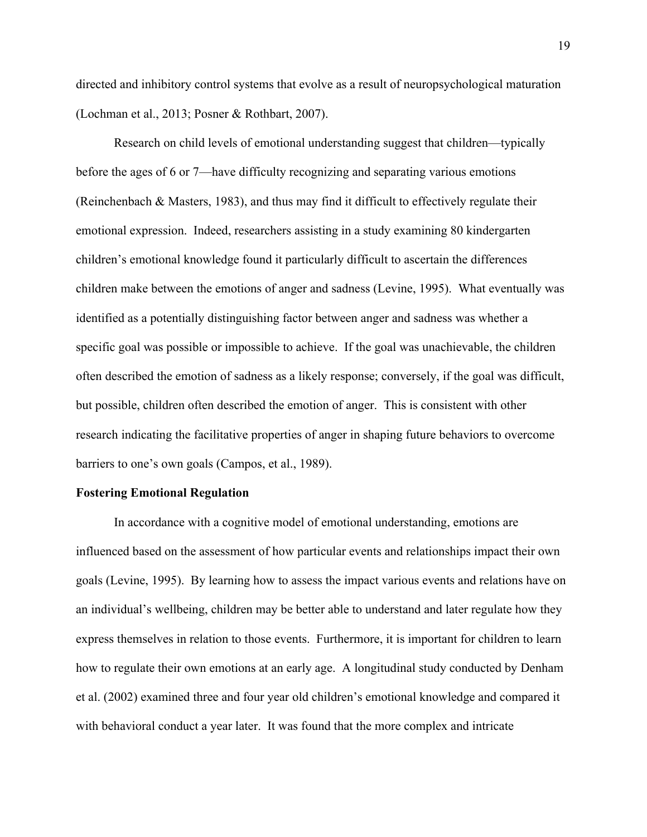directed and inhibitory control systems that evolve as a result of neuropsychological maturation (Lochman et al., 2013; Posner & Rothbart, 2007).

Research on child levels of emotional understanding suggest that children—typically before the ages of 6 or 7—have difficulty recognizing and separating various emotions (Reinchenbach & Masters, 1983), and thus may find it difficult to effectively regulate their emotional expression. Indeed, researchers assisting in a study examining 80 kindergarten children's emotional knowledge found it particularly difficult to ascertain the differences children make between the emotions of anger and sadness (Levine, 1995). What eventually was identified as a potentially distinguishing factor between anger and sadness was whether a specific goal was possible or impossible to achieve. If the goal was unachievable, the children often described the emotion of sadness as a likely response; conversely, if the goal was difficult, but possible, children often described the emotion of anger. This is consistent with other research indicating the facilitative properties of anger in shaping future behaviors to overcome barriers to one's own goals (Campos, et al., 1989).

#### **Fostering Emotional Regulation**

In accordance with a cognitive model of emotional understanding, emotions are influenced based on the assessment of how particular events and relationships impact their own goals (Levine, 1995). By learning how to assess the impact various events and relations have on an individual's wellbeing, children may be better able to understand and later regulate how they express themselves in relation to those events. Furthermore, it is important for children to learn how to regulate their own emotions at an early age. A longitudinal study conducted by Denham et al. (2002) examined three and four year old children's emotional knowledge and compared it with behavioral conduct a year later. It was found that the more complex and intricate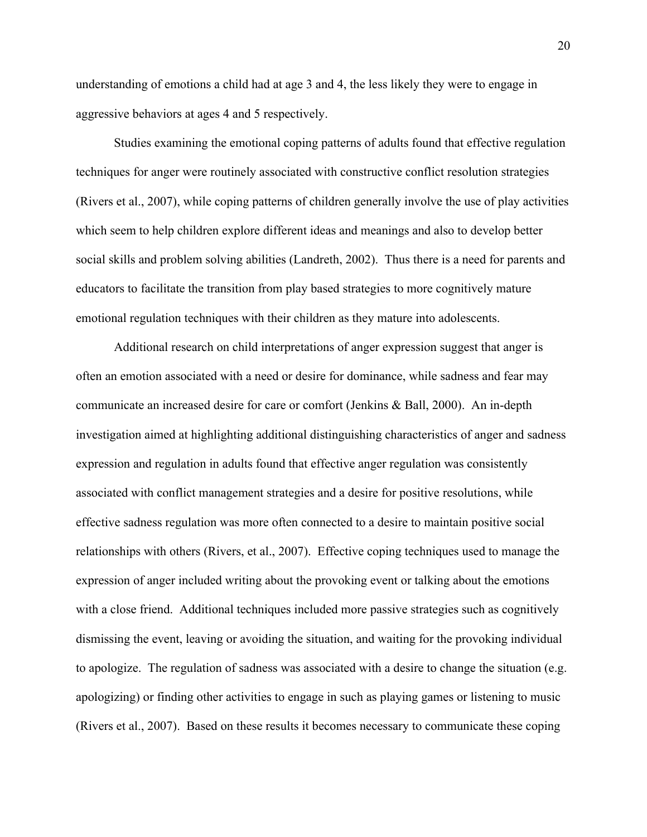understanding of emotions a child had at age 3 and 4, the less likely they were to engage in aggressive behaviors at ages 4 and 5 respectively.

Studies examining the emotional coping patterns of adults found that effective regulation techniques for anger were routinely associated with constructive conflict resolution strategies (Rivers et al., 2007), while coping patterns of children generally involve the use of play activities which seem to help children explore different ideas and meanings and also to develop better social skills and problem solving abilities (Landreth, 2002). Thus there is a need for parents and educators to facilitate the transition from play based strategies to more cognitively mature emotional regulation techniques with their children as they mature into adolescents.

Additional research on child interpretations of anger expression suggest that anger is often an emotion associated with a need or desire for dominance, while sadness and fear may communicate an increased desire for care or comfort (Jenkins & Ball, 2000). An in-depth investigation aimed at highlighting additional distinguishing characteristics of anger and sadness expression and regulation in adults found that effective anger regulation was consistently associated with conflict management strategies and a desire for positive resolutions, while effective sadness regulation was more often connected to a desire to maintain positive social relationships with others (Rivers, et al., 2007). Effective coping techniques used to manage the expression of anger included writing about the provoking event or talking about the emotions with a close friend. Additional techniques included more passive strategies such as cognitively dismissing the event, leaving or avoiding the situation, and waiting for the provoking individual to apologize. The regulation of sadness was associated with a desire to change the situation (e.g. apologizing) or finding other activities to engage in such as playing games or listening to music (Rivers et al., 2007). Based on these results it becomes necessary to communicate these coping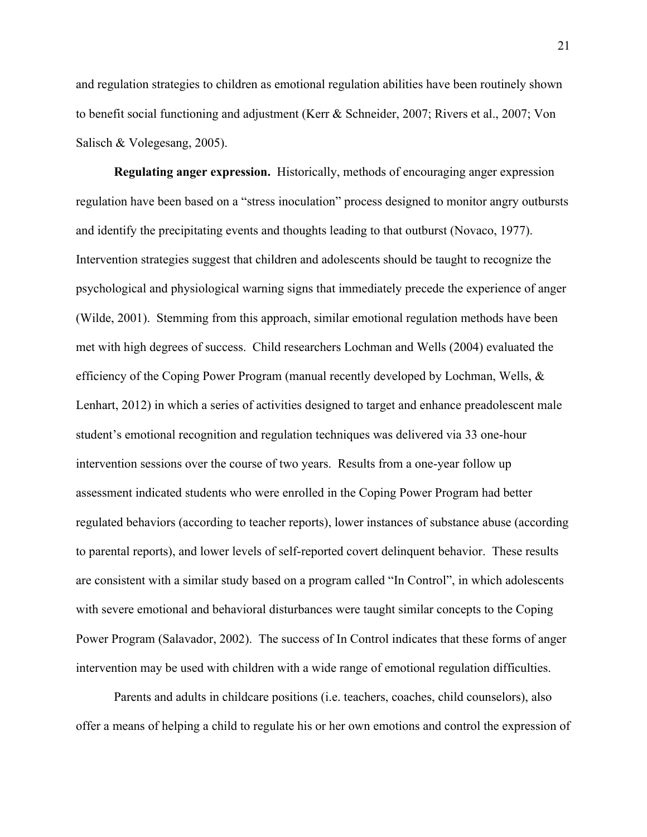and regulation strategies to children as emotional regulation abilities have been routinely shown to benefit social functioning and adjustment (Kerr & Schneider, 2007; Rivers et al., 2007; Von Salisch & Volegesang, 2005).

**Regulating anger expression.** Historically, methods of encouraging anger expression regulation have been based on a "stress inoculation" process designed to monitor angry outbursts and identify the precipitating events and thoughts leading to that outburst (Novaco, 1977). Intervention strategies suggest that children and adolescents should be taught to recognize the psychological and physiological warning signs that immediately precede the experience of anger (Wilde, 2001). Stemming from this approach, similar emotional regulation methods have been met with high degrees of success. Child researchers Lochman and Wells (2004) evaluated the efficiency of the Coping Power Program (manual recently developed by Lochman, Wells, & Lenhart, 2012) in which a series of activities designed to target and enhance preadolescent male student's emotional recognition and regulation techniques was delivered via 33 one-hour intervention sessions over the course of two years. Results from a one-year follow up assessment indicated students who were enrolled in the Coping Power Program had better regulated behaviors (according to teacher reports), lower instances of substance abuse (according to parental reports), and lower levels of self-reported covert delinquent behavior. These results are consistent with a similar study based on a program called "In Control", in which adolescents with severe emotional and behavioral disturbances were taught similar concepts to the Coping Power Program (Salavador, 2002). The success of In Control indicates that these forms of anger intervention may be used with children with a wide range of emotional regulation difficulties.

Parents and adults in childcare positions (i.e. teachers, coaches, child counselors), also offer a means of helping a child to regulate his or her own emotions and control the expression of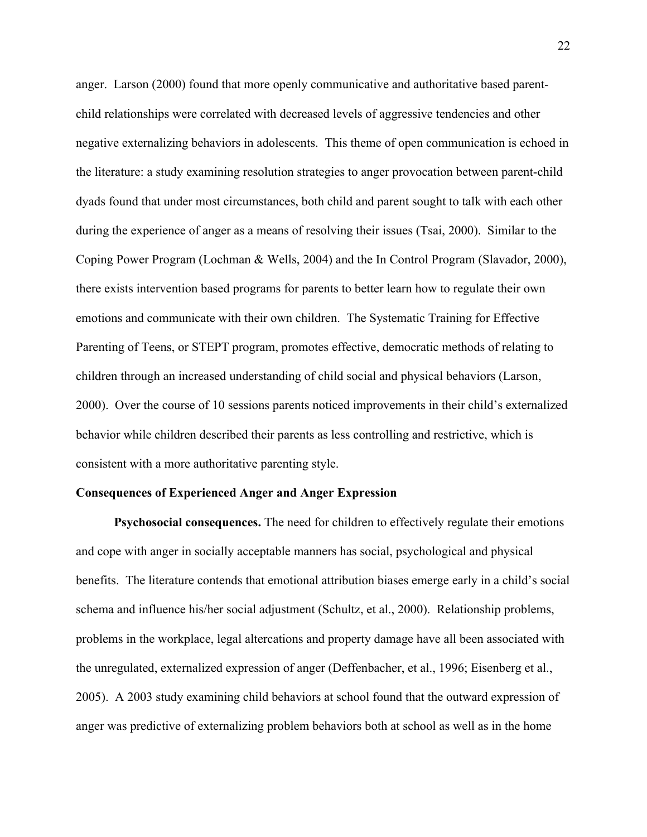anger. Larson (2000) found that more openly communicative and authoritative based parentchild relationships were correlated with decreased levels of aggressive tendencies and other negative externalizing behaviors in adolescents. This theme of open communication is echoed in the literature: a study examining resolution strategies to anger provocation between parent-child dyads found that under most circumstances, both child and parent sought to talk with each other during the experience of anger as a means of resolving their issues (Tsai, 2000). Similar to the Coping Power Program (Lochman & Wells, 2004) and the In Control Program (Slavador, 2000), there exists intervention based programs for parents to better learn how to regulate their own emotions and communicate with their own children. The Systematic Training for Effective Parenting of Teens, or STEPT program, promotes effective, democratic methods of relating to children through an increased understanding of child social and physical behaviors (Larson, 2000). Over the course of 10 sessions parents noticed improvements in their child's externalized behavior while children described their parents as less controlling and restrictive, which is consistent with a more authoritative parenting style.

#### **Consequences of Experienced Anger and Anger Expression**

**Psychosocial consequences.** The need for children to effectively regulate their emotions and cope with anger in socially acceptable manners has social, psychological and physical benefits. The literature contends that emotional attribution biases emerge early in a child's social schema and influence his/her social adjustment (Schultz, et al., 2000). Relationship problems, problems in the workplace, legal altercations and property damage have all been associated with the unregulated, externalized expression of anger (Deffenbacher, et al., 1996; Eisenberg et al., 2005). A 2003 study examining child behaviors at school found that the outward expression of anger was predictive of externalizing problem behaviors both at school as well as in the home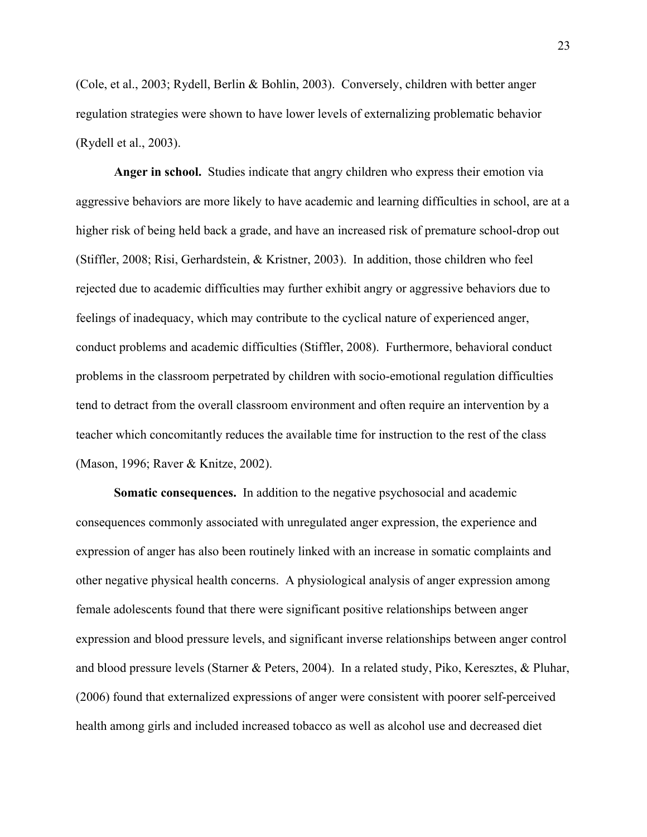(Cole, et al., 2003; Rydell, Berlin & Bohlin, 2003). Conversely, children with better anger regulation strategies were shown to have lower levels of externalizing problematic behavior (Rydell et al., 2003).

**Anger in school.** Studies indicate that angry children who express their emotion via aggressive behaviors are more likely to have academic and learning difficulties in school, are at a higher risk of being held back a grade, and have an increased risk of premature school-drop out (Stiffler, 2008; Risi, Gerhardstein, & Kristner, 2003). In addition, those children who feel rejected due to academic difficulties may further exhibit angry or aggressive behaviors due to feelings of inadequacy, which may contribute to the cyclical nature of experienced anger, conduct problems and academic difficulties (Stiffler, 2008). Furthermore, behavioral conduct problems in the classroom perpetrated by children with socio-emotional regulation difficulties tend to detract from the overall classroom environment and often require an intervention by a teacher which concomitantly reduces the available time for instruction to the rest of the class (Mason, 1996; Raver & Knitze, 2002).

**Somatic consequences.** In addition to the negative psychosocial and academic consequences commonly associated with unregulated anger expression, the experience and expression of anger has also been routinely linked with an increase in somatic complaints and other negative physical health concerns. A physiological analysis of anger expression among female adolescents found that there were significant positive relationships between anger expression and blood pressure levels, and significant inverse relationships between anger control and blood pressure levels (Starner & Peters, 2004). In a related study, Piko, Keresztes, & Pluhar, (2006) found that externalized expressions of anger were consistent with poorer self-perceived health among girls and included increased tobacco as well as alcohol use and decreased diet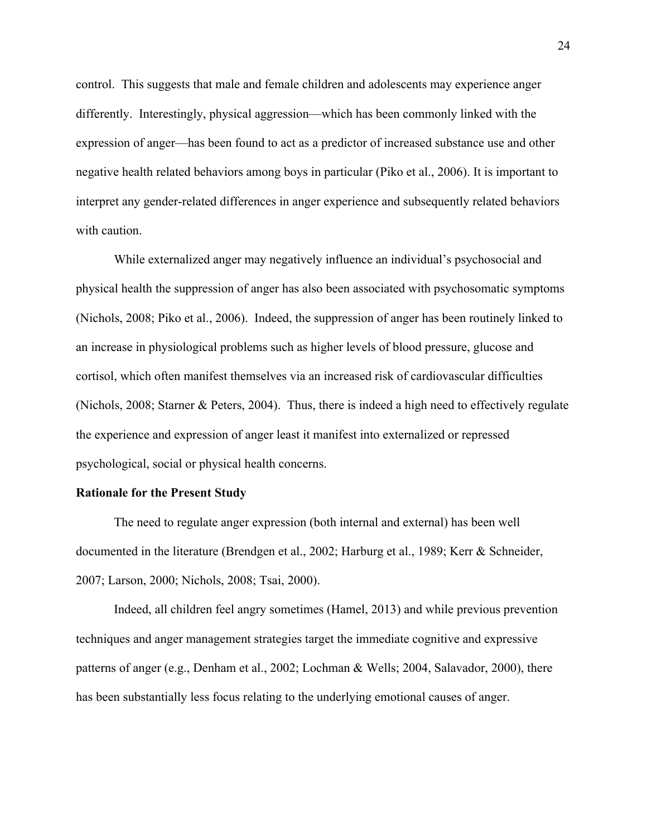control. This suggests that male and female children and adolescents may experience anger differently. Interestingly, physical aggression—which has been commonly linked with the expression of anger—has been found to act as a predictor of increased substance use and other negative health related behaviors among boys in particular (Piko et al., 2006). It is important to interpret any gender-related differences in anger experience and subsequently related behaviors with caution.

While externalized anger may negatively influence an individual's psychosocial and physical health the suppression of anger has also been associated with psychosomatic symptoms (Nichols, 2008; Piko et al., 2006). Indeed, the suppression of anger has been routinely linked to an increase in physiological problems such as higher levels of blood pressure, glucose and cortisol, which often manifest themselves via an increased risk of cardiovascular difficulties (Nichols, 2008; Starner & Peters, 2004). Thus, there is indeed a high need to effectively regulate the experience and expression of anger least it manifest into externalized or repressed psychological, social or physical health concerns.

#### **Rationale for the Present Study**

The need to regulate anger expression (both internal and external) has been well documented in the literature (Brendgen et al., 2002; Harburg et al., 1989; Kerr & Schneider, 2007; Larson, 2000; Nichols, 2008; Tsai, 2000).

Indeed, all children feel angry sometimes (Hamel, 2013) and while previous prevention techniques and anger management strategies target the immediate cognitive and expressive patterns of anger (e.g., Denham et al., 2002; Lochman & Wells; 2004, Salavador, 2000), there has been substantially less focus relating to the underlying emotional causes of anger.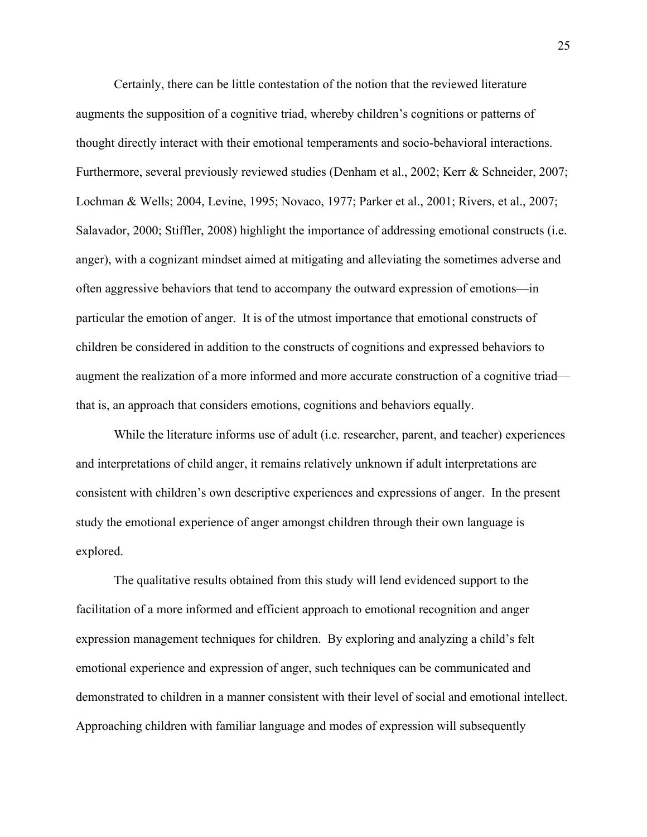Certainly, there can be little contestation of the notion that the reviewed literature augments the supposition of a cognitive triad, whereby children's cognitions or patterns of thought directly interact with their emotional temperaments and socio-behavioral interactions. Furthermore, several previously reviewed studies (Denham et al., 2002; Kerr & Schneider, 2007; Lochman & Wells; 2004, Levine, 1995; Novaco, 1977; Parker et al., 2001; Rivers, et al., 2007; Salavador, 2000; Stiffler, 2008) highlight the importance of addressing emotional constructs (i.e. anger), with a cognizant mindset aimed at mitigating and alleviating the sometimes adverse and often aggressive behaviors that tend to accompany the outward expression of emotions—in particular the emotion of anger. It is of the utmost importance that emotional constructs of children be considered in addition to the constructs of cognitions and expressed behaviors to augment the realization of a more informed and more accurate construction of a cognitive triad that is, an approach that considers emotions, cognitions and behaviors equally.

While the literature informs use of adult (i.e. researcher, parent, and teacher) experiences and interpretations of child anger, it remains relatively unknown if adult interpretations are consistent with children's own descriptive experiences and expressions of anger. In the present study the emotional experience of anger amongst children through their own language is explored.

The qualitative results obtained from this study will lend evidenced support to the facilitation of a more informed and efficient approach to emotional recognition and anger expression management techniques for children. By exploring and analyzing a child's felt emotional experience and expression of anger, such techniques can be communicated and demonstrated to children in a manner consistent with their level of social and emotional intellect. Approaching children with familiar language and modes of expression will subsequently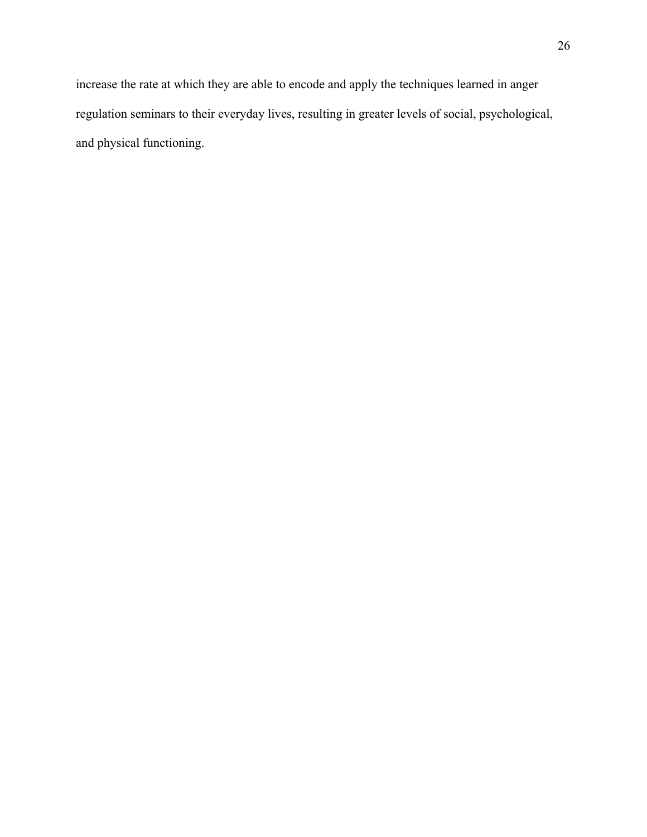increase the rate at which they are able to encode and apply the techniques learned in anger regulation seminars to their everyday lives, resulting in greater levels of social, psychological, and physical functioning.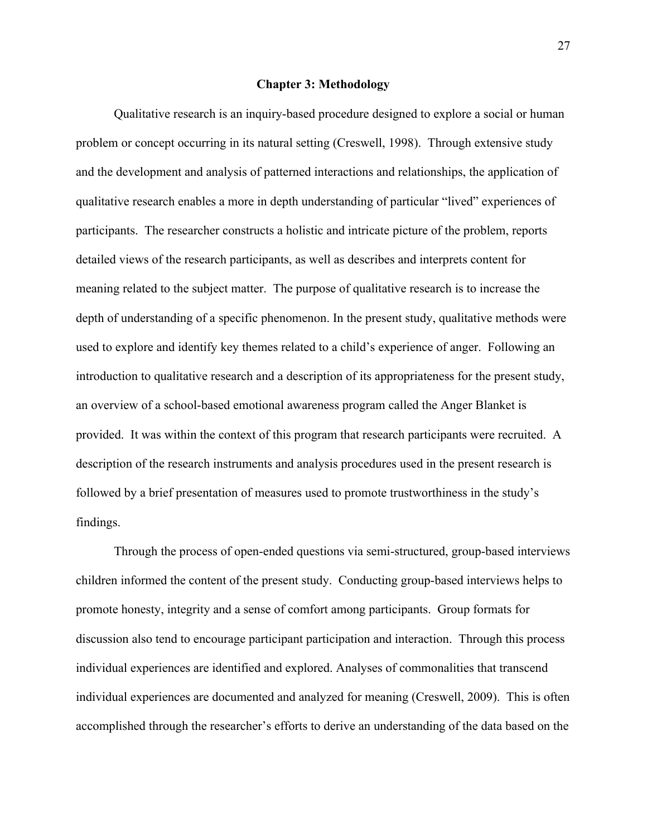#### **Chapter 3: Methodology**

Qualitative research is an inquiry-based procedure designed to explore a social or human problem or concept occurring in its natural setting (Creswell, 1998). Through extensive study and the development and analysis of patterned interactions and relationships, the application of qualitative research enables a more in depth understanding of particular "lived" experiences of participants. The researcher constructs a holistic and intricate picture of the problem, reports detailed views of the research participants, as well as describes and interprets content for meaning related to the subject matter. The purpose of qualitative research is to increase the depth of understanding of a specific phenomenon. In the present study, qualitative methods were used to explore and identify key themes related to a child's experience of anger. Following an introduction to qualitative research and a description of its appropriateness for the present study, an overview of a school-based emotional awareness program called the Anger Blanket is provided. It was within the context of this program that research participants were recruited. A description of the research instruments and analysis procedures used in the present research is followed by a brief presentation of measures used to promote trustworthiness in the study's findings.

Through the process of open-ended questions via semi-structured, group-based interviews children informed the content of the present study. Conducting group-based interviews helps to promote honesty, integrity and a sense of comfort among participants. Group formats for discussion also tend to encourage participant participation and interaction. Through this process individual experiences are identified and explored. Analyses of commonalities that transcend individual experiences are documented and analyzed for meaning (Creswell, 2009). This is often accomplished through the researcher's efforts to derive an understanding of the data based on the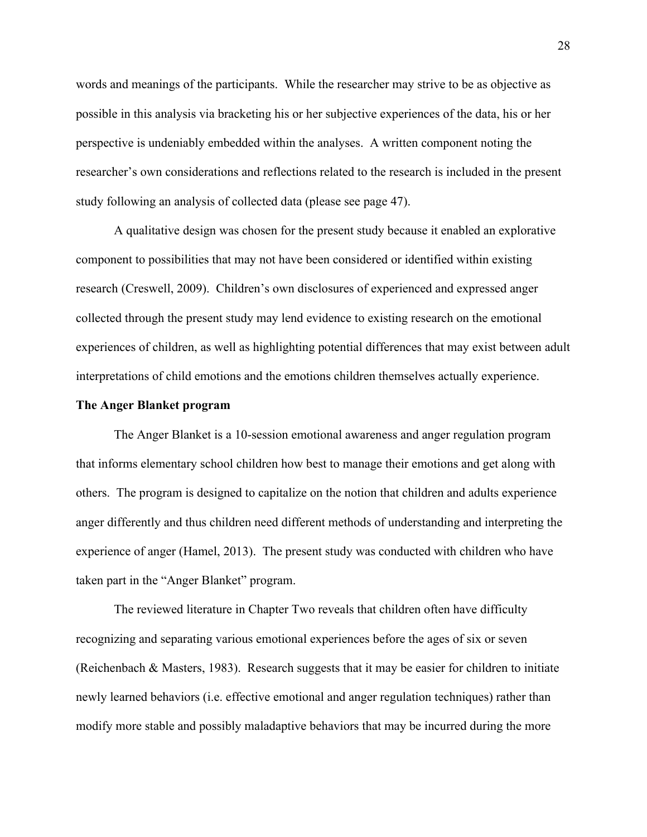words and meanings of the participants. While the researcher may strive to be as objective as possible in this analysis via bracketing his or her subjective experiences of the data, his or her perspective is undeniably embedded within the analyses. A written component noting the researcher's own considerations and reflections related to the research is included in the present study following an analysis of collected data (please see page 47).

A qualitative design was chosen for the present study because it enabled an explorative component to possibilities that may not have been considered or identified within existing research (Creswell, 2009). Children's own disclosures of experienced and expressed anger collected through the present study may lend evidence to existing research on the emotional experiences of children, as well as highlighting potential differences that may exist between adult interpretations of child emotions and the emotions children themselves actually experience.

#### **The Anger Blanket program**

The Anger Blanket is a 10-session emotional awareness and anger regulation program that informs elementary school children how best to manage their emotions and get along with others. The program is designed to capitalize on the notion that children and adults experience anger differently and thus children need different methods of understanding and interpreting the experience of anger (Hamel, 2013). The present study was conducted with children who have taken part in the "Anger Blanket" program.

The reviewed literature in Chapter Two reveals that children often have difficulty recognizing and separating various emotional experiences before the ages of six or seven (Reichenbach & Masters, 1983). Research suggests that it may be easier for children to initiate newly learned behaviors (i.e. effective emotional and anger regulation techniques) rather than modify more stable and possibly maladaptive behaviors that may be incurred during the more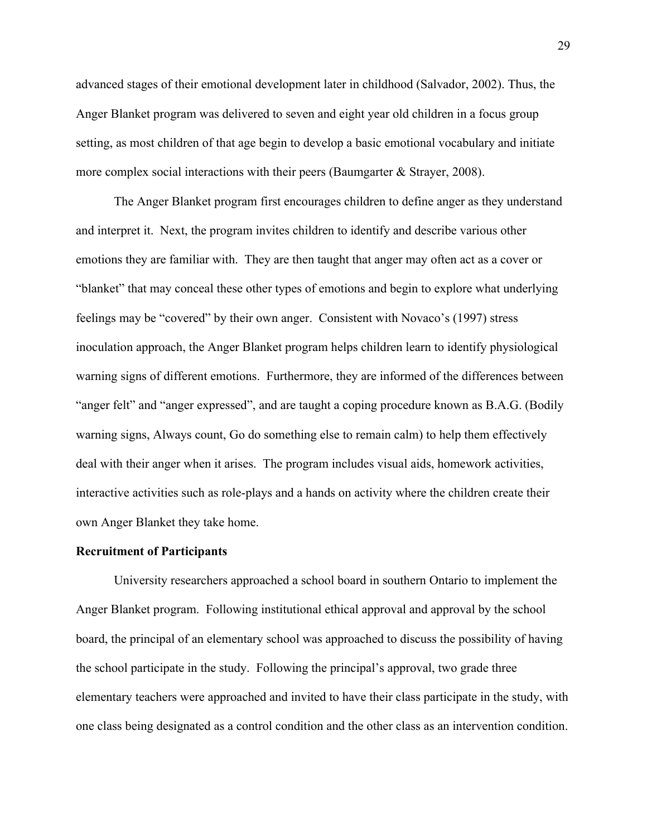advanced stages of their emotional development later in childhood (Salvador, 2002). Thus, the Anger Blanket program was delivered to seven and eight year old children in a focus group setting, as most children of that age begin to develop a basic emotional vocabulary and initiate more complex social interactions with their peers (Baumgarter & Strayer, 2008).

The Anger Blanket program first encourages children to define anger as they understand and interpret it. Next, the program invites children to identify and describe various other emotions they are familiar with. They are then taught that anger may often act as a cover or "blanket" that may conceal these other types of emotions and begin to explore what underlying feelings may be "covered" by their own anger. Consistent with Novaco's (1997) stress inoculation approach, the Anger Blanket program helps children learn to identify physiological warning signs of different emotions. Furthermore, they are informed of the differences between "anger felt" and "anger expressed", and are taught a coping procedure known as B.A.G. (Bodily warning signs, Always count, Go do something else to remain calm) to help them effectively deal with their anger when it arises. The program includes visual aids, homework activities, interactive activities such as role-plays and a hands on activity where the children create their own Anger Blanket they take home.

#### **Recruitment of Participants**

University researchers approached a school board in southern Ontario to implement the Anger Blanket program. Following institutional ethical approval and approval by the school board, the principal of an elementary school was approached to discuss the possibility of having the school participate in the study. Following the principal's approval, two grade three elementary teachers were approached and invited to have their class participate in the study, with one class being designated as a control condition and the other class as an intervention condition.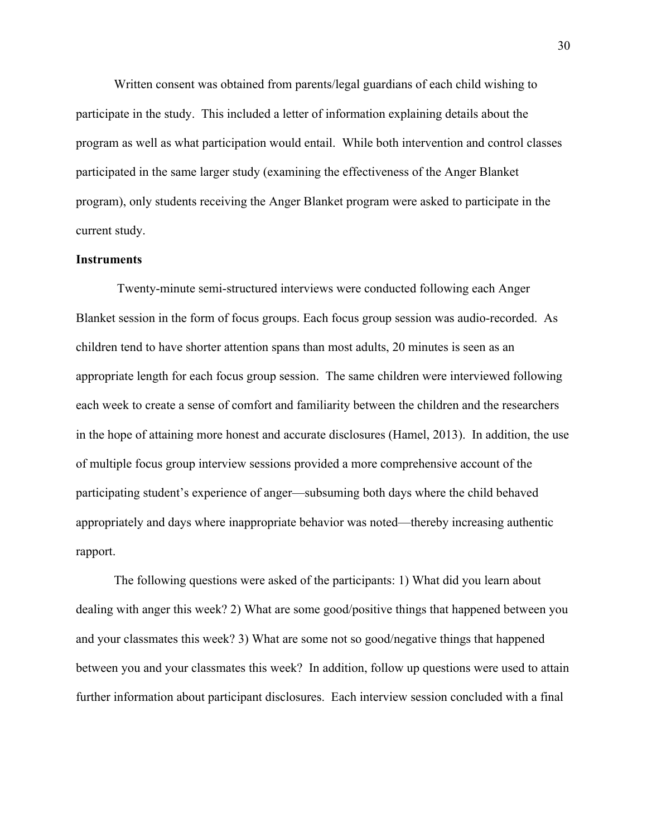Written consent was obtained from parents/legal guardians of each child wishing to participate in the study. This included a letter of information explaining details about the program as well as what participation would entail. While both intervention and control classes participated in the same larger study (examining the effectiveness of the Anger Blanket program), only students receiving the Anger Blanket program were asked to participate in the current study.

#### **Instruments**

Twenty-minute semi-structured interviews were conducted following each Anger Blanket session in the form of focus groups. Each focus group session was audio-recorded. As children tend to have shorter attention spans than most adults, 20 minutes is seen as an appropriate length for each focus group session. The same children were interviewed following each week to create a sense of comfort and familiarity between the children and the researchers in the hope of attaining more honest and accurate disclosures (Hamel, 2013). In addition, the use of multiple focus group interview sessions provided a more comprehensive account of the participating student's experience of anger—subsuming both days where the child behaved appropriately and days where inappropriate behavior was noted—thereby increasing authentic rapport.

The following questions were asked of the participants: 1) What did you learn about dealing with anger this week? 2) What are some good/positive things that happened between you and your classmates this week? 3) What are some not so good/negative things that happened between you and your classmates this week? In addition, follow up questions were used to attain further information about participant disclosures. Each interview session concluded with a final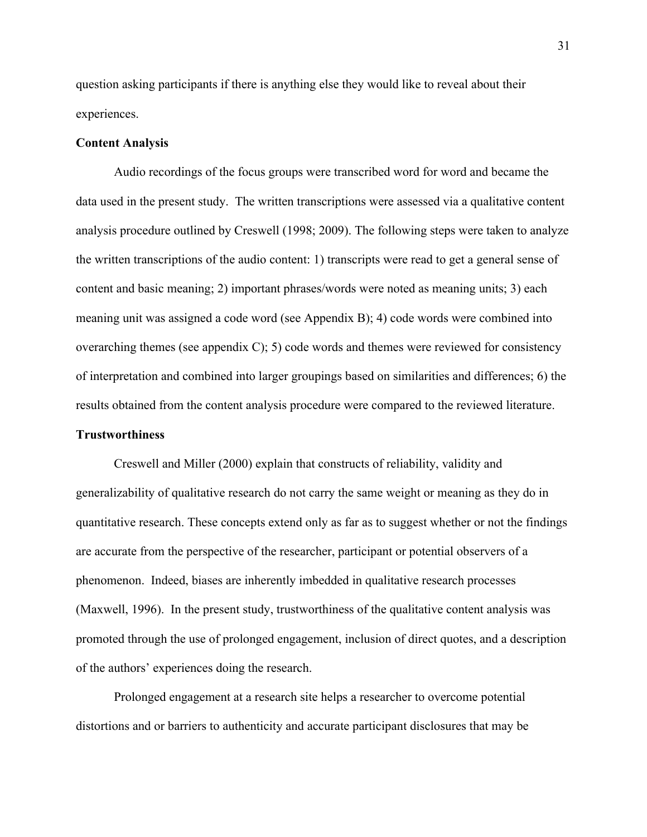question asking participants if there is anything else they would like to reveal about their experiences.

## **Content Analysis**

Audio recordings of the focus groups were transcribed word for word and became the data used in the present study. The written transcriptions were assessed via a qualitative content analysis procedure outlined by Creswell (1998; 2009). The following steps were taken to analyze the written transcriptions of the audio content: 1) transcripts were read to get a general sense of content and basic meaning; 2) important phrases/words were noted as meaning units; 3) each meaning unit was assigned a code word (see Appendix B); 4) code words were combined into overarching themes (see appendix C); 5) code words and themes were reviewed for consistency of interpretation and combined into larger groupings based on similarities and differences; 6) the results obtained from the content analysis procedure were compared to the reviewed literature. **Trustworthiness**

Creswell and Miller (2000) explain that constructs of reliability, validity and generalizability of qualitative research do not carry the same weight or meaning as they do in quantitative research. These concepts extend only as far as to suggest whether or not the findings are accurate from the perspective of the researcher, participant or potential observers of a phenomenon. Indeed, biases are inherently imbedded in qualitative research processes (Maxwell, 1996). In the present study, trustworthiness of the qualitative content analysis was promoted through the use of prolonged engagement, inclusion of direct quotes, and a description of the authors' experiences doing the research.

Prolonged engagement at a research site helps a researcher to overcome potential distortions and or barriers to authenticity and accurate participant disclosures that may be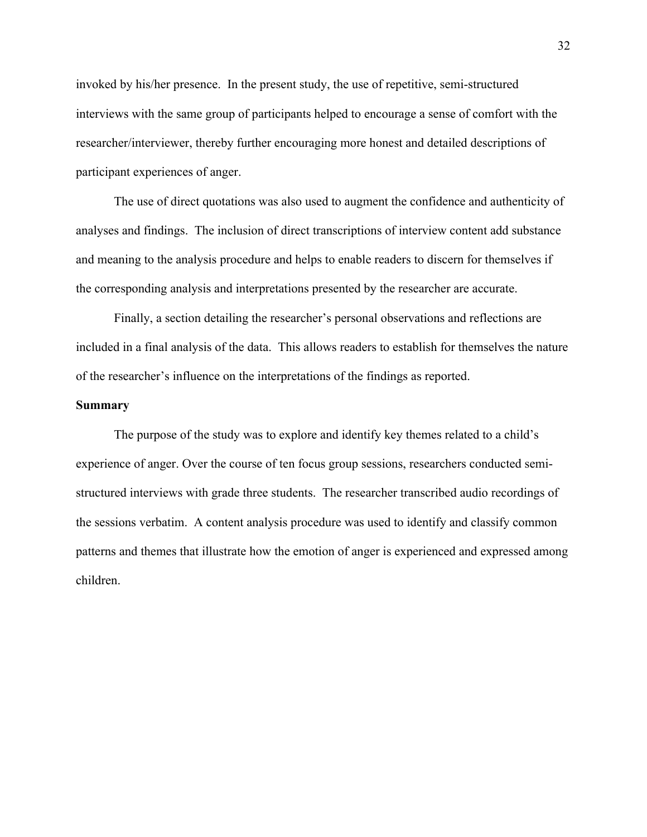invoked by his/her presence. In the present study, the use of repetitive, semi-structured interviews with the same group of participants helped to encourage a sense of comfort with the researcher/interviewer, thereby further encouraging more honest and detailed descriptions of participant experiences of anger.

The use of direct quotations was also used to augment the confidence and authenticity of analyses and findings. The inclusion of direct transcriptions of interview content add substance and meaning to the analysis procedure and helps to enable readers to discern for themselves if the corresponding analysis and interpretations presented by the researcher are accurate.

Finally, a section detailing the researcher's personal observations and reflections are included in a final analysis of the data. This allows readers to establish for themselves the nature of the researcher's influence on the interpretations of the findings as reported.

# **Summary**

The purpose of the study was to explore and identify key themes related to a child's experience of anger. Over the course of ten focus group sessions, researchers conducted semistructured interviews with grade three students. The researcher transcribed audio recordings of the sessions verbatim. A content analysis procedure was used to identify and classify common patterns and themes that illustrate how the emotion of anger is experienced and expressed among children.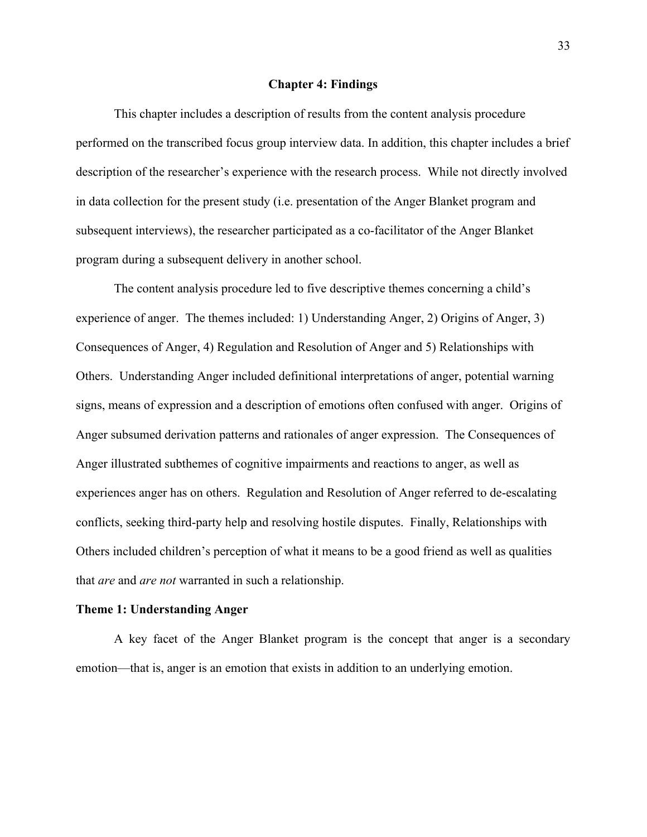### **Chapter 4: Findings**

This chapter includes a description of results from the content analysis procedure performed on the transcribed focus group interview data. In addition, this chapter includes a brief description of the researcher's experience with the research process. While not directly involved in data collection for the present study (i.e. presentation of the Anger Blanket program and subsequent interviews), the researcher participated as a co-facilitator of the Anger Blanket program during a subsequent delivery in another school.

The content analysis procedure led to five descriptive themes concerning a child's experience of anger. The themes included: 1) Understanding Anger, 2) Origins of Anger, 3) Consequences of Anger, 4) Regulation and Resolution of Anger and 5) Relationships with Others. Understanding Anger included definitional interpretations of anger, potential warning signs, means of expression and a description of emotions often confused with anger. Origins of Anger subsumed derivation patterns and rationales of anger expression. The Consequences of Anger illustrated subthemes of cognitive impairments and reactions to anger, as well as experiences anger has on others. Regulation and Resolution of Anger referred to de-escalating conflicts, seeking third-party help and resolving hostile disputes. Finally, Relationships with Others included children's perception of what it means to be a good friend as well as qualities that *are* and *are not* warranted in such a relationship.

#### **Theme 1: Understanding Anger**

A key facet of the Anger Blanket program is the concept that anger is a secondary emotion—that is, anger is an emotion that exists in addition to an underlying emotion.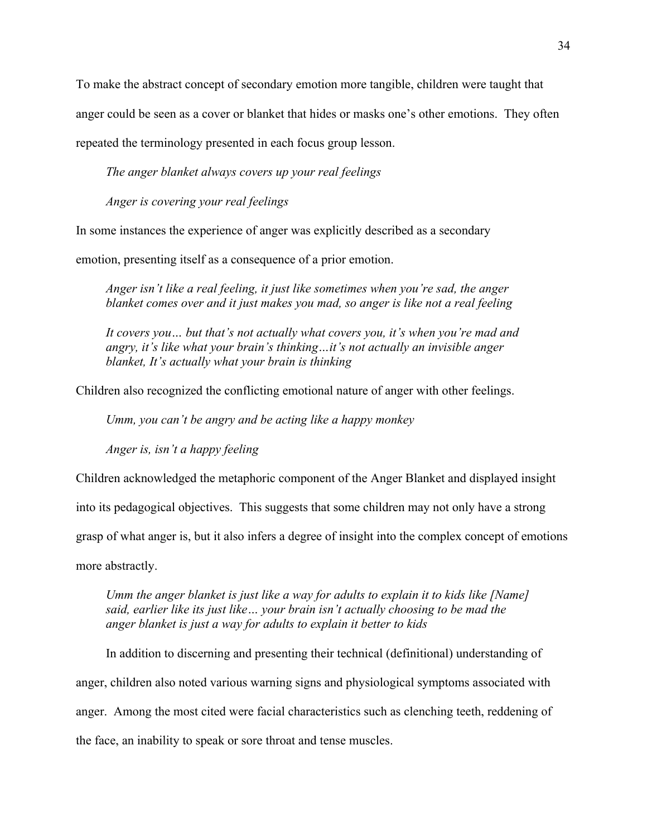To make the abstract concept of secondary emotion more tangible, children were taught that anger could be seen as a cover or blanket that hides or masks one's other emotions. They often repeated the terminology presented in each focus group lesson.

*The anger blanket always covers up your real feelings*

*Anger is covering your real feelings*

In some instances the experience of anger was explicitly described as a secondary

emotion, presenting itself as a consequence of a prior emotion.

*Anger isn't like a real feeling, it just like sometimes when you're sad, the anger blanket comes over and it just makes you mad, so anger is like not a real feeling*

*It covers you… but that's not actually what covers you, it's when you're mad and angry, it's like what your brain's thinking…it's not actually an invisible anger blanket, It's actually what your brain is thinking*

Children also recognized the conflicting emotional nature of anger with other feelings.

*Umm, you can't be angry and be acting like a happy monkey*

*Anger is, isn't a happy feeling*

Children acknowledged the metaphoric component of the Anger Blanket and displayed insight

into its pedagogical objectives. This suggests that some children may not only have a strong

grasp of what anger is, but it also infers a degree of insight into the complex concept of emotions

more abstractly.

*Umm the anger blanket is just like a way for adults to explain it to kids like [Name] said, earlier like its just like… your brain isn't actually choosing to be mad the anger blanket is just a way for adults to explain it better to kids*

In addition to discerning and presenting their technical (definitional) understanding of anger, children also noted various warning signs and physiological symptoms associated with anger. Among the most cited were facial characteristics such as clenching teeth, reddening of the face, an inability to speak or sore throat and tense muscles.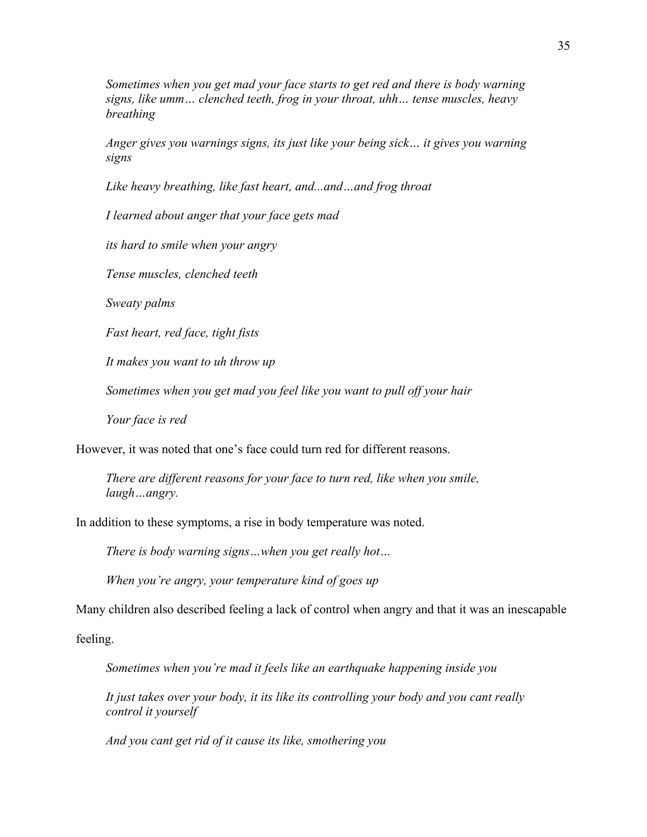*Sometimes when you get mad your face starts to get red and there is body warning signs, like umm… clenched teeth, frog in your throat, uhh… tense muscles, heavy breathing*

*Anger gives you warnings signs, its just like your being sick… it gives you warning signs*

*Like heavy breathing, like fast heart, and...and…and frog throat* 

*I learned about anger that your face gets mad*

*its hard to smile when your angry*

*Tense muscles, clenched teeth* 

*Sweaty palms*

*Fast heart, red face, tight fists* 

*It makes you want to uh throw up*

*Sometimes when you get mad you feel like you want to pull off your hair*

*Your face is red*

However, it was noted that one's face could turn red for different reasons.

*There are different reasons for your face to turn red, like when you smile, laugh…angry.*

In addition to these symptoms, a rise in body temperature was noted.

*There is body warning signs…when you get really hot…* 

*When you're angry, your temperature kind of goes up*

Many children also described feeling a lack of control when angry and that it was an inescapable

feeling.

*Sometimes when you're mad it feels like an earthquake happening inside you*

*It just takes over your body, it its like its controlling your body and you cant really control it yourself* 

*And you cant get rid of it cause its like, smothering you*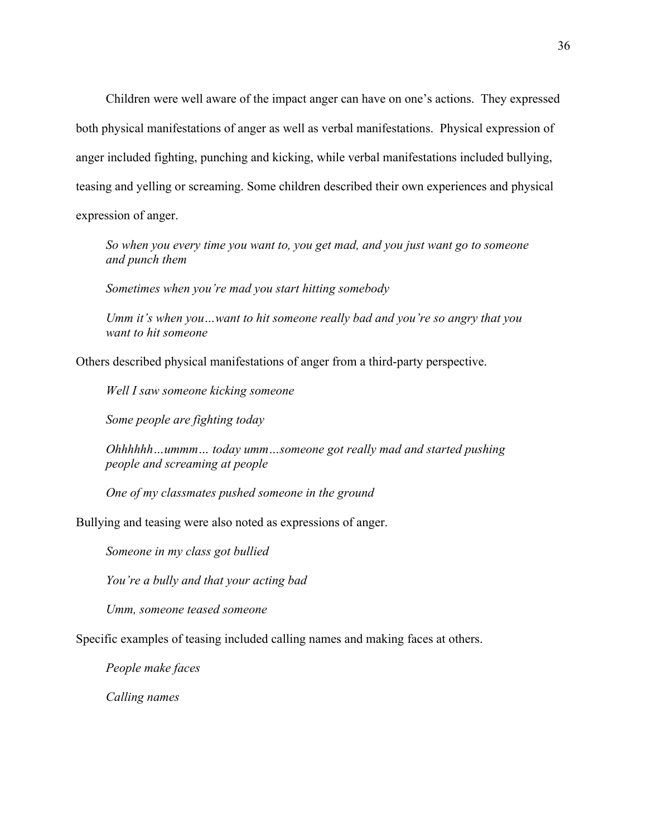Children were well aware of the impact anger can have on one's actions. They expressed both physical manifestations of anger as well as verbal manifestations. Physical expression of anger included fighting, punching and kicking, while verbal manifestations included bullying, teasing and yelling or screaming. Some children described their own experiences and physical expression of anger.

*So when you every time you want to, you get mad, and you just want go to someone and punch them*

*Sometimes when you're mad you start hitting somebody*

*Umm it's when you…want to hit someone really bad and you're so angry that you want to hit someone* 

Others described physical manifestations of anger from a third-party perspective.

*Well I saw someone kicking someone*

*Some people are fighting today*

*Ohhhhhh…ummm… today umm…someone got really mad and started pushing people and screaming at people* 

*One of my classmates pushed someone in the ground*

Bullying and teasing were also noted as expressions of anger.

*Someone in my class got bullied*

*You're a bully and that your acting bad*

*Umm, someone teased someone*

Specific examples of teasing included calling names and making faces at others.

*People make faces*

*Calling names*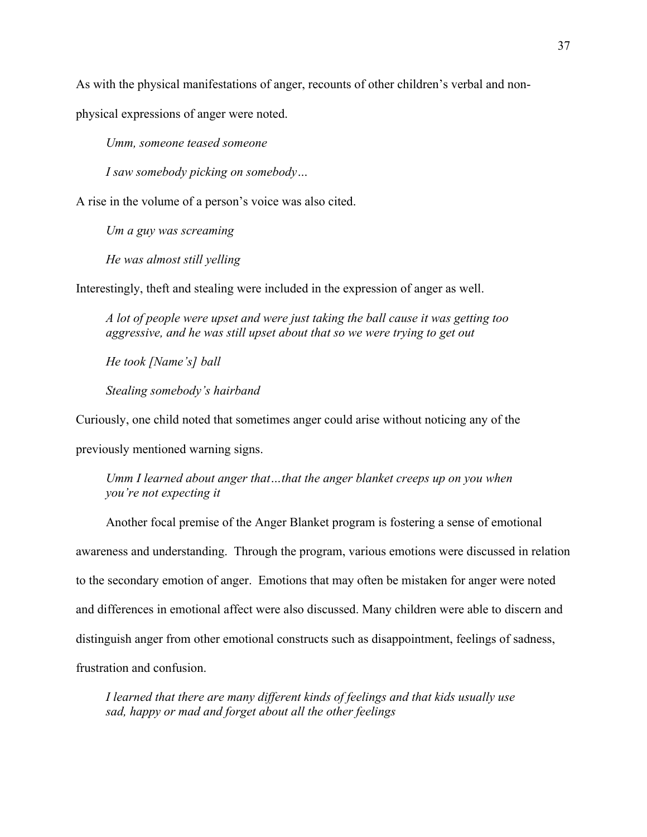As with the physical manifestations of anger, recounts of other children's verbal and non-

physical expressions of anger were noted.

*Umm, someone teased someone*

*I saw somebody picking on somebody…*

A rise in the volume of a person's voice was also cited.

*Um a guy was screaming*

*He was almost still yelling* 

Interestingly, theft and stealing were included in the expression of anger as well.

*A lot of people were upset and were just taking the ball cause it was getting too aggressive, and he was still upset about that so we were trying to get out*

*He took [Name's] ball* 

*Stealing somebody's hairband* 

Curiously, one child noted that sometimes anger could arise without noticing any of the

previously mentioned warning signs.

*Umm I learned about anger that…that the anger blanket creeps up on you when you're not expecting it* 

Another focal premise of the Anger Blanket program is fostering a sense of emotional awareness and understanding. Through the program, various emotions were discussed in relation to the secondary emotion of anger. Emotions that may often be mistaken for anger were noted and differences in emotional affect were also discussed. Many children were able to discern and distinguish anger from other emotional constructs such as disappointment, feelings of sadness, frustration and confusion.

*I learned that there are many different kinds of feelings and that kids usually use sad, happy or mad and forget about all the other feelings*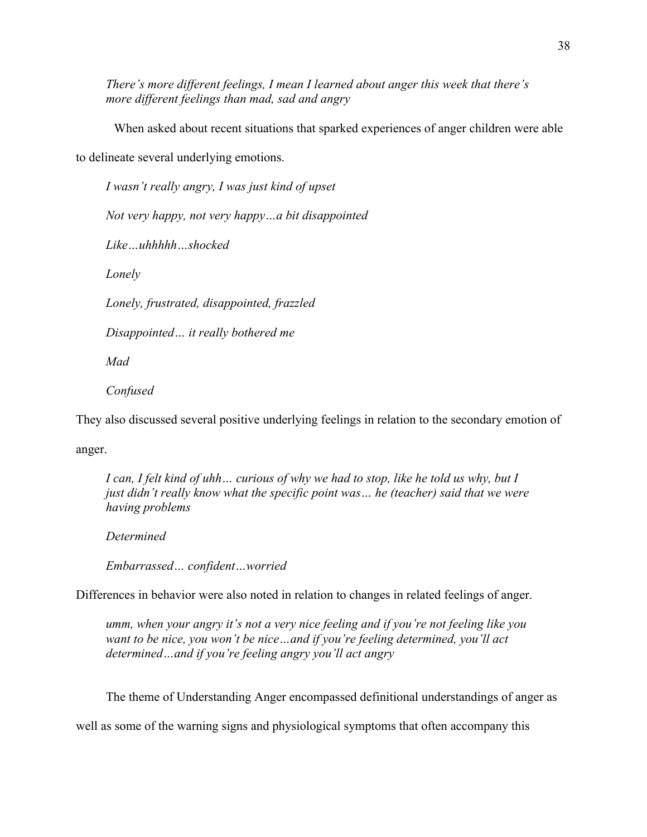*There's more different feelings, I mean I learned about anger this week that there's more different feelings than mad, sad and angry* 

When asked about recent situations that sparked experiences of anger children were able to delineate several underlying emotions.

*I wasn't really angry, I was just kind of upset Not very happy, not very happy…a bit disappointed Like…uhhhhh…shocked Lonely Lonely, frustrated, disappointed, frazzled Disappointed… it really bothered me*

*Mad*

*Confused*

They also discussed several positive underlying feelings in relation to the secondary emotion of

anger.

*I can, I felt kind of uhh… curious of why we had to stop, like he told us why, but I just didn't really know what the specific point was… he (teacher) said that we were having problems* 

*Determined*

*Embarrassed… confident…worried*

Differences in behavior were also noted in relation to changes in related feelings of anger.

*umm, when your angry it's not a very nice feeling and if you're not feeling like you want to be nice, you won't be nice…and if you're feeling determined, you'll act determined…and if you're feeling angry you'll act angry*

The theme of Understanding Anger encompassed definitional understandings of anger as

well as some of the warning signs and physiological symptoms that often accompany this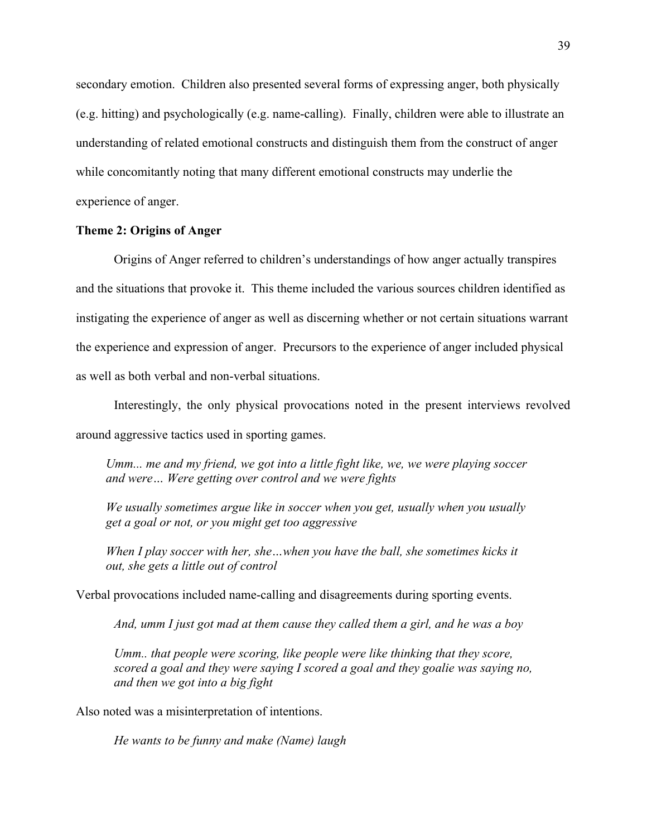secondary emotion. Children also presented several forms of expressing anger, both physically (e.g. hitting) and psychologically (e.g. name-calling). Finally, children were able to illustrate an understanding of related emotional constructs and distinguish them from the construct of anger while concomitantly noting that many different emotional constructs may underlie the experience of anger.

# **Theme 2: Origins of Anger**

Origins of Anger referred to children's understandings of how anger actually transpires and the situations that provoke it. This theme included the various sources children identified as instigating the experience of anger as well as discerning whether or not certain situations warrant the experience and expression of anger. Precursors to the experience of anger included physical as well as both verbal and non-verbal situations.

Interestingly, the only physical provocations noted in the present interviews revolved around aggressive tactics used in sporting games.

*Umm... me and my friend, we got into a little fight like, we, we were playing soccer and were… Were getting over control and we were fights* 

*We usually sometimes argue like in soccer when you get, usually when you usually get a goal or not, or you might get too aggressive*

*When I play soccer with her, she…when you have the ball, she sometimes kicks it out, she gets a little out of control*

Verbal provocations included name-calling and disagreements during sporting events.

*And, umm I just got mad at them cause they called them a girl, and he was a boy*

*Umm.. that people were scoring, like people were like thinking that they score, scored a goal and they were saying I scored a goal and they goalie was saying no, and then we got into a big fight* 

Also noted was a misinterpretation of intentions.

*He wants to be funny and make (Name) laugh*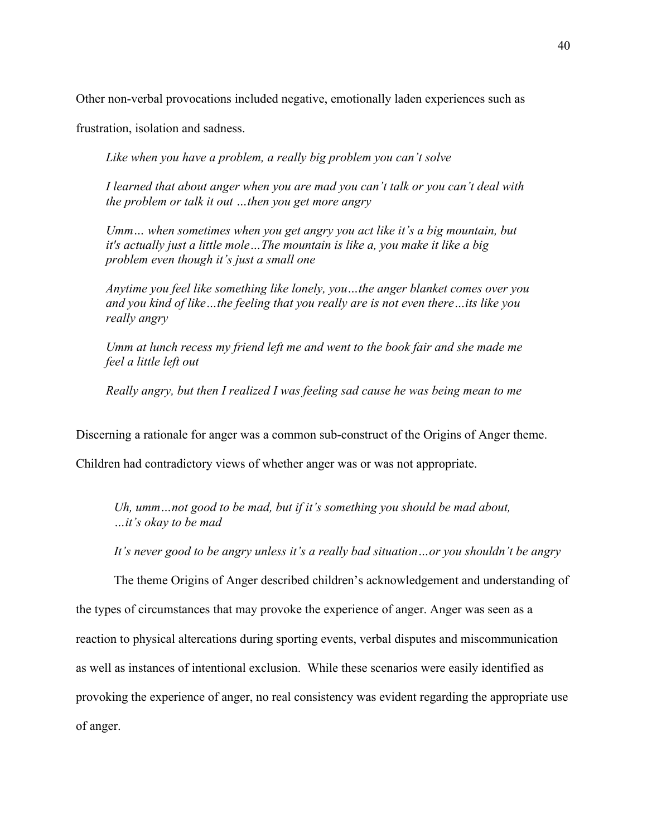Other non-verbal provocations included negative, emotionally laden experiences such as

frustration, isolation and sadness.

*Like when you have a problem, a really big problem you can't solve* 

*I learned that about anger when you are mad you can't talk or you can't deal with the problem or talk it out …then you get more angry* 

*Umm… when sometimes when you get angry you act like it's a big mountain, but it's actually just a little mole…The mountain is like a, you make it like a big problem even though it's just a small one*

*Anytime you feel like something like lonely, you…the anger blanket comes over you and you kind of like…the feeling that you really are is not even there…its like you really angry*

*Umm at lunch recess my friend left me and went to the book fair and she made me feel a little left out*

*Really angry, but then I realized I was feeling sad cause he was being mean to me*

Discerning a rationale for anger was a common sub-construct of the Origins of Anger theme.

Children had contradictory views of whether anger was or was not appropriate.

*Uh, umm…not good to be mad, but if it's something you should be mad about, …it's okay to be mad*

*It's never good to be angry unless it's a really bad situation…or you shouldn't be angry* 

The theme Origins of Anger described children's acknowledgement and understanding of the types of circumstances that may provoke the experience of anger. Anger was seen as a reaction to physical altercations during sporting events, verbal disputes and miscommunication as well as instances of intentional exclusion. While these scenarios were easily identified as provoking the experience of anger, no real consistency was evident regarding the appropriate use of anger.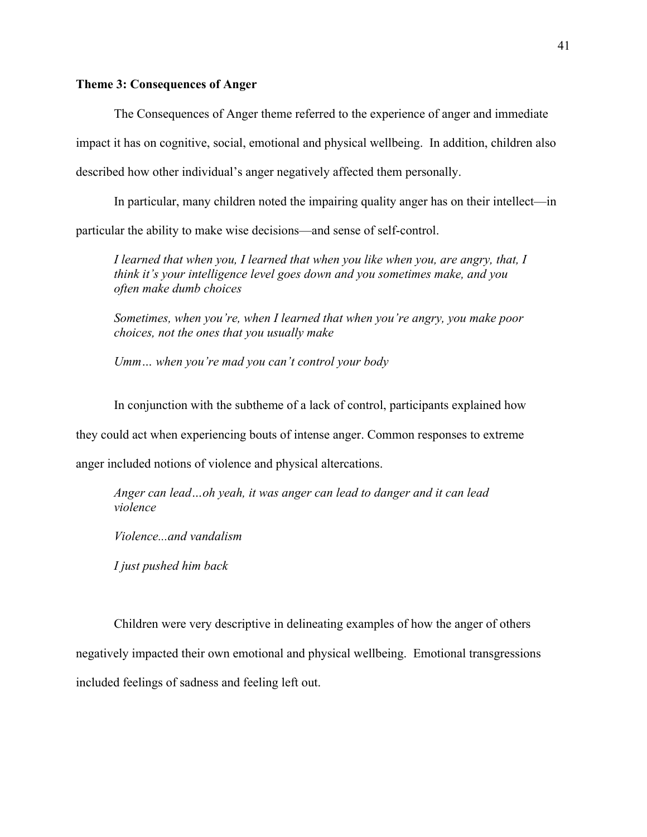# **Theme 3: Consequences of Anger**

The Consequences of Anger theme referred to the experience of anger and immediate impact it has on cognitive, social, emotional and physical wellbeing. In addition, children also described how other individual's anger negatively affected them personally.

In particular, many children noted the impairing quality anger has on their intellect—in particular the ability to make wise decisions—and sense of self-control.

*I learned that when you, I learned that when you like when you, are angry, that, I think it's your intelligence level goes down and you sometimes make, and you often make dumb choices* 

*Sometimes, when you're, when I learned that when you're angry, you make poor choices, not the ones that you usually make* 

*Umm… when you're mad you can't control your body* 

In conjunction with the subtheme of a lack of control, participants explained how

they could act when experiencing bouts of intense anger. Common responses to extreme

anger included notions of violence and physical altercations.

*Anger can lead…oh yeah, it was anger can lead to danger and it can lead violence*

*Violence...and vandalism* 

*I just pushed him back*

Children were very descriptive in delineating examples of how the anger of others negatively impacted their own emotional and physical wellbeing. Emotional transgressions included feelings of sadness and feeling left out.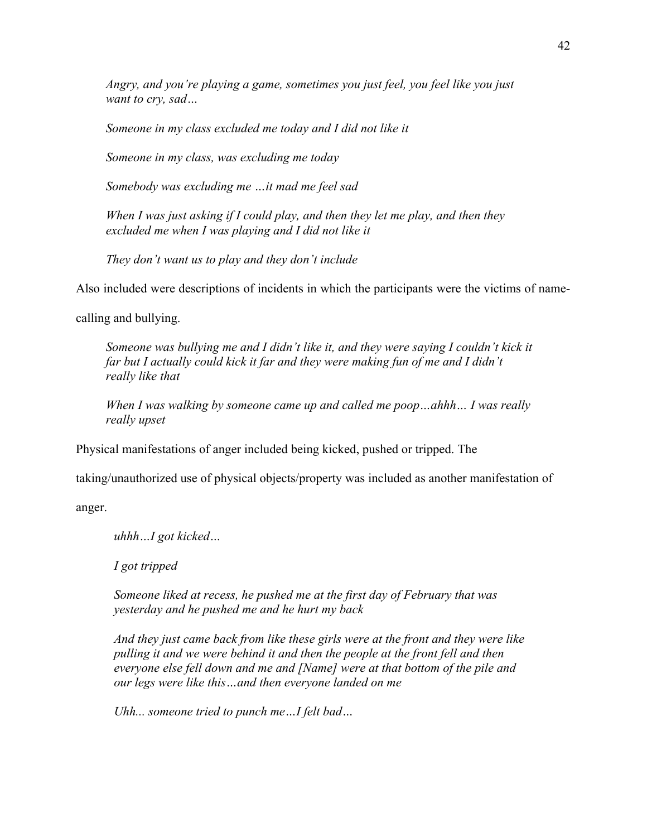*Angry, and you're playing a game, sometimes you just feel, you feel like you just want to cry, sad…*

*Someone in my class excluded me today and I did not like it*

*Someone in my class, was excluding me today*

*Somebody was excluding me …it mad me feel sad*

*When I was just asking if I could play, and then they let me play, and then they excluded me when I was playing and I did not like it*

*They don't want us to play and they don't include*

Also included were descriptions of incidents in which the participants were the victims of name-

calling and bullying.

*Someone was bullying me and I didn't like it, and they were saying I couldn't kick it far but I actually could kick it far and they were making fun of me and I didn't really like that*

*When I was walking by someone came up and called me poop…ahhh… I was really really upset*

Physical manifestations of anger included being kicked, pushed or tripped. The

taking/unauthorized use of physical objects/property was included as another manifestation of

anger.

*uhhh…I got kicked…*

*I got tripped*

*Someone liked at recess, he pushed me at the first day of February that was yesterday and he pushed me and he hurt my back*

*And they just came back from like these girls were at the front and they were like pulling it and we were behind it and then the people at the front fell and then everyone else fell down and me and [Name] were at that bottom of the pile and our legs were like this…and then everyone landed on me*

*Uhh... someone tried to punch me…I felt bad…*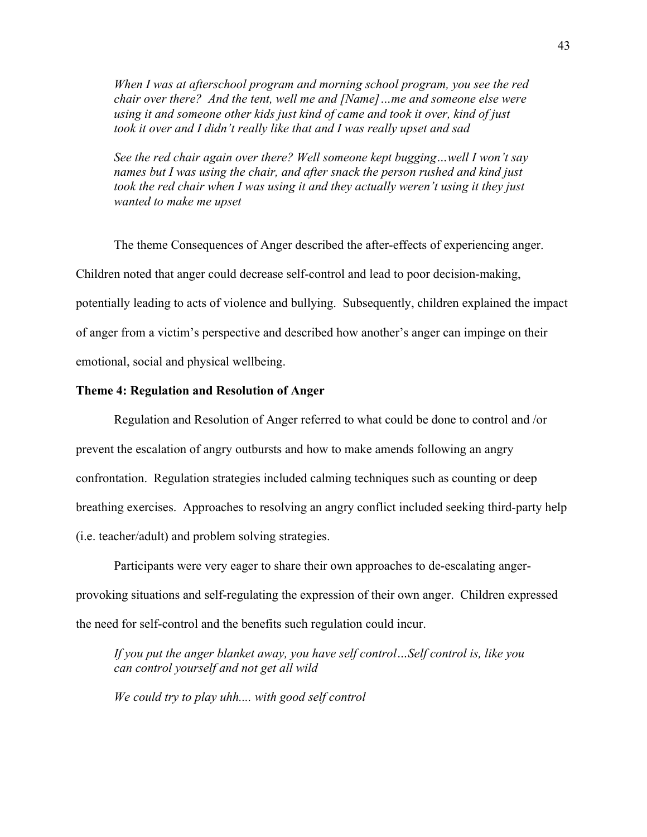*When I was at afterschool program and morning school program, you see the red chair over there? And the tent, well me and [Name]…me and someone else were using it and someone other kids just kind of came and took it over, kind of just took it over and I didn't really like that and I was really upset and sad*

*See the red chair again over there? Well someone kept bugging…well I won't say names but I was using the chair, and after snack the person rushed and kind just took the red chair when I was using it and they actually weren't using it they just wanted to make me upset*

The theme Consequences of Anger described the after-effects of experiencing anger. Children noted that anger could decrease self-control and lead to poor decision-making, potentially leading to acts of violence and bullying. Subsequently, children explained the impact of anger from a victim's perspective and described how another's anger can impinge on their emotional, social and physical wellbeing.

# **Theme 4: Regulation and Resolution of Anger**

Regulation and Resolution of Anger referred to what could be done to control and /or prevent the escalation of angry outbursts and how to make amends following an angry confrontation. Regulation strategies included calming techniques such as counting or deep breathing exercises. Approaches to resolving an angry conflict included seeking third-party help (i.e. teacher/adult) and problem solving strategies.

Participants were very eager to share their own approaches to de-escalating angerprovoking situations and self-regulating the expression of their own anger. Children expressed the need for self-control and the benefits such regulation could incur.

*If you put the anger blanket away, you have self control…Self control is, like you can control yourself and not get all wild* 

*We could try to play uhh.... with good self control*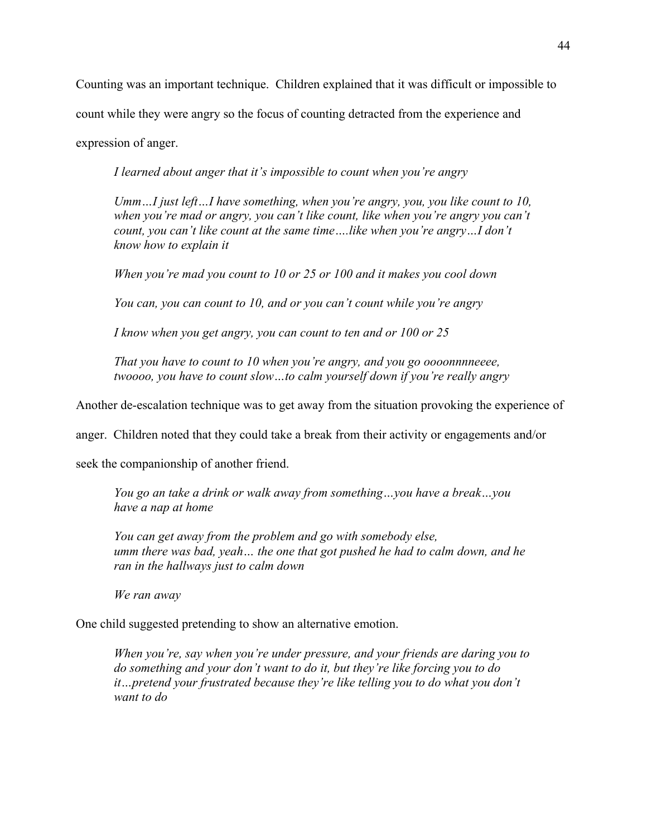Counting was an important technique. Children explained that it was difficult or impossible to

count while they were angry so the focus of counting detracted from the experience and

expression of anger.

*I learned about anger that it's impossible to count when you're angry*

*Umm…I just left…I have something, when you're angry, you, you like count to 10, when you're mad or angry, you can't like count, like when you're angry you can't count, you can't like count at the same time….like when you're angry…I don't know how to explain it*

*When you're mad you count to 10 or 25 or 100 and it makes you cool down* 

*You can, you can count to 10, and or you can't count while you're angry*

*I know when you get angry, you can count to ten and or 100 or 25*

*That you have to count to 10 when you're angry, and you go oooonnnneeee, twoooo, you have to count slow…to calm yourself down if you're really angry*

Another de-escalation technique was to get away from the situation provoking the experience of

anger. Children noted that they could take a break from their activity or engagements and/or

seek the companionship of another friend.

*You go an take a drink or walk away from something…you have a break…you have a nap at home*

*You can get away from the problem and go with somebody else, umm there was bad, yeah… the one that got pushed he had to calm down, and he ran in the hallways just to calm down*

*We ran away*

One child suggested pretending to show an alternative emotion.

*When you're, say when you're under pressure, and your friends are daring you to do something and your don't want to do it, but they're like forcing you to do it…pretend your frustrated because they're like telling you to do what you don't want to do*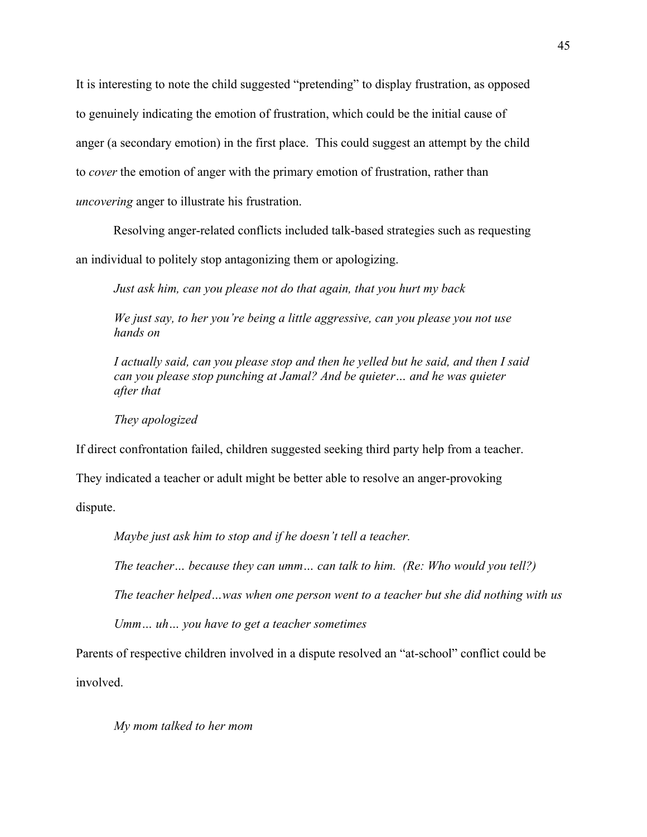It is interesting to note the child suggested "pretending" to display frustration, as opposed to genuinely indicating the emotion of frustration, which could be the initial cause of anger (a secondary emotion) in the first place. This could suggest an attempt by the child to *cover* the emotion of anger with the primary emotion of frustration, rather than *uncovering* anger to illustrate his frustration.

Resolving anger-related conflicts included talk-based strategies such as requesting an individual to politely stop antagonizing them or apologizing.

*Just ask him, can you please not do that again, that you hurt my back*

*We just say, to her you're being a little aggressive, can you please you not use hands on*

*I actually said, can you please stop and then he yelled but he said, and then I said can you please stop punching at Jamal? And be quieter… and he was quieter after that* 

*They apologized* 

If direct confrontation failed, children suggested seeking third party help from a teacher.

They indicated a teacher or adult might be better able to resolve an anger-provoking

dispute.

*Maybe just ask him to stop and if he doesn't tell a teacher.* 

*The teacher… because they can umm… can talk to him. (Re: Who would you tell?)*

*The teacher helped…was when one person went to a teacher but she did nothing with us* 

*Umm… uh… you have to get a teacher sometimes*

Parents of respective children involved in a dispute resolved an "at-school" conflict could be involved.

*My mom talked to her mom*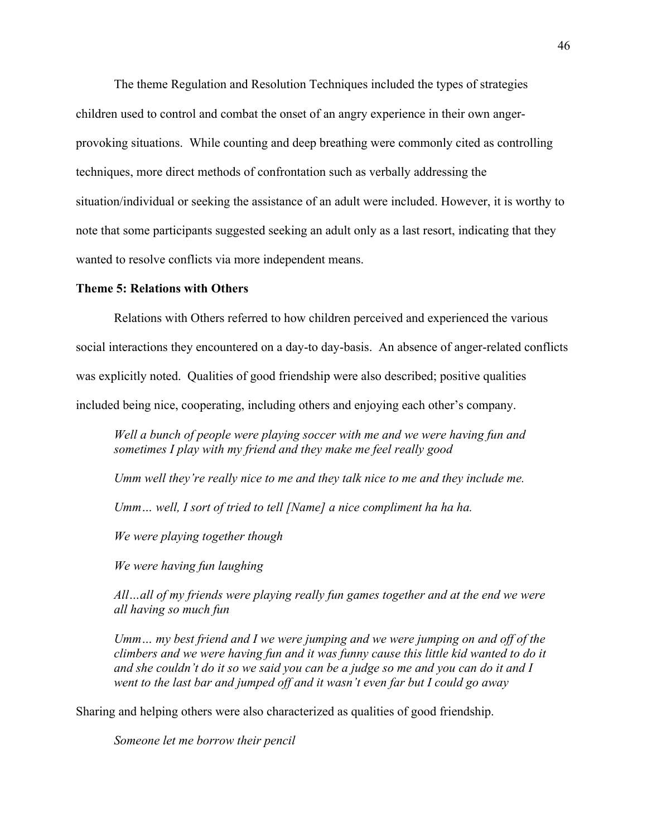The theme Regulation and Resolution Techniques included the types of strategies children used to control and combat the onset of an angry experience in their own angerprovoking situations. While counting and deep breathing were commonly cited as controlling techniques, more direct methods of confrontation such as verbally addressing the situation/individual or seeking the assistance of an adult were included. However, it is worthy to note that some participants suggested seeking an adult only as a last resort, indicating that they wanted to resolve conflicts via more independent means.

#### **Theme 5: Relations with Others**

Relations with Others referred to how children perceived and experienced the various social interactions they encountered on a day-to day-basis. An absence of anger-related conflicts was explicitly noted. Qualities of good friendship were also described; positive qualities included being nice, cooperating, including others and enjoying each other's company.

*Well a bunch of people were playing soccer with me and we were having fun and sometimes I play with my friend and they make me feel really good*

*Umm well they're really nice to me and they talk nice to me and they include me.*

*Umm… well, I sort of tried to tell [Name] a nice compliment ha ha ha.*

*We were playing together though*

*We were having fun laughing*

*All…all of my friends were playing really fun games together and at the end we were all having so much fun* 

*Umm… my best friend and I we were jumping and we were jumping on and off of the climbers and we were having fun and it was funny cause this little kid wanted to do it and she couldn't do it so we said you can be a judge so me and you can do it and I went to the last bar and jumped off and it wasn't even far but I could go away* 

Sharing and helping others were also characterized as qualities of good friendship.

*Someone let me borrow their pencil*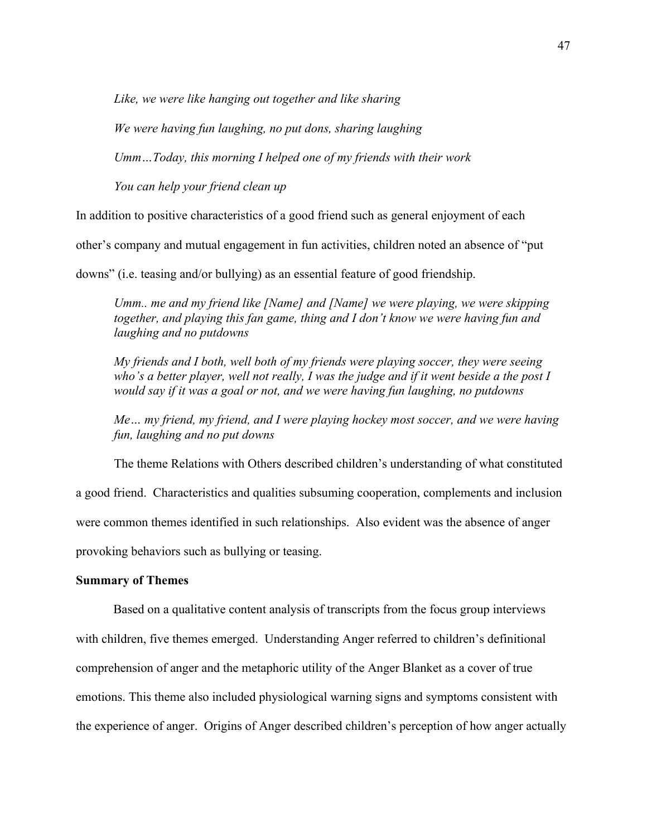*Like, we were like hanging out together and like sharing*

*We were having fun laughing, no put dons, sharing laughing*

*Umm…Today, this morning I helped one of my friends with their work*

*You can help your friend clean up* 

In addition to positive characteristics of a good friend such as general enjoyment of each

other's company and mutual engagement in fun activities, children noted an absence of "put

downs" (i.e. teasing and/or bullying) as an essential feature of good friendship.

*Umm.. me and my friend like [Name] and [Name] we were playing, we were skipping together, and playing this fan game, thing and I don't know we were having fun and laughing and no putdowns* 

*My friends and I both, well both of my friends were playing soccer, they were seeing who's a better player, well not really, I was the judge and if it went beside a the post I would say if it was a goal or not, and we were having fun laughing, no putdowns* 

*Me… my friend, my friend, and I were playing hockey most soccer, and we were having fun, laughing and no put downs*

The theme Relations with Others described children's understanding of what constituted a good friend. Characteristics and qualities subsuming cooperation, complements and inclusion were common themes identified in such relationships. Also evident was the absence of anger provoking behaviors such as bullying or teasing.

# **Summary of Themes**

Based on a qualitative content analysis of transcripts from the focus group interviews with children, five themes emerged. Understanding Anger referred to children's definitional comprehension of anger and the metaphoric utility of the Anger Blanket as a cover of true emotions. This theme also included physiological warning signs and symptoms consistent with the experience of anger. Origins of Anger described children's perception of how anger actually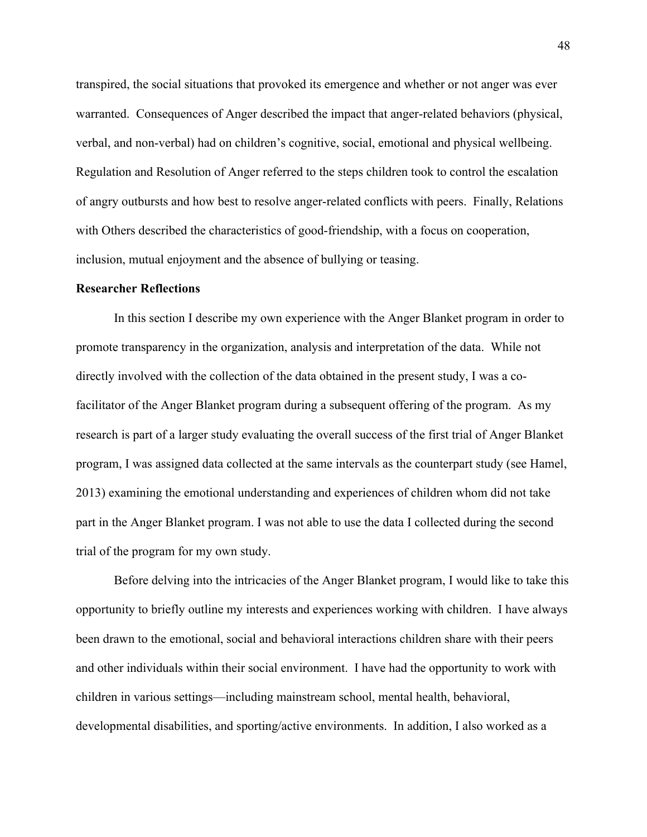transpired, the social situations that provoked its emergence and whether or not anger was ever warranted. Consequences of Anger described the impact that anger-related behaviors (physical, verbal, and non-verbal) had on children's cognitive, social, emotional and physical wellbeing. Regulation and Resolution of Anger referred to the steps children took to control the escalation of angry outbursts and how best to resolve anger-related conflicts with peers. Finally, Relations with Others described the characteristics of good-friendship, with a focus on cooperation, inclusion, mutual enjoyment and the absence of bullying or teasing.

#### **Researcher Reflections**

In this section I describe my own experience with the Anger Blanket program in order to promote transparency in the organization, analysis and interpretation of the data. While not directly involved with the collection of the data obtained in the present study, I was a cofacilitator of the Anger Blanket program during a subsequent offering of the program. As my research is part of a larger study evaluating the overall success of the first trial of Anger Blanket program, I was assigned data collected at the same intervals as the counterpart study (see Hamel, 2013) examining the emotional understanding and experiences of children whom did not take part in the Anger Blanket program. I was not able to use the data I collected during the second trial of the program for my own study.

Before delving into the intricacies of the Anger Blanket program, I would like to take this opportunity to briefly outline my interests and experiences working with children. I have always been drawn to the emotional, social and behavioral interactions children share with their peers and other individuals within their social environment. I have had the opportunity to work with children in various settings—including mainstream school, mental health, behavioral, developmental disabilities, and sporting/active environments. In addition, I also worked as a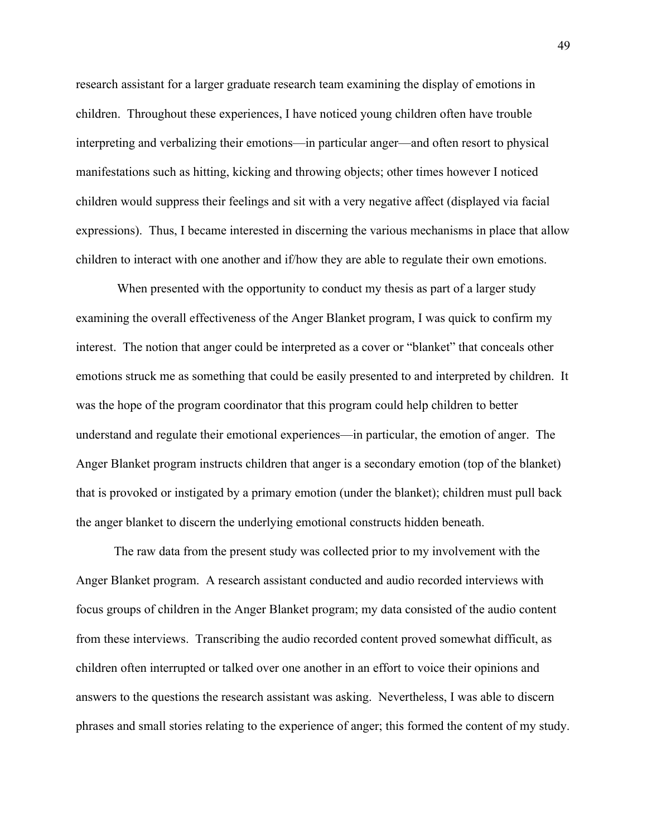research assistant for a larger graduate research team examining the display of emotions in children. Throughout these experiences, I have noticed young children often have trouble interpreting and verbalizing their emotions—in particular anger—and often resort to physical manifestations such as hitting, kicking and throwing objects; other times however I noticed children would suppress their feelings and sit with a very negative affect (displayed via facial expressions). Thus, I became interested in discerning the various mechanisms in place that allow children to interact with one another and if/how they are able to regulate their own emotions.

When presented with the opportunity to conduct my thesis as part of a larger study examining the overall effectiveness of the Anger Blanket program, I was quick to confirm my interest. The notion that anger could be interpreted as a cover or "blanket" that conceals other emotions struck me as something that could be easily presented to and interpreted by children. It was the hope of the program coordinator that this program could help children to better understand and regulate their emotional experiences—in particular, the emotion of anger. The Anger Blanket program instructs children that anger is a secondary emotion (top of the blanket) that is provoked or instigated by a primary emotion (under the blanket); children must pull back the anger blanket to discern the underlying emotional constructs hidden beneath.

The raw data from the present study was collected prior to my involvement with the Anger Blanket program. A research assistant conducted and audio recorded interviews with focus groups of children in the Anger Blanket program; my data consisted of the audio content from these interviews. Transcribing the audio recorded content proved somewhat difficult, as children often interrupted or talked over one another in an effort to voice their opinions and answers to the questions the research assistant was asking. Nevertheless, I was able to discern phrases and small stories relating to the experience of anger; this formed the content of my study.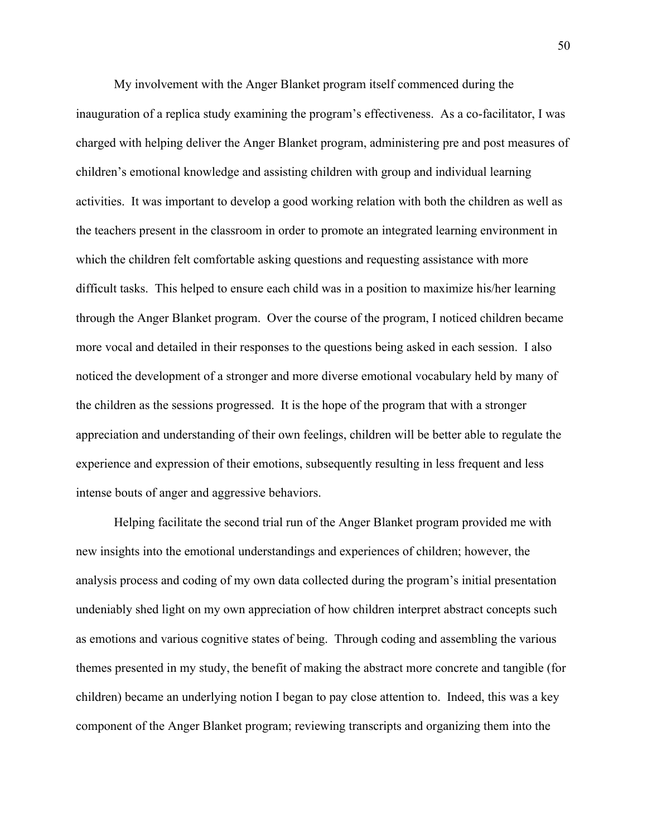My involvement with the Anger Blanket program itself commenced during the inauguration of a replica study examining the program's effectiveness. As a co-facilitator, I was charged with helping deliver the Anger Blanket program, administering pre and post measures of children's emotional knowledge and assisting children with group and individual learning activities. It was important to develop a good working relation with both the children as well as the teachers present in the classroom in order to promote an integrated learning environment in which the children felt comfortable asking questions and requesting assistance with more difficult tasks. This helped to ensure each child was in a position to maximize his/her learning through the Anger Blanket program. Over the course of the program, I noticed children became more vocal and detailed in their responses to the questions being asked in each session. I also noticed the development of a stronger and more diverse emotional vocabulary held by many of the children as the sessions progressed. It is the hope of the program that with a stronger appreciation and understanding of their own feelings, children will be better able to regulate the experience and expression of their emotions, subsequently resulting in less frequent and less intense bouts of anger and aggressive behaviors.

Helping facilitate the second trial run of the Anger Blanket program provided me with new insights into the emotional understandings and experiences of children; however, the analysis process and coding of my own data collected during the program's initial presentation undeniably shed light on my own appreciation of how children interpret abstract concepts such as emotions and various cognitive states of being. Through coding and assembling the various themes presented in my study, the benefit of making the abstract more concrete and tangible (for children) became an underlying notion I began to pay close attention to. Indeed, this was a key component of the Anger Blanket program; reviewing transcripts and organizing them into the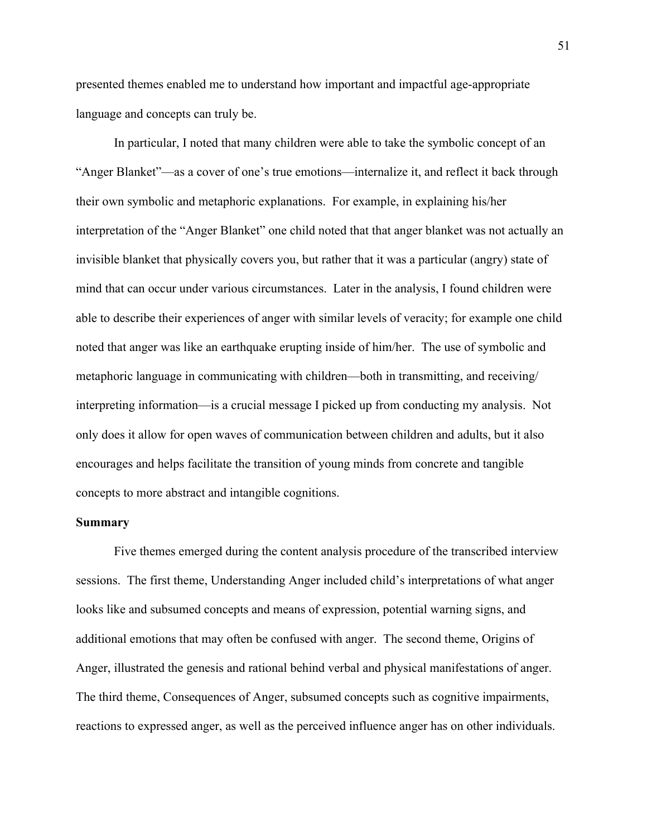presented themes enabled me to understand how important and impactful age-appropriate language and concepts can truly be.

In particular, I noted that many children were able to take the symbolic concept of an "Anger Blanket"—as a cover of one's true emotions—internalize it, and reflect it back through their own symbolic and metaphoric explanations. For example, in explaining his/her interpretation of the "Anger Blanket" one child noted that that anger blanket was not actually an invisible blanket that physically covers you, but rather that it was a particular (angry) state of mind that can occur under various circumstances. Later in the analysis, I found children were able to describe their experiences of anger with similar levels of veracity; for example one child noted that anger was like an earthquake erupting inside of him/her. The use of symbolic and metaphoric language in communicating with children—both in transmitting, and receiving/ interpreting information—is a crucial message I picked up from conducting my analysis. Not only does it allow for open waves of communication between children and adults, but it also encourages and helps facilitate the transition of young minds from concrete and tangible concepts to more abstract and intangible cognitions.

## **Summary**

Five themes emerged during the content analysis procedure of the transcribed interview sessions. The first theme, Understanding Anger included child's interpretations of what anger looks like and subsumed concepts and means of expression, potential warning signs, and additional emotions that may often be confused with anger. The second theme, Origins of Anger, illustrated the genesis and rational behind verbal and physical manifestations of anger. The third theme, Consequences of Anger, subsumed concepts such as cognitive impairments, reactions to expressed anger, as well as the perceived influence anger has on other individuals.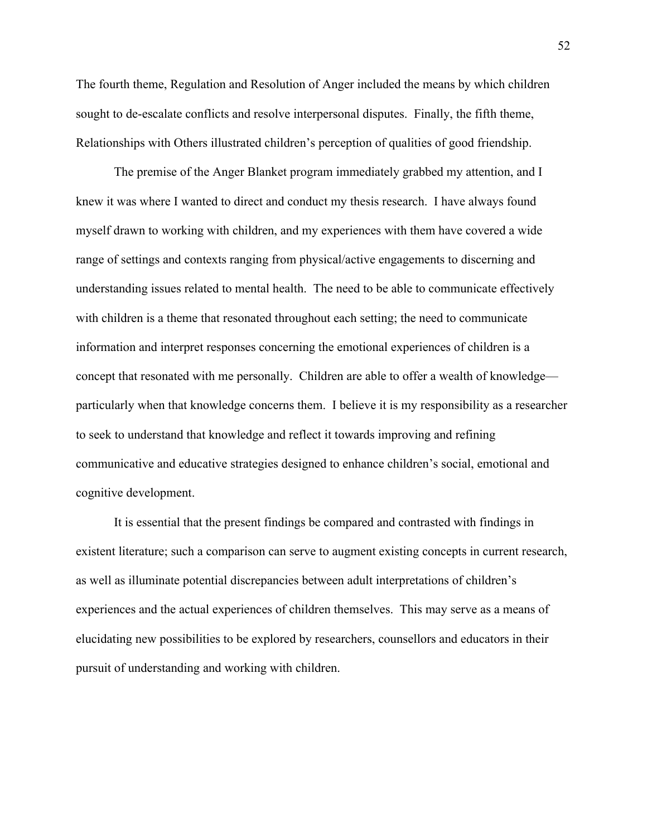The fourth theme, Regulation and Resolution of Anger included the means by which children sought to de-escalate conflicts and resolve interpersonal disputes. Finally, the fifth theme, Relationships with Others illustrated children's perception of qualities of good friendship.

The premise of the Anger Blanket program immediately grabbed my attention, and I knew it was where I wanted to direct and conduct my thesis research. I have always found myself drawn to working with children, and my experiences with them have covered a wide range of settings and contexts ranging from physical/active engagements to discerning and understanding issues related to mental health. The need to be able to communicate effectively with children is a theme that resonated throughout each setting; the need to communicate information and interpret responses concerning the emotional experiences of children is a concept that resonated with me personally. Children are able to offer a wealth of knowledge particularly when that knowledge concerns them. I believe it is my responsibility as a researcher to seek to understand that knowledge and reflect it towards improving and refining communicative and educative strategies designed to enhance children's social, emotional and cognitive development.

It is essential that the present findings be compared and contrasted with findings in existent literature; such a comparison can serve to augment existing concepts in current research, as well as illuminate potential discrepancies between adult interpretations of children's experiences and the actual experiences of children themselves. This may serve as a means of elucidating new possibilities to be explored by researchers, counsellors and educators in their pursuit of understanding and working with children.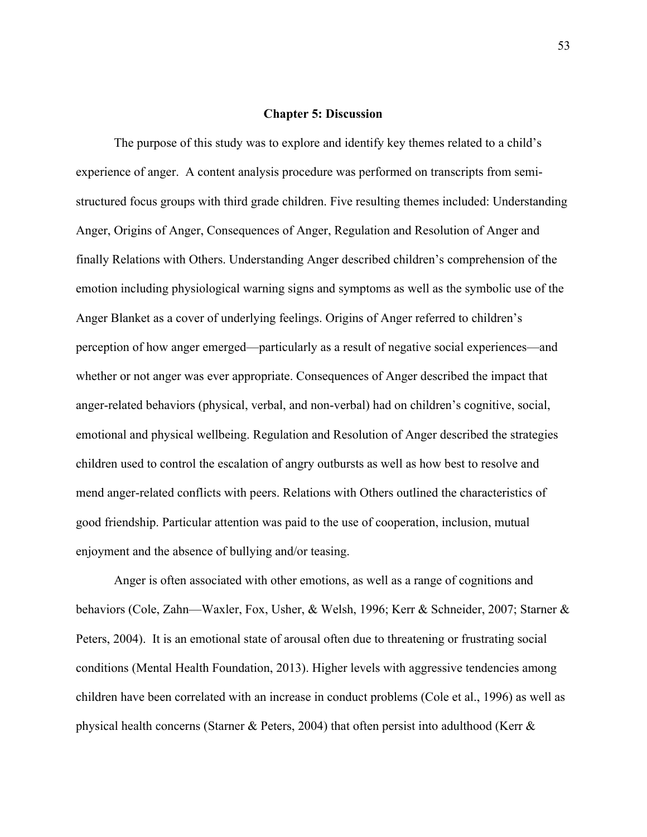#### **Chapter 5: Discussion**

The purpose of this study was to explore and identify key themes related to a child's experience of anger. A content analysis procedure was performed on transcripts from semistructured focus groups with third grade children. Five resulting themes included: Understanding Anger, Origins of Anger, Consequences of Anger, Regulation and Resolution of Anger and finally Relations with Others. Understanding Anger described children's comprehension of the emotion including physiological warning signs and symptoms as well as the symbolic use of the Anger Blanket as a cover of underlying feelings. Origins of Anger referred to children's perception of how anger emerged—particularly as a result of negative social experiences—and whether or not anger was ever appropriate. Consequences of Anger described the impact that anger-related behaviors (physical, verbal, and non-verbal) had on children's cognitive, social, emotional and physical wellbeing. Regulation and Resolution of Anger described the strategies children used to control the escalation of angry outbursts as well as how best to resolve and mend anger-related conflicts with peers. Relations with Others outlined the characteristics of good friendship. Particular attention was paid to the use of cooperation, inclusion, mutual enjoyment and the absence of bullying and/or teasing.

Anger is often associated with other emotions, as well as a range of cognitions and behaviors (Cole, Zahn—Waxler, Fox, Usher, & Welsh, 1996; Kerr & Schneider, 2007; Starner & Peters, 2004). It is an emotional state of arousal often due to threatening or frustrating social conditions (Mental Health Foundation, 2013). Higher levels with aggressive tendencies among children have been correlated with an increase in conduct problems (Cole et al., 1996) as well as physical health concerns (Starner & Peters, 2004) that often persist into adulthood (Kerr &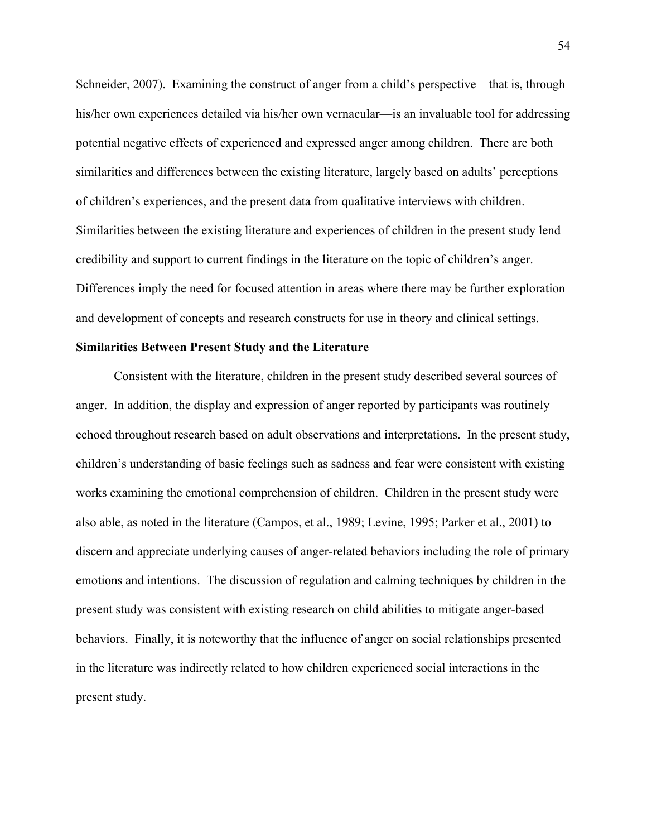Schneider, 2007). Examining the construct of anger from a child's perspective—that is, through his/her own experiences detailed via his/her own vernacular—is an invaluable tool for addressing potential negative effects of experienced and expressed anger among children. There are both similarities and differences between the existing literature, largely based on adults' perceptions of children's experiences, and the present data from qualitative interviews with children. Similarities between the existing literature and experiences of children in the present study lend credibility and support to current findings in the literature on the topic of children's anger. Differences imply the need for focused attention in areas where there may be further exploration and development of concepts and research constructs for use in theory and clinical settings.

# **Similarities Between Present Study and the Literature**

Consistent with the literature, children in the present study described several sources of anger. In addition, the display and expression of anger reported by participants was routinely echoed throughout research based on adult observations and interpretations. In the present study, children's understanding of basic feelings such as sadness and fear were consistent with existing works examining the emotional comprehension of children. Children in the present study were also able, as noted in the literature (Campos, et al., 1989; Levine, 1995; Parker et al., 2001) to discern and appreciate underlying causes of anger-related behaviors including the role of primary emotions and intentions. The discussion of regulation and calming techniques by children in the present study was consistent with existing research on child abilities to mitigate anger-based behaviors. Finally, it is noteworthy that the influence of anger on social relationships presented in the literature was indirectly related to how children experienced social interactions in the present study.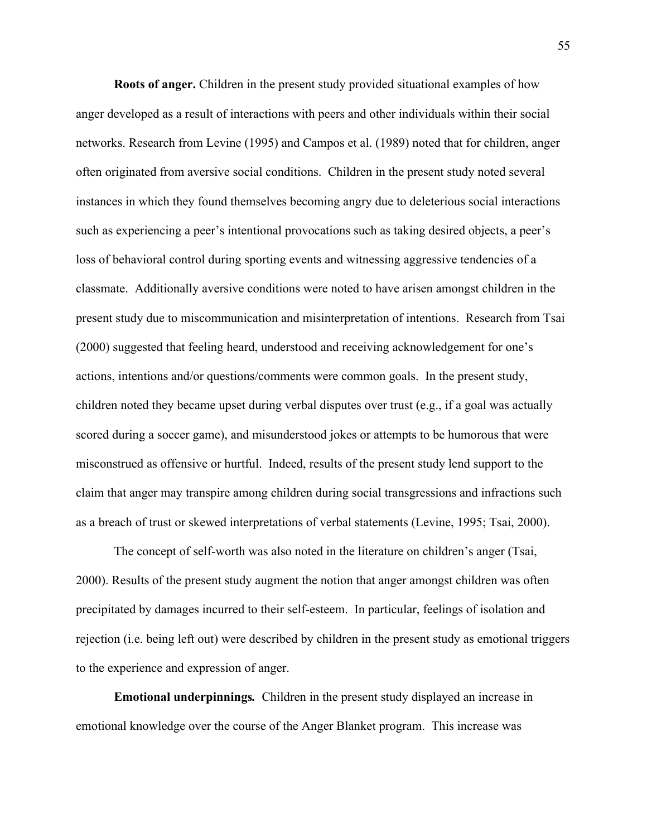**Roots of anger.** Children in the present study provided situational examples of how anger developed as a result of interactions with peers and other individuals within their social networks. Research from Levine (1995) and Campos et al. (1989) noted that for children, anger often originated from aversive social conditions. Children in the present study noted several instances in which they found themselves becoming angry due to deleterious social interactions such as experiencing a peer's intentional provocations such as taking desired objects, a peer's loss of behavioral control during sporting events and witnessing aggressive tendencies of a classmate. Additionally aversive conditions were noted to have arisen amongst children in the present study due to miscommunication and misinterpretation of intentions. Research from Tsai (2000) suggested that feeling heard, understood and receiving acknowledgement for one's actions, intentions and/or questions/comments were common goals. In the present study, children noted they became upset during verbal disputes over trust (e.g., if a goal was actually scored during a soccer game), and misunderstood jokes or attempts to be humorous that were misconstrued as offensive or hurtful. Indeed, results of the present study lend support to the claim that anger may transpire among children during social transgressions and infractions such as a breach of trust or skewed interpretations of verbal statements (Levine, 1995; Tsai, 2000).

The concept of self-worth was also noted in the literature on children's anger (Tsai, 2000). Results of the present study augment the notion that anger amongst children was often precipitated by damages incurred to their self-esteem. In particular, feelings of isolation and rejection (i.e. being left out) were described by children in the present study as emotional triggers to the experience and expression of anger.

**Emotional underpinnings***.* Children in the present study displayed an increase in emotional knowledge over the course of the Anger Blanket program. This increase was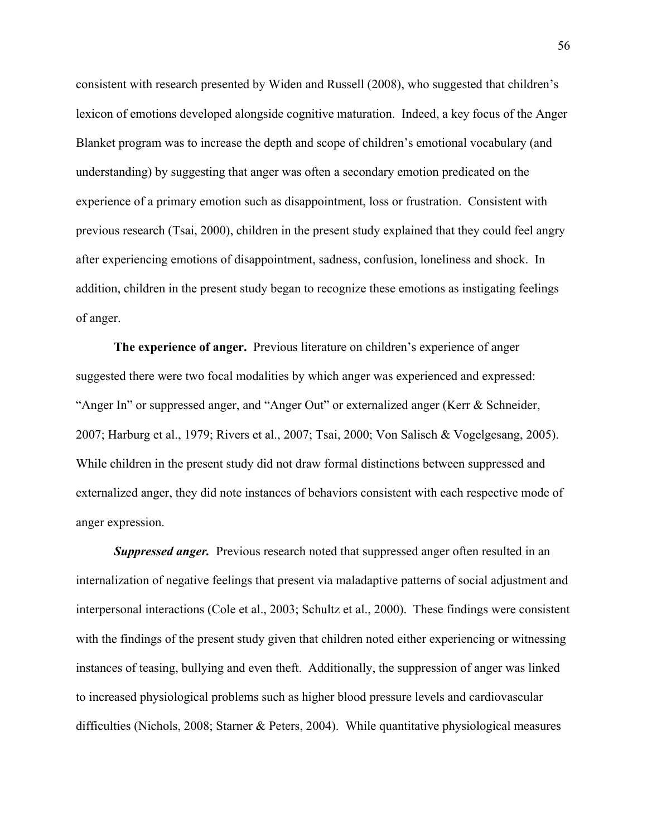consistent with research presented by Widen and Russell (2008), who suggested that children's lexicon of emotions developed alongside cognitive maturation. Indeed, a key focus of the Anger Blanket program was to increase the depth and scope of children's emotional vocabulary (and understanding) by suggesting that anger was often a secondary emotion predicated on the experience of a primary emotion such as disappointment, loss or frustration. Consistent with previous research (Tsai, 2000), children in the present study explained that they could feel angry after experiencing emotions of disappointment, sadness, confusion, loneliness and shock. In addition, children in the present study began to recognize these emotions as instigating feelings of anger.

**The experience of anger.** Previous literature on children's experience of anger suggested there were two focal modalities by which anger was experienced and expressed: "Anger In" or suppressed anger, and "Anger Out" or externalized anger (Kerr & Schneider, 2007; Harburg et al., 1979; Rivers et al., 2007; Tsai, 2000; Von Salisch & Vogelgesang, 2005). While children in the present study did not draw formal distinctions between suppressed and externalized anger, they did note instances of behaviors consistent with each respective mode of anger expression.

**Suppressed anger.** Previous research noted that suppressed anger often resulted in an internalization of negative feelings that present via maladaptive patterns of social adjustment and interpersonal interactions (Cole et al., 2003; Schultz et al., 2000). These findings were consistent with the findings of the present study given that children noted either experiencing or witnessing instances of teasing, bullying and even theft. Additionally, the suppression of anger was linked to increased physiological problems such as higher blood pressure levels and cardiovascular difficulties (Nichols, 2008; Starner & Peters, 2004). While quantitative physiological measures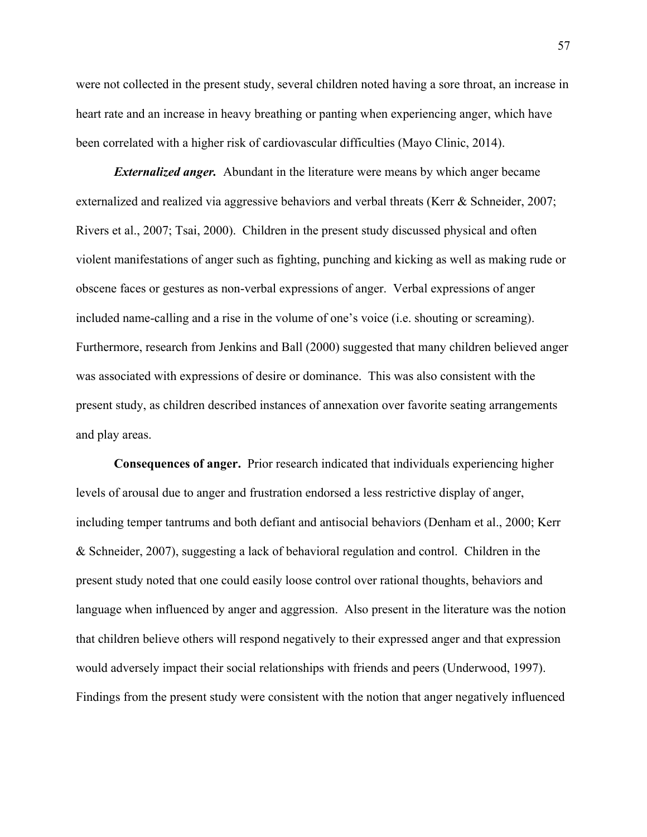were not collected in the present study, several children noted having a sore throat, an increase in heart rate and an increase in heavy breathing or panting when experiencing anger, which have been correlated with a higher risk of cardiovascular difficulties (Mayo Clinic, 2014).

*Externalized anger.* Abundant in the literature were means by which anger became externalized and realized via aggressive behaviors and verbal threats (Kerr & Schneider, 2007; Rivers et al., 2007; Tsai, 2000). Children in the present study discussed physical and often violent manifestations of anger such as fighting, punching and kicking as well as making rude or obscene faces or gestures as non-verbal expressions of anger. Verbal expressions of anger included name-calling and a rise in the volume of one's voice (i.e. shouting or screaming). Furthermore, research from Jenkins and Ball (2000) suggested that many children believed anger was associated with expressions of desire or dominance. This was also consistent with the present study, as children described instances of annexation over favorite seating arrangements and play areas.

**Consequences of anger.** Prior research indicated that individuals experiencing higher levels of arousal due to anger and frustration endorsed a less restrictive display of anger, including temper tantrums and both defiant and antisocial behaviors (Denham et al., 2000; Kerr & Schneider, 2007), suggesting a lack of behavioral regulation and control. Children in the present study noted that one could easily loose control over rational thoughts, behaviors and language when influenced by anger and aggression. Also present in the literature was the notion that children believe others will respond negatively to their expressed anger and that expression would adversely impact their social relationships with friends and peers (Underwood, 1997). Findings from the present study were consistent with the notion that anger negatively influenced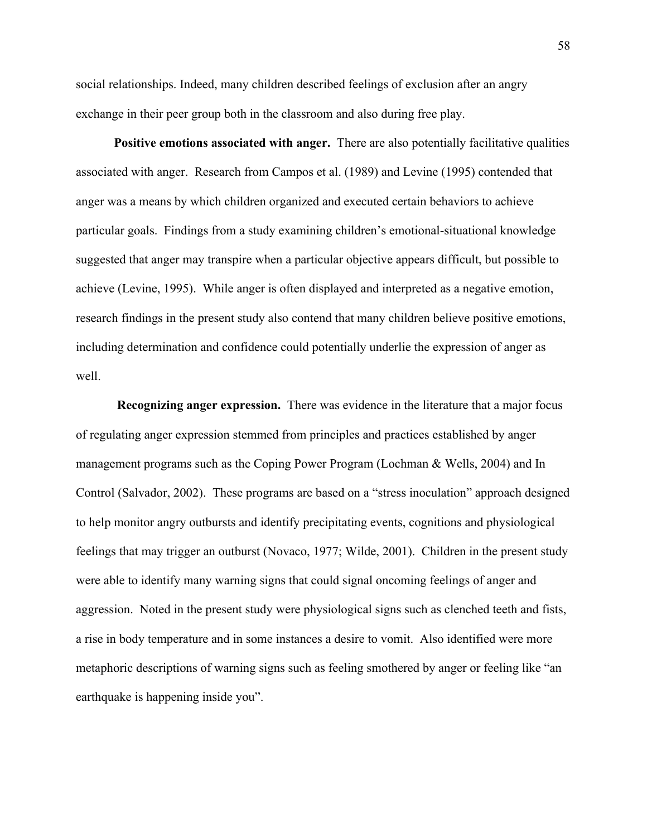social relationships. Indeed, many children described feelings of exclusion after an angry exchange in their peer group both in the classroom and also during free play.

**Positive emotions associated with anger.** There are also potentially facilitative qualities associated with anger. Research from Campos et al. (1989) and Levine (1995) contended that anger was a means by which children organized and executed certain behaviors to achieve particular goals. Findings from a study examining children's emotional-situational knowledge suggested that anger may transpire when a particular objective appears difficult, but possible to achieve (Levine, 1995). While anger is often displayed and interpreted as a negative emotion, research findings in the present study also contend that many children believe positive emotions, including determination and confidence could potentially underlie the expression of anger as well.

**Recognizing anger expression.** There was evidence in the literature that a major focus of regulating anger expression stemmed from principles and practices established by anger management programs such as the Coping Power Program (Lochman & Wells, 2004) and In Control (Salvador, 2002). These programs are based on a "stress inoculation" approach designed to help monitor angry outbursts and identify precipitating events, cognitions and physiological feelings that may trigger an outburst (Novaco, 1977; Wilde, 2001). Children in the present study were able to identify many warning signs that could signal oncoming feelings of anger and aggression. Noted in the present study were physiological signs such as clenched teeth and fists, a rise in body temperature and in some instances a desire to vomit. Also identified were more metaphoric descriptions of warning signs such as feeling smothered by anger or feeling like "an earthquake is happening inside you".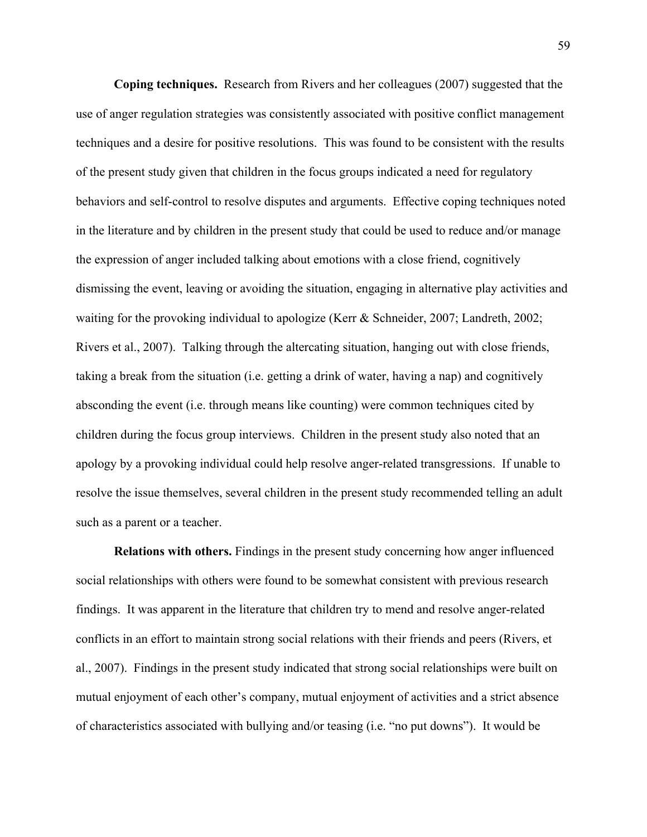**Coping techniques.** Research from Rivers and her colleagues (2007) suggested that the use of anger regulation strategies was consistently associated with positive conflict management techniques and a desire for positive resolutions. This was found to be consistent with the results of the present study given that children in the focus groups indicated a need for regulatory behaviors and self-control to resolve disputes and arguments. Effective coping techniques noted in the literature and by children in the present study that could be used to reduce and/or manage the expression of anger included talking about emotions with a close friend, cognitively dismissing the event, leaving or avoiding the situation, engaging in alternative play activities and waiting for the provoking individual to apologize (Kerr & Schneider, 2007; Landreth, 2002; Rivers et al., 2007). Talking through the altercating situation, hanging out with close friends, taking a break from the situation (i.e. getting a drink of water, having a nap) and cognitively absconding the event (i.e. through means like counting) were common techniques cited by children during the focus group interviews. Children in the present study also noted that an apology by a provoking individual could help resolve anger-related transgressions. If unable to resolve the issue themselves, several children in the present study recommended telling an adult such as a parent or a teacher.

**Relations with others.** Findings in the present study concerning how anger influenced social relationships with others were found to be somewhat consistent with previous research findings. It was apparent in the literature that children try to mend and resolve anger-related conflicts in an effort to maintain strong social relations with their friends and peers (Rivers, et al., 2007). Findings in the present study indicated that strong social relationships were built on mutual enjoyment of each other's company, mutual enjoyment of activities and a strict absence of characteristics associated with bullying and/or teasing (i.e. "no put downs"). It would be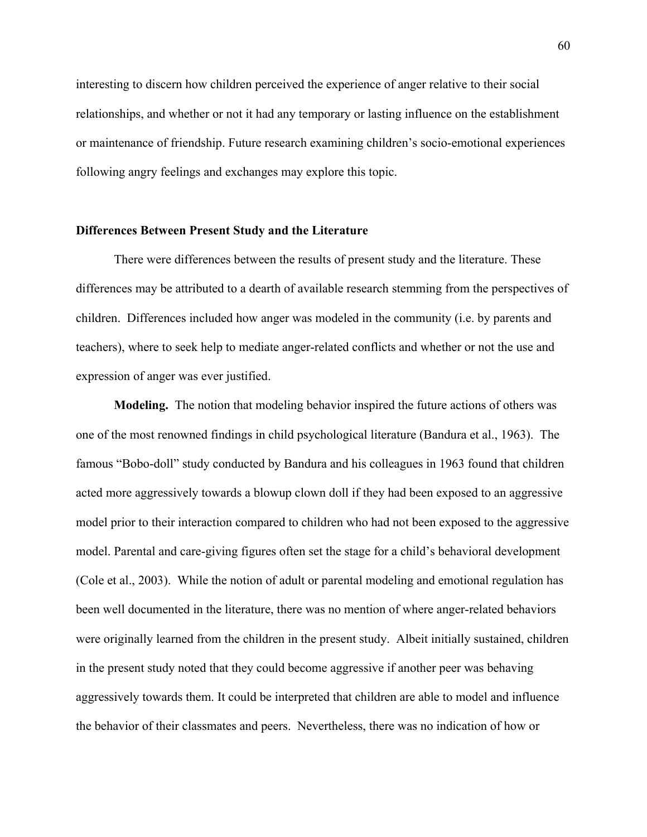interesting to discern how children perceived the experience of anger relative to their social relationships, and whether or not it had any temporary or lasting influence on the establishment or maintenance of friendship. Future research examining children's socio-emotional experiences following angry feelings and exchanges may explore this topic.

### **Differences Between Present Study and the Literature**

There were differences between the results of present study and the literature. These differences may be attributed to a dearth of available research stemming from the perspectives of children. Differences included how anger was modeled in the community (i.e. by parents and teachers), where to seek help to mediate anger-related conflicts and whether or not the use and expression of anger was ever justified.

**Modeling.** The notion that modeling behavior inspired the future actions of others was one of the most renowned findings in child psychological literature (Bandura et al., 1963). The famous "Bobo-doll" study conducted by Bandura and his colleagues in 1963 found that children acted more aggressively towards a blowup clown doll if they had been exposed to an aggressive model prior to their interaction compared to children who had not been exposed to the aggressive model. Parental and care-giving figures often set the stage for a child's behavioral development (Cole et al., 2003). While the notion of adult or parental modeling and emotional regulation has been well documented in the literature, there was no mention of where anger-related behaviors were originally learned from the children in the present study. Albeit initially sustained, children in the present study noted that they could become aggressive if another peer was behaving aggressively towards them. It could be interpreted that children are able to model and influence the behavior of their classmates and peers. Nevertheless, there was no indication of how or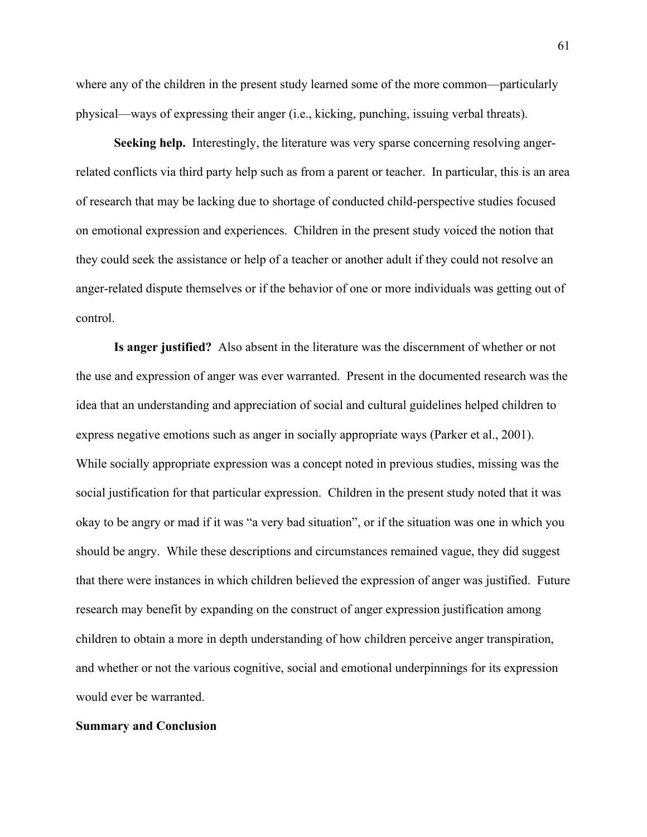where any of the children in the present study learned some of the more common—particularly physical—ways of expressing their anger (i.e., kicking, punching, issuing verbal threats).

**Seeking help.** Interestingly, the literature was very sparse concerning resolving angerrelated conflicts via third party help such as from a parent or teacher. In particular, this is an area of research that may be lacking due to shortage of conducted child-perspective studies focused on emotional expression and experiences. Children in the present study voiced the notion that they could seek the assistance or help of a teacher or another adult if they could not resolve an anger-related dispute themselves or if the behavior of one or more individuals was getting out of control.

**Is anger justified?** Also absent in the literature was the discernment of whether or not the use and expression of anger was ever warranted. Present in the documented research was the idea that an understanding and appreciation of social and cultural guidelines helped children to express negative emotions such as anger in socially appropriate ways (Parker et al., 2001). While socially appropriate expression was a concept noted in previous studies, missing was the social justification for that particular expression. Children in the present study noted that it was okay to be angry or mad if it was "a very bad situation", or if the situation was one in which you should be angry. While these descriptions and circumstances remained vague, they did suggest that there were instances in which children believed the expression of anger was justified. Future research may benefit by expanding on the construct of anger expression justification among children to obtain a more in depth understanding of how children perceive anger transpiration, and whether or not the various cognitive, social and emotional underpinnings for its expression would ever be warranted.

# **Summary and Conclusion**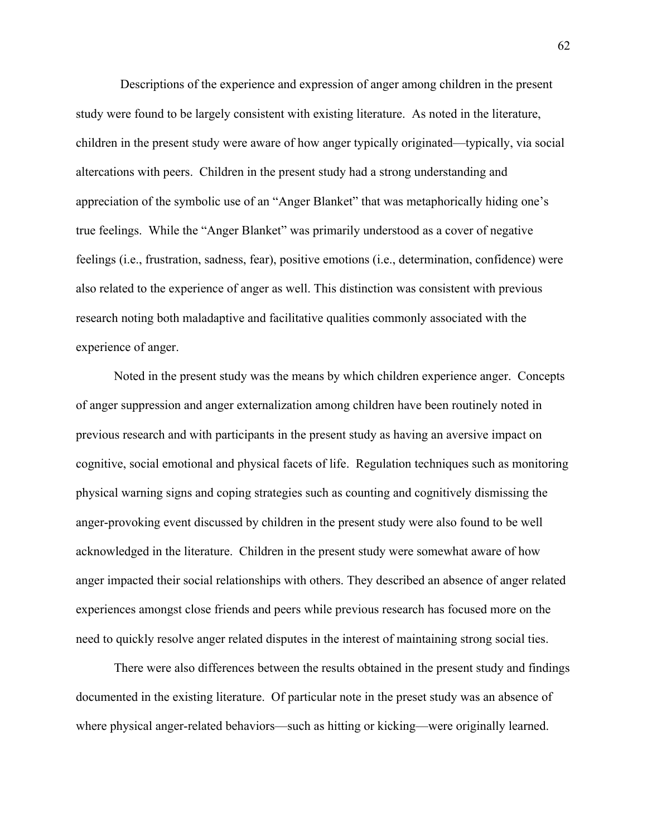Descriptions of the experience and expression of anger among children in the present study were found to be largely consistent with existing literature. As noted in the literature, children in the present study were aware of how anger typically originated—typically, via social altercations with peers. Children in the present study had a strong understanding and appreciation of the symbolic use of an "Anger Blanket" that was metaphorically hiding one's true feelings. While the "Anger Blanket" was primarily understood as a cover of negative feelings (i.e., frustration, sadness, fear), positive emotions (i.e., determination, confidence) were also related to the experience of anger as well. This distinction was consistent with previous research noting both maladaptive and facilitative qualities commonly associated with the experience of anger.

Noted in the present study was the means by which children experience anger. Concepts of anger suppression and anger externalization among children have been routinely noted in previous research and with participants in the present study as having an aversive impact on cognitive, social emotional and physical facets of life. Regulation techniques such as monitoring physical warning signs and coping strategies such as counting and cognitively dismissing the anger-provoking event discussed by children in the present study were also found to be well acknowledged in the literature. Children in the present study were somewhat aware of how anger impacted their social relationships with others. They described an absence of anger related experiences amongst close friends and peers while previous research has focused more on the need to quickly resolve anger related disputes in the interest of maintaining strong social ties.

There were also differences between the results obtained in the present study and findings documented in the existing literature. Of particular note in the preset study was an absence of where physical anger-related behaviors—such as hitting or kicking—were originally learned.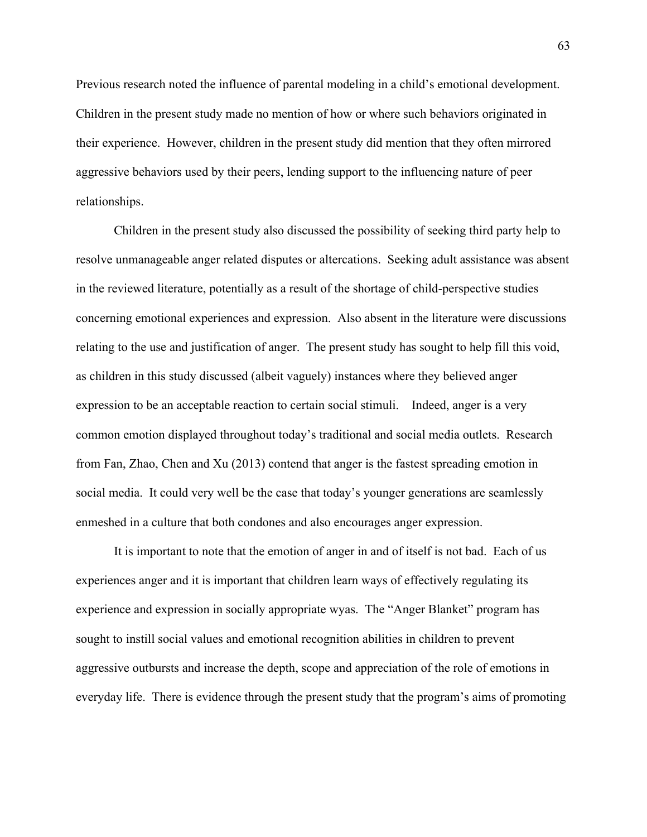Previous research noted the influence of parental modeling in a child's emotional development. Children in the present study made no mention of how or where such behaviors originated in their experience. However, children in the present study did mention that they often mirrored aggressive behaviors used by their peers, lending support to the influencing nature of peer relationships.

Children in the present study also discussed the possibility of seeking third party help to resolve unmanageable anger related disputes or altercations. Seeking adult assistance was absent in the reviewed literature, potentially as a result of the shortage of child-perspective studies concerning emotional experiences and expression. Also absent in the literature were discussions relating to the use and justification of anger. The present study has sought to help fill this void, as children in this study discussed (albeit vaguely) instances where they believed anger expression to be an acceptable reaction to certain social stimuli. Indeed, anger is a very common emotion displayed throughout today's traditional and social media outlets. Research from Fan, Zhao, Chen and Xu (2013) contend that anger is the fastest spreading emotion in social media. It could very well be the case that today's younger generations are seamlessly enmeshed in a culture that both condones and also encourages anger expression.

It is important to note that the emotion of anger in and of itself is not bad. Each of us experiences anger and it is important that children learn ways of effectively regulating its experience and expression in socially appropriate wyas. The "Anger Blanket" program has sought to instill social values and emotional recognition abilities in children to prevent aggressive outbursts and increase the depth, scope and appreciation of the role of emotions in everyday life. There is evidence through the present study that the program's aims of promoting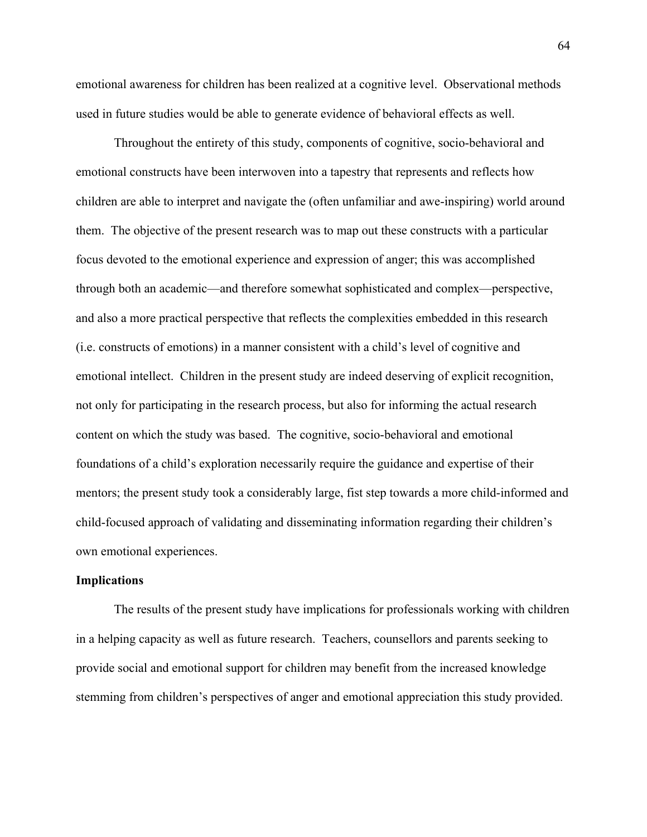emotional awareness for children has been realized at a cognitive level. Observational methods used in future studies would be able to generate evidence of behavioral effects as well.

Throughout the entirety of this study, components of cognitive, socio-behavioral and emotional constructs have been interwoven into a tapestry that represents and reflects how children are able to interpret and navigate the (often unfamiliar and awe-inspiring) world around them. The objective of the present research was to map out these constructs with a particular focus devoted to the emotional experience and expression of anger; this was accomplished through both an academic—and therefore somewhat sophisticated and complex—perspective, and also a more practical perspective that reflects the complexities embedded in this research (i.e. constructs of emotions) in a manner consistent with a child's level of cognitive and emotional intellect. Children in the present study are indeed deserving of explicit recognition, not only for participating in the research process, but also for informing the actual research content on which the study was based. The cognitive, socio-behavioral and emotional foundations of a child's exploration necessarily require the guidance and expertise of their mentors; the present study took a considerably large, fist step towards a more child-informed and child-focused approach of validating and disseminating information regarding their children's own emotional experiences.

# **Implications**

The results of the present study have implications for professionals working with children in a helping capacity as well as future research. Teachers, counsellors and parents seeking to provide social and emotional support for children may benefit from the increased knowledge stemming from children's perspectives of anger and emotional appreciation this study provided.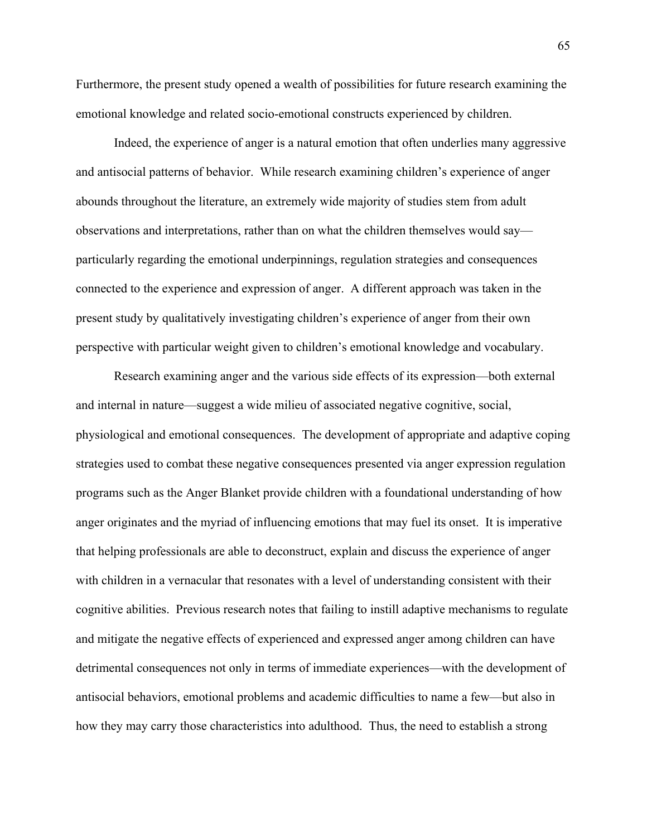Furthermore, the present study opened a wealth of possibilities for future research examining the emotional knowledge and related socio-emotional constructs experienced by children.

Indeed, the experience of anger is a natural emotion that often underlies many aggressive and antisocial patterns of behavior. While research examining children's experience of anger abounds throughout the literature, an extremely wide majority of studies stem from adult observations and interpretations, rather than on what the children themselves would say particularly regarding the emotional underpinnings, regulation strategies and consequences connected to the experience and expression of anger. A different approach was taken in the present study by qualitatively investigating children's experience of anger from their own perspective with particular weight given to children's emotional knowledge and vocabulary.

Research examining anger and the various side effects of its expression—both external and internal in nature—suggest a wide milieu of associated negative cognitive, social, physiological and emotional consequences. The development of appropriate and adaptive coping strategies used to combat these negative consequences presented via anger expression regulation programs such as the Anger Blanket provide children with a foundational understanding of how anger originates and the myriad of influencing emotions that may fuel its onset. It is imperative that helping professionals are able to deconstruct, explain and discuss the experience of anger with children in a vernacular that resonates with a level of understanding consistent with their cognitive abilities. Previous research notes that failing to instill adaptive mechanisms to regulate and mitigate the negative effects of experienced and expressed anger among children can have detrimental consequences not only in terms of immediate experiences—with the development of antisocial behaviors, emotional problems and academic difficulties to name a few—but also in how they may carry those characteristics into adulthood. Thus, the need to establish a strong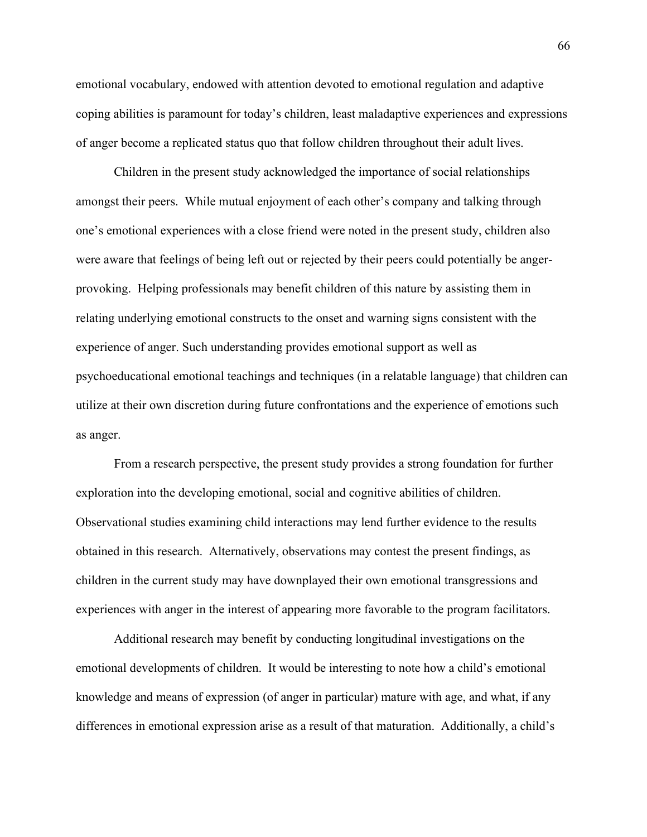emotional vocabulary, endowed with attention devoted to emotional regulation and adaptive coping abilities is paramount for today's children, least maladaptive experiences and expressions of anger become a replicated status quo that follow children throughout their adult lives.

Children in the present study acknowledged the importance of social relationships amongst their peers. While mutual enjoyment of each other's company and talking through one's emotional experiences with a close friend were noted in the present study, children also were aware that feelings of being left out or rejected by their peers could potentially be angerprovoking. Helping professionals may benefit children of this nature by assisting them in relating underlying emotional constructs to the onset and warning signs consistent with the experience of anger. Such understanding provides emotional support as well as psychoeducational emotional teachings and techniques (in a relatable language) that children can utilize at their own discretion during future confrontations and the experience of emotions such as anger.

From a research perspective, the present study provides a strong foundation for further exploration into the developing emotional, social and cognitive abilities of children. Observational studies examining child interactions may lend further evidence to the results obtained in this research. Alternatively, observations may contest the present findings, as children in the current study may have downplayed their own emotional transgressions and experiences with anger in the interest of appearing more favorable to the program facilitators.

Additional research may benefit by conducting longitudinal investigations on the emotional developments of children. It would be interesting to note how a child's emotional knowledge and means of expression (of anger in particular) mature with age, and what, if any differences in emotional expression arise as a result of that maturation. Additionally, a child's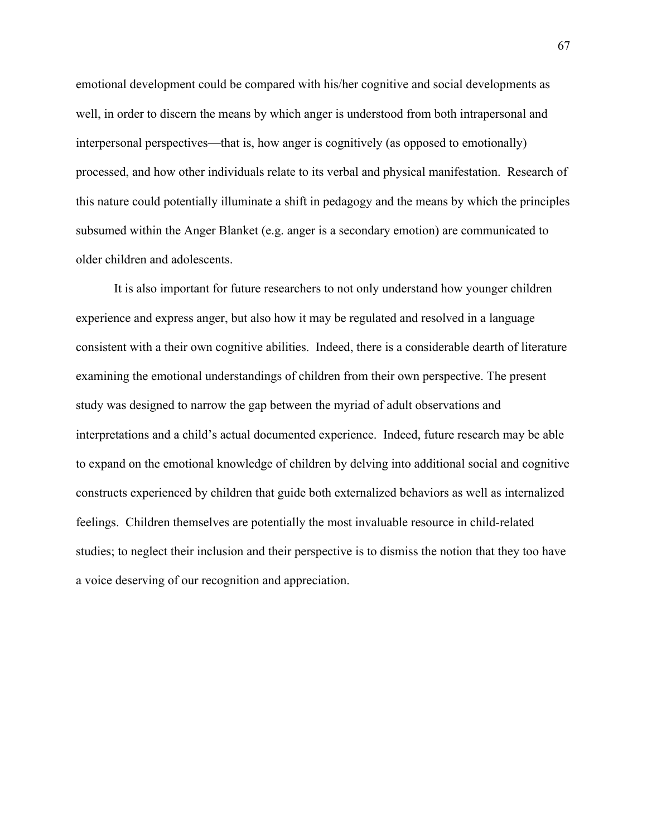emotional development could be compared with his/her cognitive and social developments as well, in order to discern the means by which anger is understood from both intrapersonal and interpersonal perspectives—that is, how anger is cognitively (as opposed to emotionally) processed, and how other individuals relate to its verbal and physical manifestation. Research of this nature could potentially illuminate a shift in pedagogy and the means by which the principles subsumed within the Anger Blanket (e.g. anger is a secondary emotion) are communicated to older children and adolescents.

It is also important for future researchers to not only understand how younger children experience and express anger, but also how it may be regulated and resolved in a language consistent with a their own cognitive abilities. Indeed, there is a considerable dearth of literature examining the emotional understandings of children from their own perspective. The present study was designed to narrow the gap between the myriad of adult observations and interpretations and a child's actual documented experience. Indeed, future research may be able to expand on the emotional knowledge of children by delving into additional social and cognitive constructs experienced by children that guide both externalized behaviors as well as internalized feelings. Children themselves are potentially the most invaluable resource in child-related studies; to neglect their inclusion and their perspective is to dismiss the notion that they too have a voice deserving of our recognition and appreciation.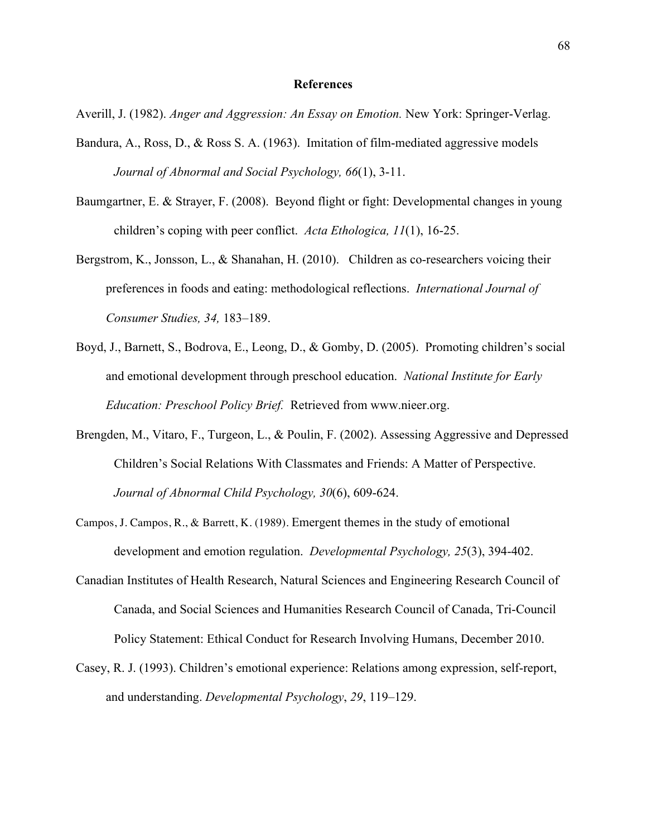#### **References**

Averill, J. (1982). *Anger and Aggression: An Essay on Emotion.* New York: Springer-Verlag.

- Bandura, A., Ross, D., & Ross S. A. (1963). Imitation of film-mediated aggressive models *Journal of Abnormal and Social Psychology, 66*(1), 3-11.
- Baumgartner, E. & Strayer, F. (2008). Beyond flight or fight: Developmental changes in young children's coping with peer conflict. *Acta Ethologica, 11*(1), 16-25.
- Bergstrom, K., Jonsson, L., & Shanahan, H. (2010). Children as co-researchers voicing their preferences in foods and eating: methodological reflections. *International Journal of Consumer Studies, 34,* 183–189.
- Boyd, J., Barnett, S., Bodrova, E., Leong, D., & Gomby, D. (2005). Promoting children's social and emotional development through preschool education. *National Institute for Early Education: Preschool Policy Brief.* Retrieved from www.nieer.org.
- Brengden, M., Vitaro, F., Turgeon, L., & Poulin, F. (2002). Assessing Aggressive and Depressed Children's Social Relations With Classmates and Friends: A Matter of Perspective. *Journal of Abnormal Child Psychology, 30*(6), 609-624.
- Campos, J. Campos, R., & Barrett, K. (1989). Emergent themes in the study of emotional development and emotion regulation. *Developmental Psychology, 25*(3), 394-402.
- Canadian Institutes of Health Research, Natural Sciences and Engineering Research Council of Canada, and Social Sciences and Humanities Research Council of Canada, Tri-Council Policy Statement: Ethical Conduct for Research Involving Humans, December 2010.
- Casey, R. J. (1993). Children's emotional experience: Relations among expression, self-report, and understanding. *Developmental Psychology*, *29*, 119–129.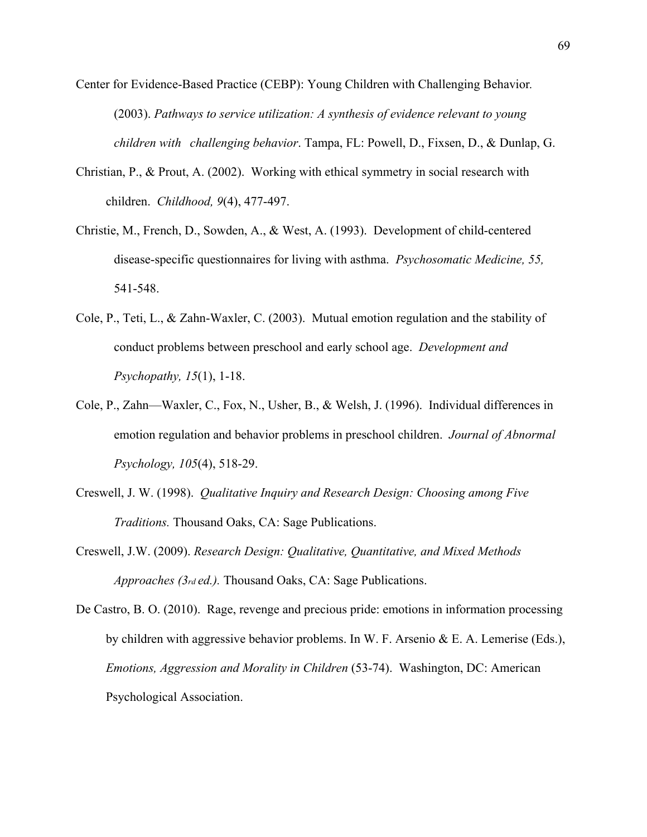- Center for Evidence-Based Practice (CEBP): Young Children with Challenging Behavior*.* (2003). *Pathways to service utilization: A synthesis of evidence relevant to young children with challenging behavior*. Tampa, FL: Powell, D., Fixsen, D., & Dunlap, G.
- Christian, P., & Prout, A. (2002). Working with ethical symmetry in social research with children. *Childhood, 9*(4), 477-497.
- Christie, M., French, D., Sowden, A., & West, A. (1993). Development of child-centered disease-specific questionnaires for living with asthma. *Psychosomatic Medicine, 55,*  541-548.
- Cole, P., Teti, L., & Zahn-Waxler, C. (2003). Mutual emotion regulation and the stability of conduct problems between preschool and early school age. *Development and Psychopathy, 15*(1), 1-18.
- Cole, P., Zahn—Waxler, C., Fox, N., Usher, B., & Welsh, J. (1996). Individual differences in emotion regulation and behavior problems in preschool children. *Journal of Abnormal Psychology, 105*(4), 518-29.
- Creswell, J. W. (1998). *Qualitative Inquiry and Research Design: Choosing among Five Traditions.* Thousand Oaks, CA: Sage Publications.
- Creswell, J.W. (2009). *Research Design: Qualitative, Quantitative, and Mixed Methods Approaches (3rd ed.).* Thousand Oaks, CA: Sage Publications.

De Castro, B. O. (2010). Rage, revenge and precious pride: emotions in information processing by children with aggressive behavior problems. In W. F. Arsenio & E. A. Lemerise (Eds.), *Emotions, Aggression and Morality in Children* (53-74). Washington, DC: American Psychological Association.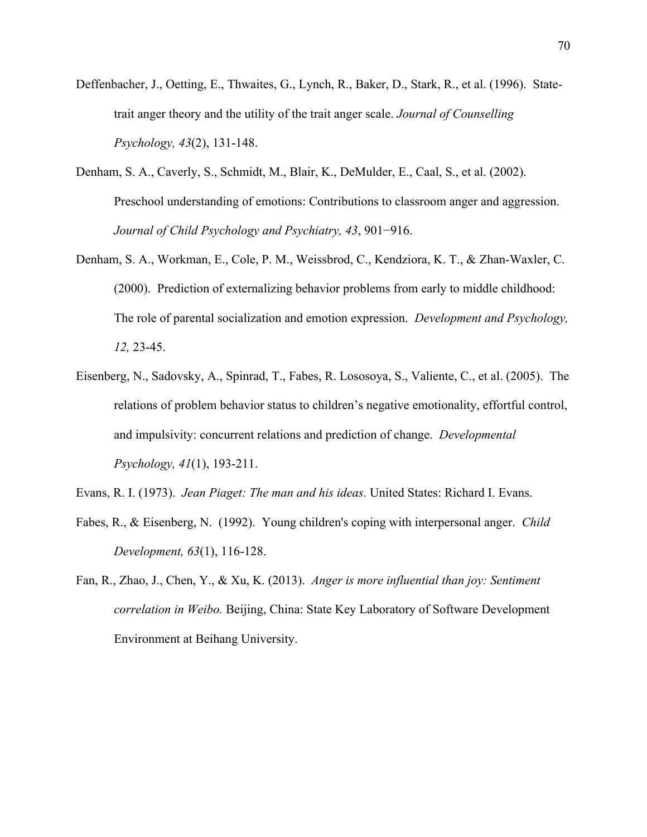- Deffenbacher, J., Oetting, E., Thwaites, G., Lynch, R., Baker, D., Stark, R., et al. (1996). Statetrait anger theory and the utility of the trait anger scale. *Journal of Counselling Psychology, 43*(2), 131-148.
- Denham, S. A., Caverly, S., Schmidt, M., Blair, K., DeMulder, E., Caal, S., et al. (2002). Preschool understanding of emotions: Contributions to classroom anger and aggression. *Journal of Child Psychology and Psychiatry, 43*, 901−916.
- Denham, S. A., Workman, E., Cole, P. M., Weissbrod, C., Kendziora, K. T., & Zhan-Waxler, C. (2000). Prediction of externalizing behavior problems from early to middle childhood: The role of parental socialization and emotion expression. *Development and Psychology, 12,* 23-45.
- Eisenberg, N., Sadovsky, A., Spinrad, T., Fabes, R. Lososoya, S., Valiente, C., et al. (2005). The relations of problem behavior status to children's negative emotionality, effortful control, and impulsivity: concurrent relations and prediction of change. *Developmental Psychology, 41*(1), 193-211.

Evans, R. I. (1973). *Jean Piaget: The man and his ideas.* United States: Richard I. Evans.

- Fabes, R., & Eisenberg, N. (1992). Young children's coping with interpersonal anger. *Child Development, 63*(1), 116-128.
- Fan, R., Zhao, J., Chen, Y., & Xu, K. (2013). *Anger is more influential than joy: Sentiment correlation in Weibo.* Beijing, China: State Key Laboratory of Software Development Environment at Beihang University.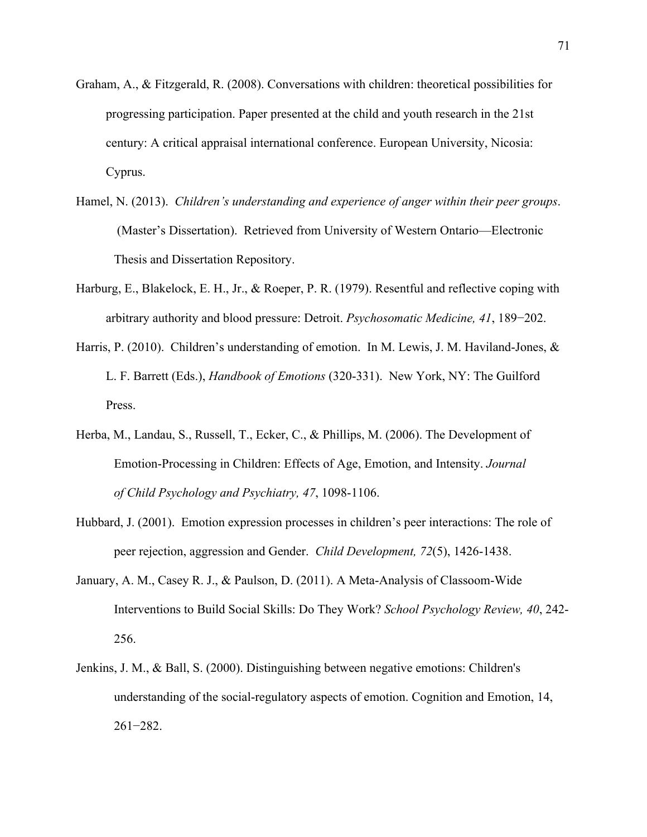- Graham, A., & Fitzgerald, R. (2008). Conversations with children: theoretical possibilities for progressing participation. Paper presented at the child and youth research in the 21st century: A critical appraisal international conference. European University, Nicosia: Cyprus.
- Hamel, N. (2013). *Children's understanding and experience of anger within their peer groups*. (Master's Dissertation). Retrieved from University of Western Ontario—Electronic Thesis and Dissertation Repository.
- Harburg, E., Blakelock, E. H., Jr., & Roeper, P. R. (1979). Resentful and reflective coping with arbitrary authority and blood pressure: Detroit. *Psychosomatic Medicine, 41*, 189−202.
- Harris, P. (2010). Children's understanding of emotion. In M. Lewis, J. M. Haviland-Jones, & L. F. Barrett (Eds.), *Handbook of Emotions* (320-331). New York, NY: The Guilford Press.
- Herba, M., Landau, S., Russell, T., Ecker, C., & Phillips, M. (2006). The Development of Emotion-Processing in Children: Effects of Age, Emotion, and Intensity. *Journal of Child Psychology and Psychiatry, 47*, 1098-1106.
- Hubbard, J. (2001). Emotion expression processes in children's peer interactions: The role of peer rejection, aggression and Gender. *Child Development, 72*(5), 1426-1438.
- January, A. M., Casey R. J., & Paulson, D. (2011). A Meta-Analysis of Classoom-Wide Interventions to Build Social Skills: Do They Work? *School Psychology Review, 40*, 242- 256.
- Jenkins, J. M., & Ball, S. (2000). Distinguishing between negative emotions: Children's understanding of the social-regulatory aspects of emotion. Cognition and Emotion, 14, 261−282.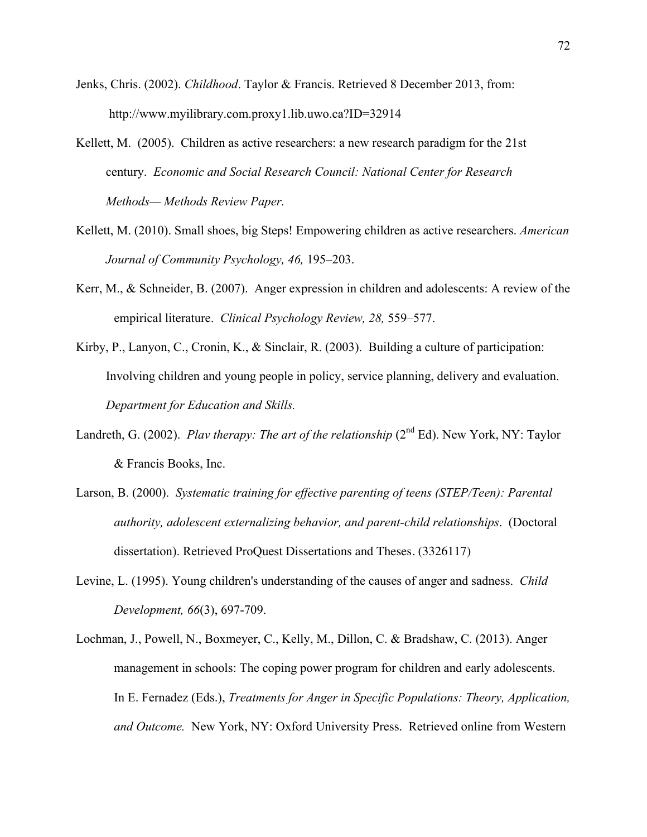- Jenks, Chris. (2002). *Childhood*. Taylor & Francis. Retrieved 8 December 2013, from: http://www.myilibrary.com.proxy1.lib.uwo.ca?ID=32914
- Kellett, M. (2005). Children as active researchers: a new research paradigm for the 21st century. *Economic and Social Research Council: National Center for Research Methods— Methods Review Paper.*
- Kellett, M. (2010). Small shoes, big Steps! Empowering children as active researchers. *American Journal of Community Psychology, 46,* 195–203.
- Kerr, M., & Schneider, B. (2007). Anger expression in children and adolescents: A review of the empirical literature. *Clinical Psychology Review, 28,* 559–577.
- Kirby, P., Lanyon, C., Cronin, K., & Sinclair, R. (2003). Building a culture of participation: Involving children and young people in policy, service planning, delivery and evaluation. *Department for Education and Skills.*
- Landreth, G. (2002). *Plav therapy: The art of the relationship* (2<sup>nd</sup> Ed). New York, NY: Taylor & Francis Books, Inc.
- Larson, B. (2000). *Systematic training for effective parenting of teens (STEP/Teen): Parental authority, adolescent externalizing behavior, and parent-child relationships*. (Doctoral dissertation). Retrieved ProQuest Dissertations and Theses. (3326117)
- Levine, L. (1995). Young children's understanding of the causes of anger and sadness. *Child Development, 66*(3), 697-709.
- Lochman, J., Powell, N., Boxmeyer, C., Kelly, M., Dillon, C. & Bradshaw, C. (2013). Anger management in schools: The coping power program for children and early adolescents. In E. Fernadez (Eds.), *Treatments for Anger in Specific Populations: Theory, Application, and Outcome.* New York, NY: Oxford University Press. Retrieved online from Western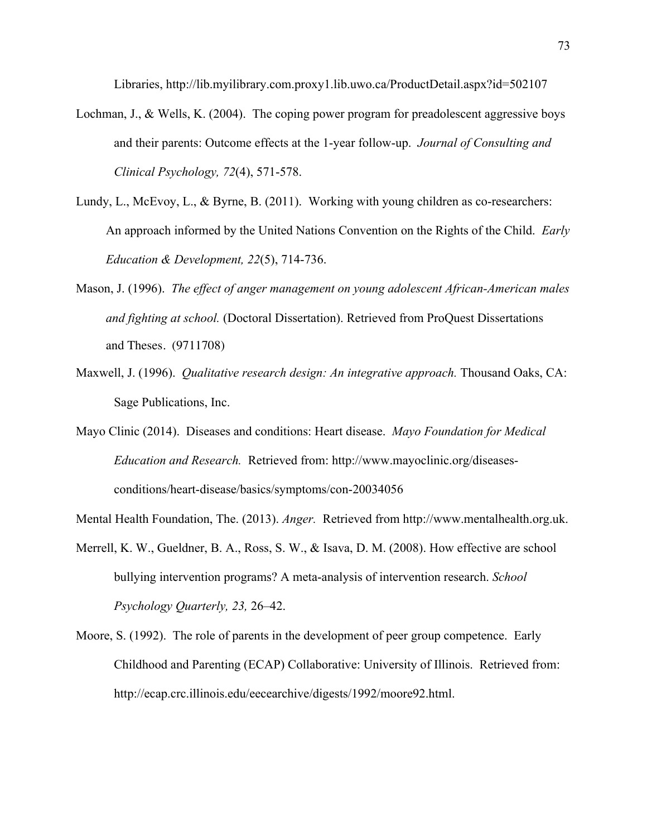Libraries, http://lib.myilibrary.com.proxy1.lib.uwo.ca/ProductDetail.aspx?id=502107

- Lochman, J., & Wells, K. (2004). The coping power program for preadolescent aggressive boys and their parents: Outcome effects at the 1-year follow-up. *Journal of Consulting and Clinical Psychology, 72*(4), 571-578.
- Lundy, L., McEvoy, L., & Byrne, B. (2011). Working with young children as co-researchers: An approach informed by the United Nations Convention on the Rights of the Child. *Early Education & Development, 22*(5), 714-736.
- Mason, J. (1996). *The effect of anger management on young adolescent African-American males and fighting at school.* (Doctoral Dissertation). Retrieved from ProQuest Dissertations and Theses. (9711708)
- Maxwell, J. (1996). *Qualitative research design: An integrative approach.* Thousand Oaks, CA: Sage Publications, Inc.
- Mayo Clinic (2014). Diseases and conditions: Heart disease. *Mayo Foundation for Medical Education and Research.* Retrieved from: http://www.mayoclinic.org/diseasesconditions/heart-disease/basics/symptoms/con-20034056
- Mental Health Foundation, The. (2013). *Anger.* Retrieved from http://www.mentalhealth.org.uk.
- Merrell, K. W., Gueldner, B. A., Ross, S. W., & Isava, D. M. (2008). How effective are school bullying intervention programs? A meta-analysis of intervention research. *School Psychology Quarterly, 23,* 26–42.
- Moore, S. (1992). The role of parents in the development of peer group competence. Early Childhood and Parenting (ECAP) Collaborative: University of Illinois. Retrieved from: http://ecap.crc.illinois.edu/eecearchive/digests/1992/moore92.html.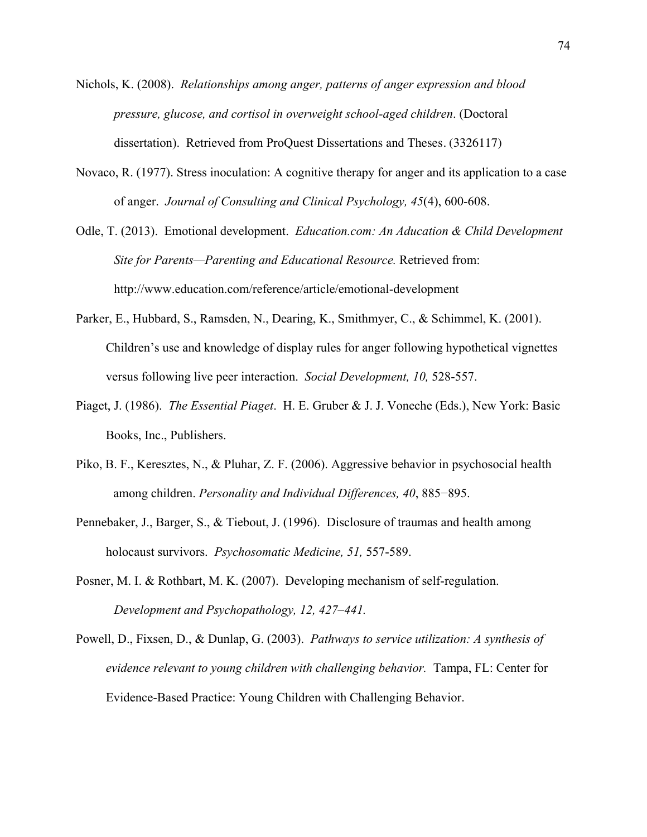- Nichols, K. (2008). *Relationships among anger, patterns of anger expression and blood pressure, glucose, and cortisol in overweight school-aged children*. (Doctoral dissertation). Retrieved from ProQuest Dissertations and Theses. (3326117)
- Novaco, R. (1977). Stress inoculation: A cognitive therapy for anger and its application to a case of anger. *Journal of Consulting and Clinical Psychology, 45*(4), 600-608.
- Odle, T. (2013). Emotional development. *Education.com: An Aducation & Child Development Site for Parents—Parenting and Educational Resource.* Retrieved from: http://www.education.com/reference/article/emotional-development
- Parker, E., Hubbard, S., Ramsden, N., Dearing, K., Smithmyer, C., & Schimmel, K. (2001). Children's use and knowledge of display rules for anger following hypothetical vignettes versus following live peer interaction. *Social Development, 10,* 528-557.
- Piaget, J. (1986). *The Essential Piaget*. H. E. Gruber & J. J. Voneche (Eds.), New York: Basic Books, Inc., Publishers.
- Piko, B. F., Keresztes, N., & Pluhar, Z. F. (2006). Aggressive behavior in psychosocial health among children. *Personality and Individual Differences, 40*, 885−895.
- Pennebaker, J., Barger, S., & Tiebout, J. (1996). Disclosure of traumas and health among holocaust survivors. *Psychosomatic Medicine, 51,* 557-589.
- Posner, M. I. & Rothbart, M. K. (2007). Developing mechanism of self-regulation. *Development and Psychopathology, 12, 427–441.*
- Powell, D., Fixsen, D., & Dunlap, G. (2003). *Pathways to service utilization: A synthesis of evidence relevant to young children with challenging behavior.*Tampa, FL: Center for Evidence-Based Practice: Young Children with Challenging Behavior.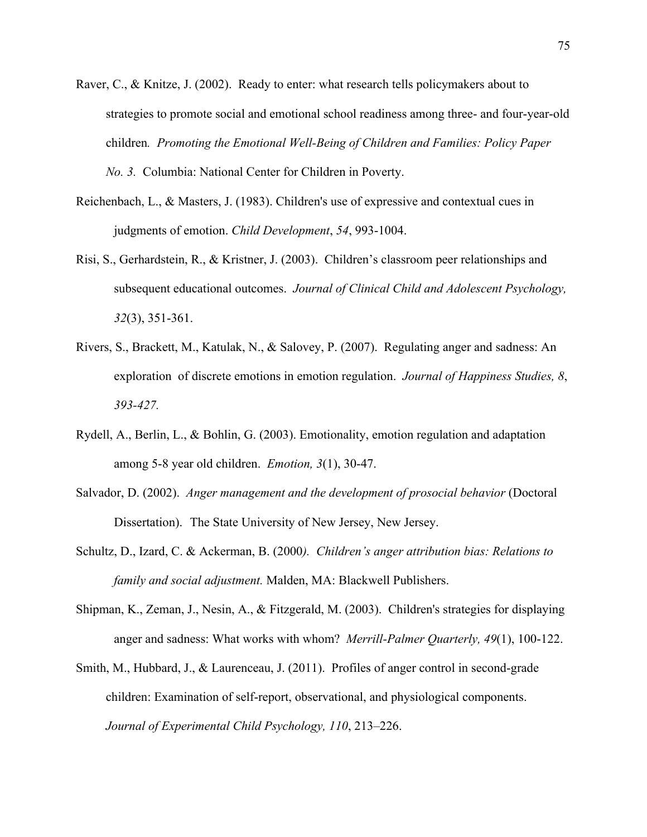- Raver, C., & Knitze, J. (2002). Ready to enter: what research tells policymakers about to strategies to promote social and emotional school readiness among three- and four-year-old children*. Promoting the Emotional Well-Being of Children and Families: Policy Paper No. 3.* Columbia: National Center for Children in Poverty.
- Reichenbach, L., & Masters, J. (1983). Children's use of expressive and contextual cues in judgments of emotion. *Child Development*, *54*, 993-1004.
- Risi, S., Gerhardstein, R., & Kristner, J. (2003). Children's classroom peer relationships and subsequent educational outcomes. *Journal of Clinical Child and Adolescent Psychology, 32*(3), 351-361.
- Rivers, S., Brackett, M., Katulak, N., & Salovey, P. (2007). Regulating anger and sadness: An exploration of discrete emotions in emotion regulation. *Journal of Happiness Studies, 8*, *393-427.*
- Rydell, A., Berlin, L., & Bohlin, G. (2003). Emotionality, emotion regulation and adaptation among 5-8 year old children. *Emotion, 3*(1), 30-47.
- Salvador, D. (2002). *Anger management and the development of prosocial behavior* (Doctoral Dissertation). The State University of New Jersey, New Jersey.
- Schultz, D., Izard, C. & Ackerman, B. (2000*). Children's anger attribution bias: Relations to family and social adjustment.* Malden, MA: Blackwell Publishers.
- Shipman, K., Zeman, J., Nesin, A., & Fitzgerald, M. (2003). Children's strategies for displaying anger and sadness: What works with whom? *Merrill-Palmer Quarterly, 49*(1), 100-122.
- Smith, M., Hubbard, J., & Laurenceau, J. (2011). Profiles of anger control in second-grade children: Examination of self-report, observational, and physiological components. *Journal of Experimental Child Psychology, 110*, 213–226.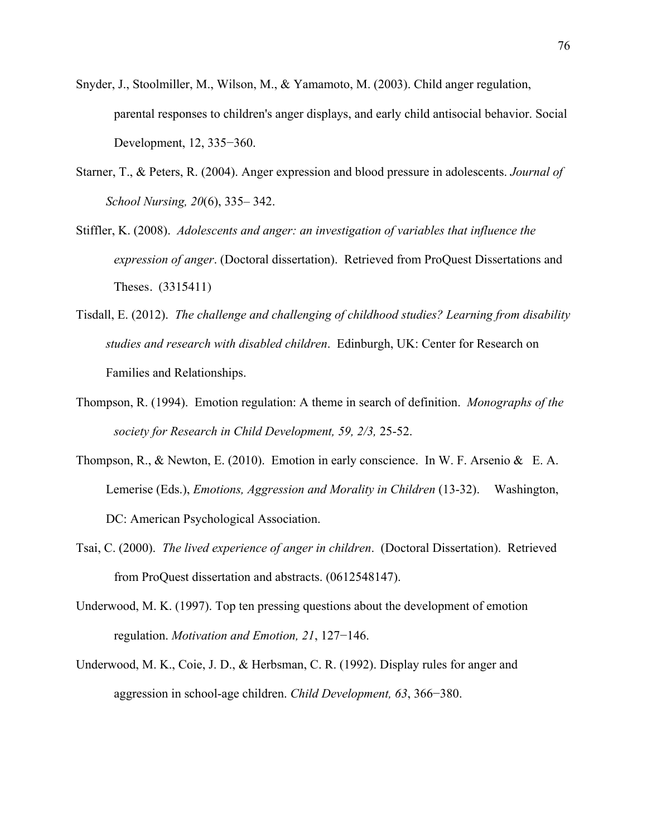- Snyder, J., Stoolmiller, M., Wilson, M., & Yamamoto, M. (2003). Child anger regulation, parental responses to children's anger displays, and early child antisocial behavior. Social Development, 12, 335−360.
- Starner, T., & Peters, R. (2004). Anger expression and blood pressure in adolescents. *Journal of School Nursing, 20*(6), 335– 342.
- Stiffler, K. (2008). *Adolescents and anger: an investigation of variables that influence the expression of anger*. (Doctoral dissertation). Retrieved from ProQuest Dissertations and Theses. (3315411)
- Tisdall, E. (2012). *The challenge and challenging of childhood studies? Learning from disability studies and research with disabled children*. Edinburgh, UK: Center for Research on Families and Relationships.
- Thompson, R. (1994). Emotion regulation: A theme in search of definition. *Monographs of the society for Research in Child Development, 59, 2/3,* 25-52.
- Thompson, R., & Newton, E. (2010). Emotion in early conscience. In W. F. Arsenio & E. A. Lemerise (Eds.), *Emotions, Aggression and Morality in Children* (13-32). Washington, DC: American Psychological Association.
- Tsai, C. (2000). *The lived experience of anger in children*. (Doctoral Dissertation). Retrieved from ProQuest dissertation and abstracts. (0612548147).
- Underwood, M. K. (1997). Top ten pressing questions about the development of emotion regulation. *Motivation and Emotion, 21*, 127−146.
- Underwood, M. K., Coie, J. D., & Herbsman, C. R. (1992). Display rules for anger and aggression in school-age children. *Child Development, 63*, 366−380.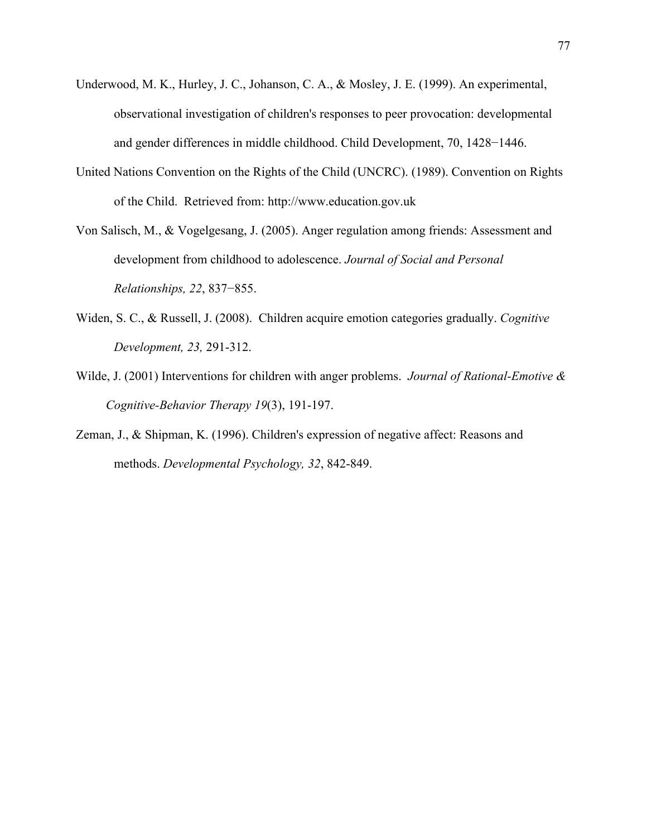- Underwood, M. K., Hurley, J. C., Johanson, C. A., & Mosley, J. E. (1999). An experimental, observational investigation of children's responses to peer provocation: developmental and gender differences in middle childhood. Child Development, 70, 1428−1446.
- United Nations Convention on the Rights of the Child (UNCRC). (1989). Convention on Rights of the Child. Retrieved from: http://www.education.gov.uk
- Von Salisch, M., & Vogelgesang, J. (2005). Anger regulation among friends: Assessment and development from childhood to adolescence. *Journal of Social and Personal Relationships, 22*, 837−855.
- Widen, S. C., & Russell, J. (2008). Children acquire emotion categories gradually. *Cognitive Development, 23,* 291-312.
- Wilde, J. (2001) Interventions for children with anger problems. *Journal of Rational-Emotive & Cognitive-Behavior Therapy 19*(3), 191-197.
- Zeman, J., & Shipman, K. (1996). Children's expression of negative affect: Reasons and methods. *Developmental Psychology, 32*, 842-849.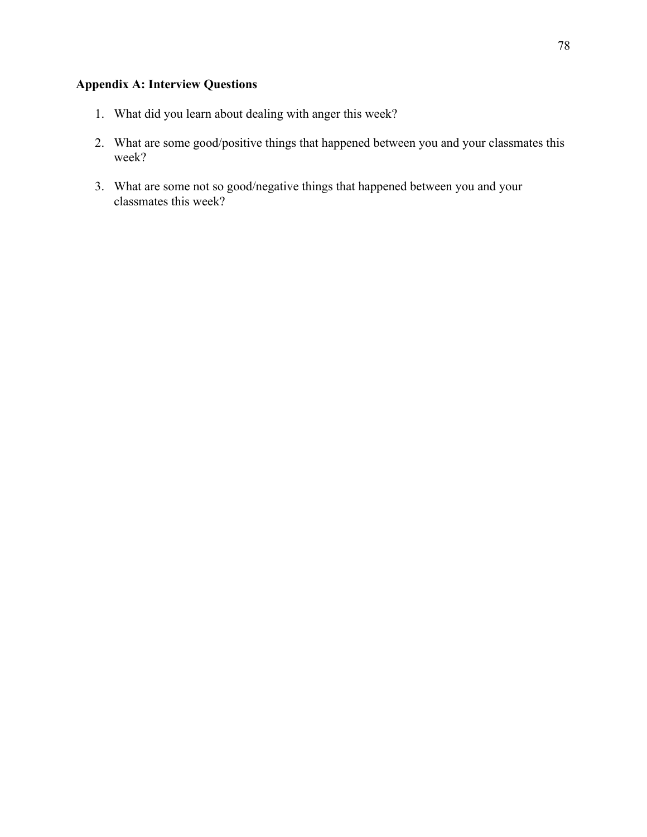# **Appendix A: Interview Questions**

- 1. What did you learn about dealing with anger this week?
- 2. What are some good/positive things that happened between you and your classmates this week?
- 3. What are some not so good/negative things that happened between you and your classmates this week?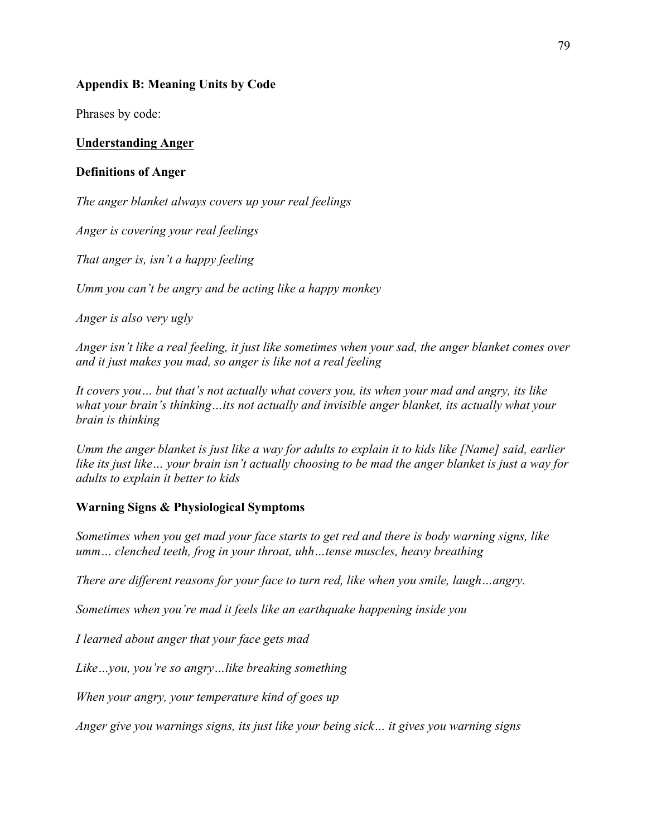## **Appendix B: Meaning Units by Code**

Phrases by code:

## **Understanding Anger**

### **Definitions of Anger**

*The anger blanket always covers up your real feelings*

*Anger is covering your real feelings*

*That anger is, isn't a happy feeling*

*Umm you can't be angry and be acting like a happy monkey*

*Anger is also very ugly*

*Anger isn't like a real feeling, it just like sometimes when your sad, the anger blanket comes over and it just makes you mad, so anger is like not a real feeling*

*It covers you… but that's not actually what covers you, its when your mad and angry, its like what your brain's thinking…its not actually and invisible anger blanket, its actually what your brain is thinking*

*Umm the anger blanket is just like a way for adults to explain it to kids like [Name] said, earlier like its just like… your brain isn't actually choosing to be mad the anger blanket is just a way for adults to explain it better to kids*

## **Warning Signs & Physiological Symptoms**

*Sometimes when you get mad your face starts to get red and there is body warning signs, like umm… clenched teeth, frog in your throat, uhh…tense muscles, heavy breathing*

*There are different reasons for your face to turn red, like when you smile, laugh…angry.*

*Sometimes when you're mad it feels like an earthquake happening inside you*

*I learned about anger that your face gets mad*

*Like…you, you're so angry…like breaking something*

*When your angry, your temperature kind of goes up*

*Anger give you warnings signs, its just like your being sick… it gives you warning signs*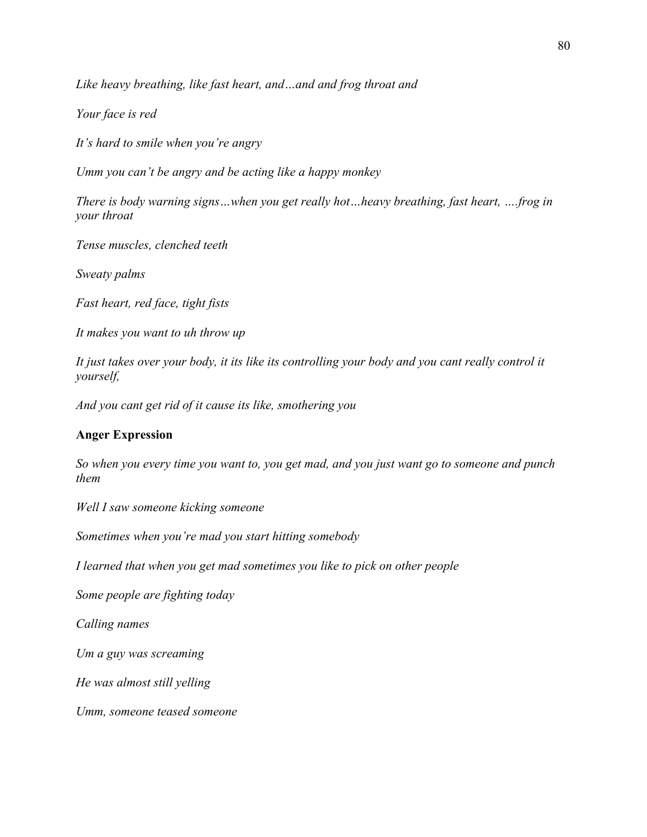*Like heavy breathing, like fast heart, and…and and frog throat and*

*Your face is red*

*It's hard to smile when you're angry*

*Umm you can't be angry and be acting like a happy monkey* 

*There is body warning signs…when you get really hot…heavy breathing, fast heart, ….frog in your throat* 

*Tense muscles, clenched teeth* 

*Sweaty palms*

*Fast heart, red face, tight fists* 

*It makes you want to uh throw up*

*It just takes over your body, it its like its controlling your body and you cant really control it yourself,* 

*And you cant get rid of it cause its like, smothering you* 

## **Anger Expression**

*So when you every time you want to, you get mad, and you just want go to someone and punch them*

*Well I saw someone kicking someone*

*Sometimes when you're mad you start hitting somebody*

*I learned that when you get mad sometimes you like to pick on other people* 

*Some people are fighting today*

*Calling names*

*Um a guy was screaming*

*He was almost still yelling* 

*Umm, someone teased someone*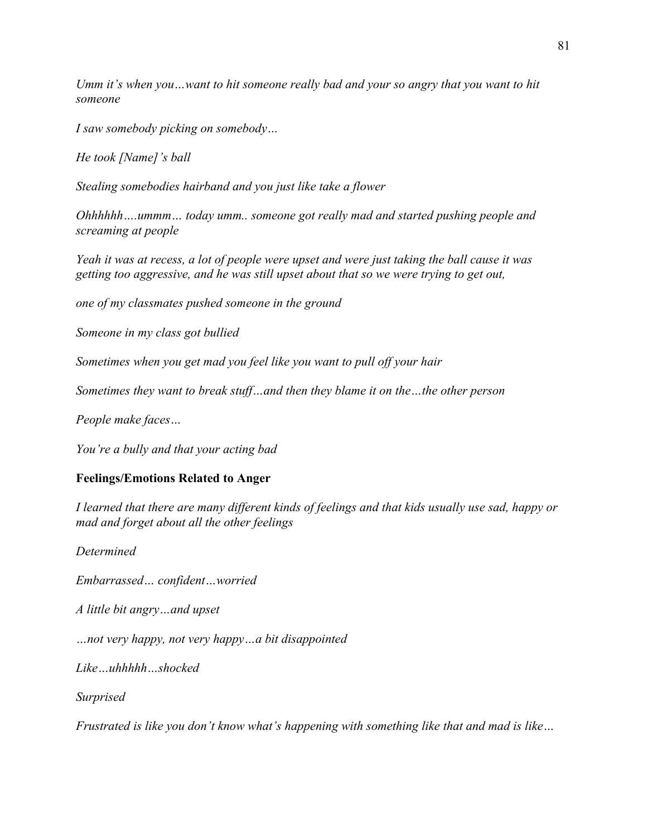*Umm it's when you…want to hit someone really bad and your so angry that you want to hit someone* 

*I saw somebody picking on somebody…*

*He took [Name]'s ball* 

*Stealing somebodies hairband and you just like take a flower*

*Ohhhhhh….ummm… today umm.. someone got really mad and started pushing people and screaming at people* 

*Yeah it was at recess, a lot of people were upset and were just taking the ball cause it was getting too aggressive, and he was still upset about that so we were trying to get out,*

*one of my classmates pushed someone in the ground*

*Someone in my class got bullied*

*Sometimes when you get mad you feel like you want to pull off your hair*

*Sometimes they want to break stuff…and then they blame it on the…the other person*

*People make faces…*

*You're a bully and that your acting bad*

#### **Feelings/Emotions Related to Anger**

*I learned that there are many different kinds of feelings and that kids usually use sad, happy or mad and forget about all the other feelings*

*Determined*

*Embarrassed… confident…worried*

*A little bit angry…and upset* 

*…not very happy, not very happy…a bit disappointed*

*Like…uhhhhh…shocked*

*Surprised*

*Frustrated is like you don't know what's happening with something like that and mad is like…*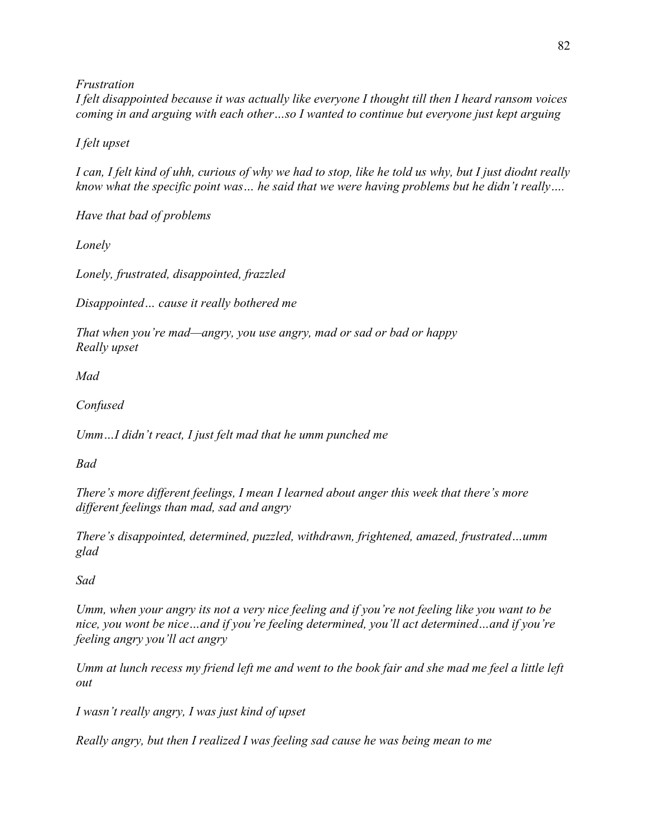*Frustration*

*I felt disappointed because it was actually like everyone I thought till then I heard ransom voices coming in and arguing with each other…so I wanted to continue but everyone just kept arguing* 

*I felt upset*

*I can, I felt kind of uhh, curious of why we had to stop, like he told us why, but I just diodnt really know what the specific point was… he said that we were having problems but he didn't really….* 

*Have that bad of problems* 

*Lonely*

*Lonely, frustrated, disappointed, frazzled*

*Disappointed… cause it really bothered me*

*That when you're mad—angry, you use angry, mad or sad or bad or happy Really upset*

*Mad*

*Confused*

*Umm…I didn't react, I just felt mad that he umm punched me* 

*Bad*

*There's more different feelings, I mean I learned about anger this week that there's more different feelings than mad, sad and angry* 

*There's disappointed, determined, puzzled, withdrawn, frightened, amazed, frustrated…umm glad* 

*Sad*

*Umm, when your angry its not a very nice feeling and if you're not feeling like you want to be nice, you wont be nice…and if you're feeling determined, you'll act determined…and if you're feeling angry you'll act angry*

*Umm at lunch recess my friend left me and went to the book fair and she mad me feel a little left out*

*I wasn't really angry, I was just kind of upset*

*Really angry, but then I realized I was feeling sad cause he was being mean to me*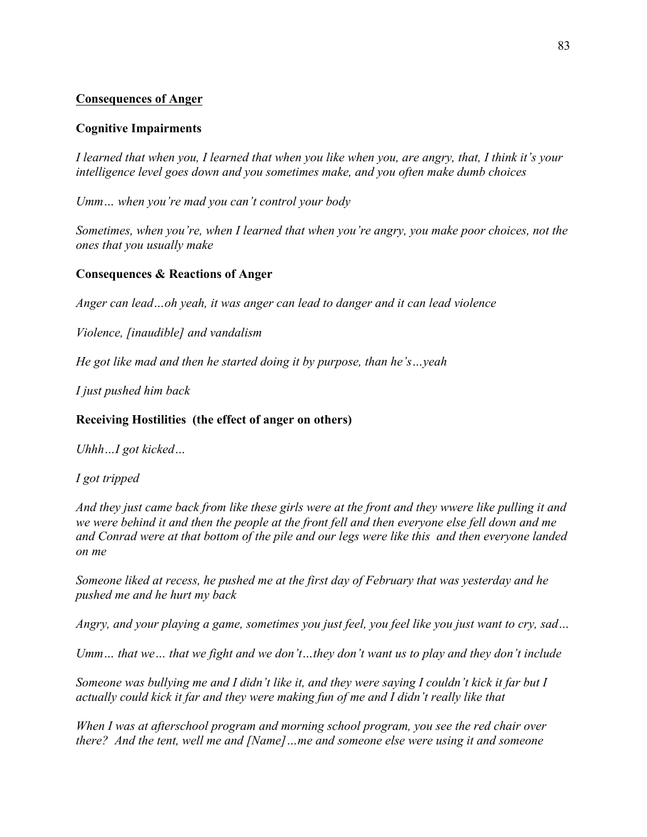## **Consequences of Anger**

### **Cognitive Impairments**

*I learned that when you, I learned that when you like when you, are angry, that, I think it's your intelligence level goes down and you sometimes make, and you often make dumb choices* 

*Umm… when you're mad you can't control your body* 

*Sometimes, when you're, when I learned that when you're angry, you make poor choices, not the ones that you usually make* 

## **Consequences & Reactions of Anger**

*Anger can lead…oh yeah, it was anger can lead to danger and it can lead violence*

*Violence, [inaudible] and vandalism* 

*He got like mad and then he started doing it by purpose, than he's…yeah*

*I just pushed him back*

### **Receiving Hostilities (the effect of anger on others)**

*Uhhh…I got kicked…*

*I got tripped*

*And they just came back from like these girls were at the front and they wwere like pulling it and we were behind it and then the people at the front fell and then everyone else fell down and me and Conrad were at that bottom of the pile and our legs were like this and then everyone landed on me*

*Someone liked at recess, he pushed me at the first day of February that was yesterday and he pushed me and he hurt my back*

*Angry, and your playing a game, sometimes you just feel, you feel like you just want to cry, sad…*

*Umm… that we… that we fight and we don't…they don't want us to play and they don't include*

*Someone was bullying me and I didn't like it, and they were saying I couldn't kick it far but I actually could kick it far and they were making fun of me and I didn't really like that*

*When I was at afterschool program and morning school program, you see the red chair over there? And the tent, well me and [Name]…me and someone else were using it and someone*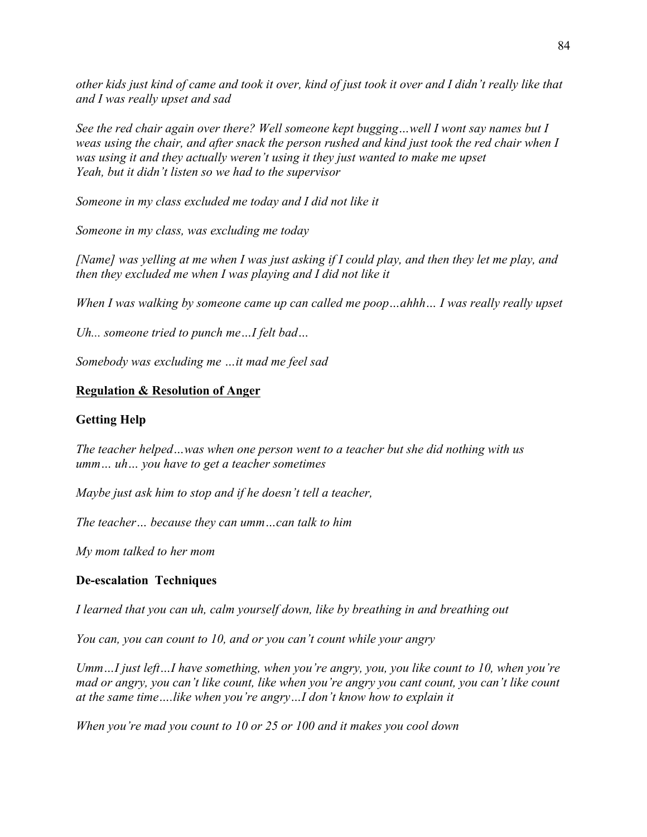*other kids just kind of came and took it over, kind of just took it over and I didn't really like that and I was really upset and sad*

*See the red chair again over there? Well someone kept bugging…well I wont say names but I weas using the chair, and after snack the person rushed and kind just took the red chair when I was using it and they actually weren't using it they just wanted to make me upset Yeah, but it didn't listen so we had to the supervisor* 

*Someone in my class excluded me today and I did not like it*

*Someone in my class, was excluding me today*

*[Name] was yelling at me when I was just asking if I could play, and then they let me play, and then they excluded me when I was playing and I did not like it*

*When I was walking by someone came up can called me poop…ahhh… I was really really upset*

*Uh... someone tried to punch me…I felt bad…*

*Somebody was excluding me …it mad me feel sad*

#### **Regulation & Resolution of Anger**

#### **Getting Help**

*The teacher helped…was when one person went to a teacher but she did nothing with us umm… uh… you have to get a teacher sometimes*

*Maybe just ask him to stop and if he doesn't tell a teacher,*

*The teacher… because they can umm…can talk to him*

*My mom talked to her mom* 

#### **De-escalation Techniques**

*I learned that you can uh, calm yourself down, like by breathing in and breathing out* 

*You can, you can count to 10, and or you can't count while your angry*

*Umm…I just left…I have something, when you're angry, you, you like count to 10, when you're mad or angry, you can't like count, like when you're angry you cant count, you can't like count at the same time….like when you're angry…I don't know how to explain it*

*When you're mad you count to 10 or 25 or 100 and it makes you cool down*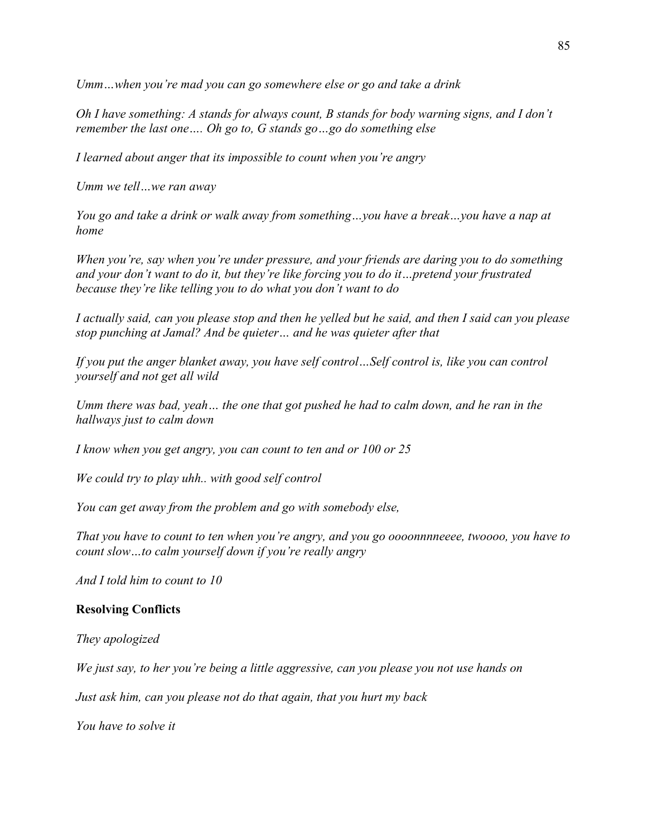*Umm…when you're mad you can go somewhere else or go and take a drink*

*Oh I have something: A stands for always count, B stands for body warning signs, and I don't remember the last one…. Oh go to, G stands go…go do something else*

*I learned about anger that its impossible to count when you're angry*

*Umm we tell…we ran away*

*You go and take a drink or walk away from something…you have a break…you have a nap at home*

*When you're, say when you're under pressure, and your friends are daring you to do something and your don't want to do it, but they're like forcing you to do it…pretend your frustrated because they're like telling you to do what you don't want to do* 

*I actually said, can you please stop and then he yelled but he said, and then I said can you please stop punching at Jamal? And be quieter… and he was quieter after that* 

*If you put the anger blanket away, you have self control…Self control is, like you can control yourself and not get all wild* 

*Umm there was bad, yeah… the one that got pushed he had to calm down, and he ran in the hallways just to calm down*

*I know when you get angry, you can count to ten and or 100 or 25*

*We could try to play uhh.. with good self control* 

*You can get away from the problem and go with somebody else,*

*That you have to count to ten when you're angry, and you go oooonnnneeee, twoooo, you have to count slow…to calm yourself down if you're really angry*

*And I told him to count to 10*

#### **Resolving Conflicts**

*They apologized*

*We just say, to her you're being a little aggressive, can you please you not use hands on*

*Just ask him, can you please not do that again, that you hurt my back*

*You have to solve it*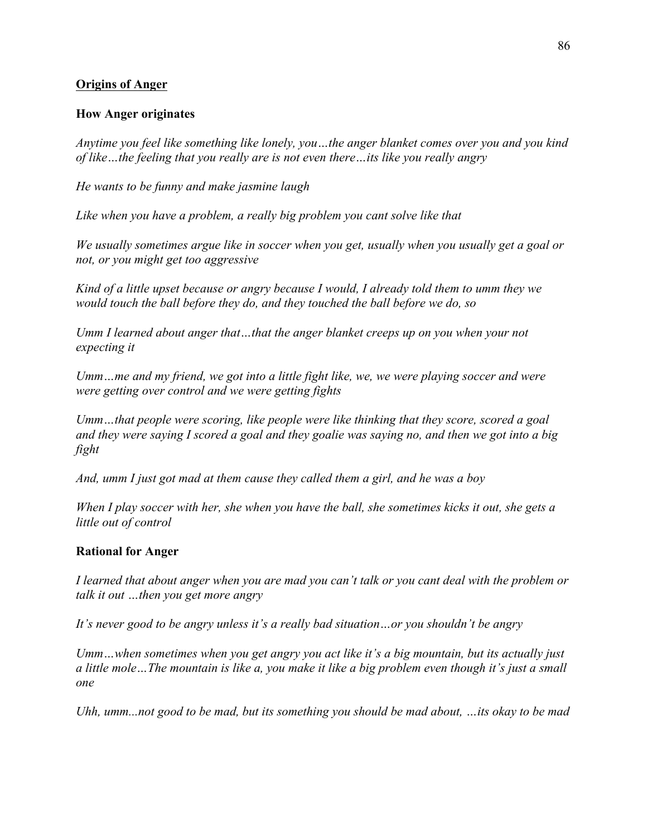## **Origins of Anger**

#### **How Anger originates**

*Anytime you feel like something like lonely, you…the anger blanket comes over you and you kind of like…the feeling that you really are is not even there…its like you really angry*

*He wants to be funny and make jasmine laugh*

*Like when you have a problem, a really big problem you cant solve like that*

*We usually sometimes argue like in soccer when you get, usually when you usually get a goal or not, or you might get too aggressive*

*Kind of a little upset because or angry because I would, I already told them to umm they we would touch the ball before they do, and they touched the ball before we do, so*

*Umm I learned about anger that…that the anger blanket creeps up on you when your not expecting it* 

*Umm…me and my friend, we got into a little fight like, we, we were playing soccer and were were getting over control and we were getting fights* 

*Umm…that people were scoring, like people were like thinking that they score, scored a goal and they were saying I scored a goal and they goalie was saying no, and then we got into a big fight* 

*And, umm I just got mad at them cause they called them a girl, and he was a boy*

*When I play soccer with her, she when you have the ball, she sometimes kicks it out, she gets a little out of control*

#### **Rational for Anger**

*I learned that about anger when you are mad you can't talk or you cant deal with the problem or talk it out …then you get more angry* 

*It's never good to be angry unless it's a really bad situation…or you shouldn't be angry* 

*Umm…when sometimes when you get angry you act like it's a big mountain, but its actually just a little mole…The mountain is like a, you make it like a big problem even though it's just a small one*

*Uhh, umm...not good to be mad, but its something you should be mad about, …its okay to be mad*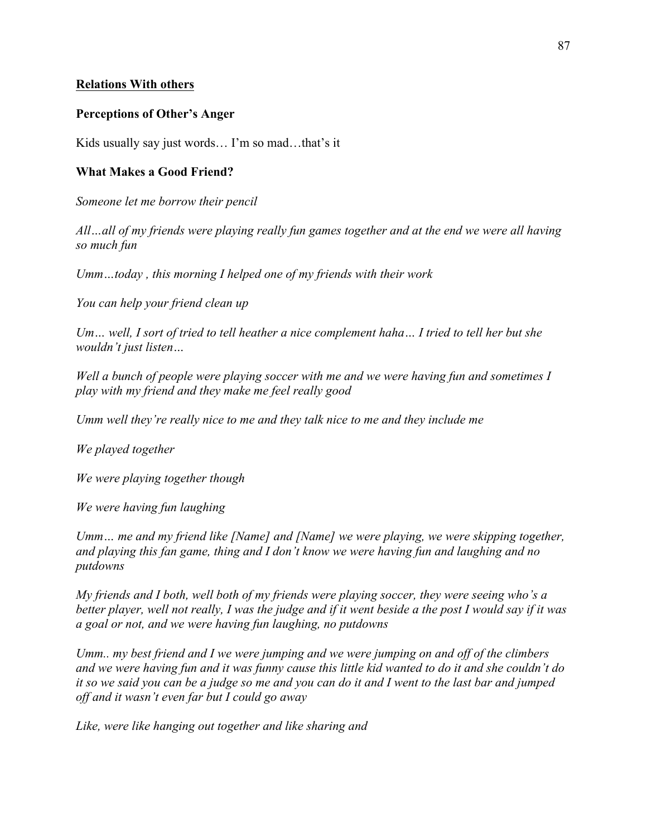#### **Relations With others**

#### **Perceptions of Other's Anger**

Kids usually say just words… I'm so mad…that's it

#### **What Makes a Good Friend?**

*Someone let me borrow their pencil*

*All…all of my friends were playing really fun games together and at the end we were all having so much fun* 

*Umm…today , this morning I helped one of my friends with their work*

*You can help your friend clean up*

*Um… well, I sort of tried to tell heather a nice complement haha… I tried to tell her but she wouldn't just listen…*

*Well a bunch of people were playing soccer with me and we were having fun and sometimes I play with my friend and they make me feel really good*

*Umm well they're really nice to me and they talk nice to me and they include me*

*We played together*

*We were playing together though*

*We were having fun laughing*

*Umm… me and my friend like [Name] and [Name] we were playing, we were skipping together, and playing this fan game, thing and I don't know we were having fun and laughing and no putdowns* 

*My friends and I both, well both of my friends were playing soccer, they were seeing who's a better player, well not really, I was the judge and if it went beside a the post I would say if it was a goal or not, and we were having fun laughing, no putdowns* 

*Umm.. my best friend and I we were jumping and we were jumping on and off of the climbers and we were having fun and it was funny cause this little kid wanted to do it and she couldn't do it so we said you can be a judge so me and you can do it and I went to the last bar and jumped off and it wasn't even far but I could go away* 

*Like, were like hanging out together and like sharing and*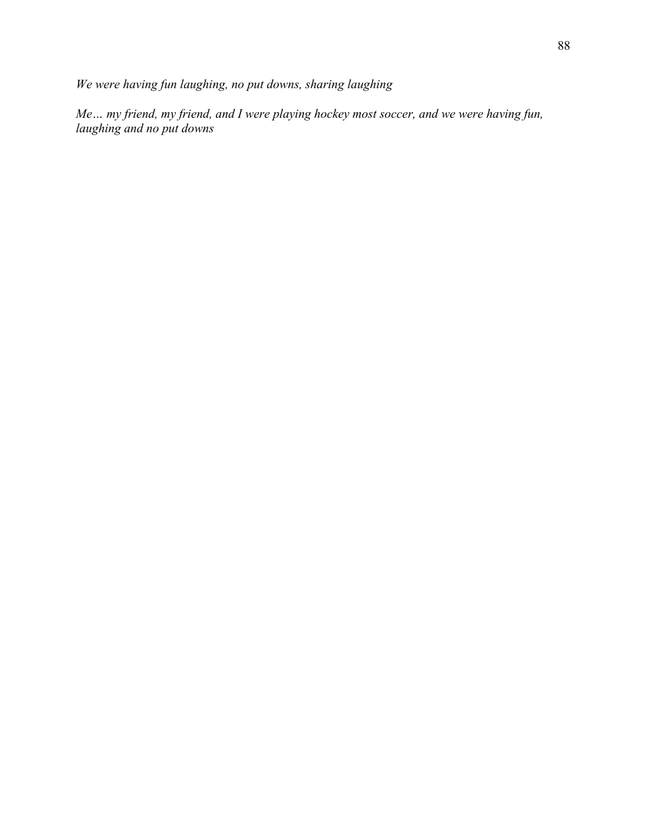*We were having fun laughing, no put downs, sharing laughing*

*Me… my friend, my friend, and I were playing hockey most soccer, and we were having fun, laughing and no put downs*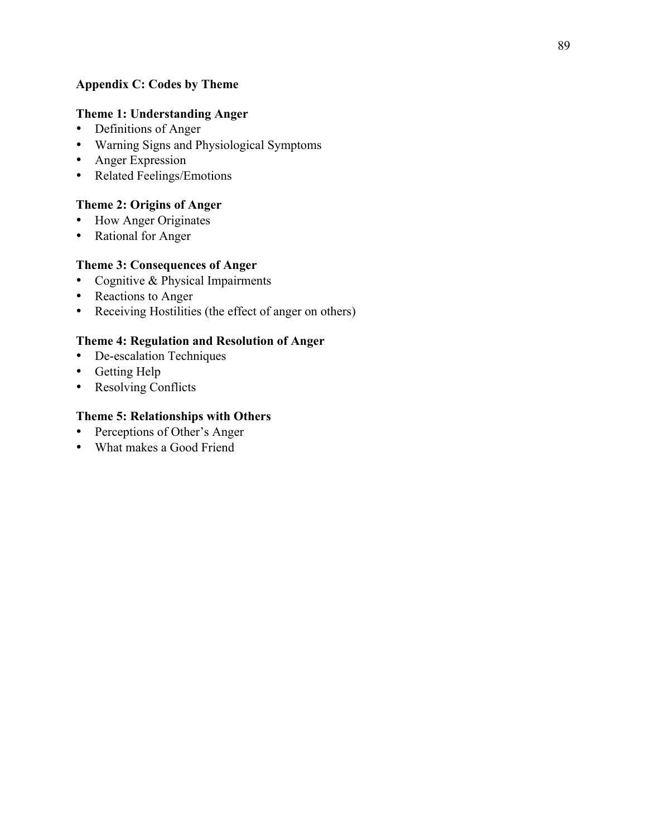## **Appendix C: Codes by Theme**

## **Theme 1: Understanding Anger**

- Definitions of Anger
- Warning Signs and Physiological Symptoms
- Anger Expression
- Related Feelings/Emotions

## **Theme 2: Origins of Anger**

- How Anger Originates
- Rational for Anger

## **Theme 3: Consequences of Anger**

- Cognitive & Physical Impairments
- Reactions to Anger
- Receiving Hostilities (the effect of anger on others)

## **Theme 4: Regulation and Resolution of Anger**

- De-escalation Techniques
- Getting Help
- Resolving Conflicts

## **Theme 5: Relationships with Others**

- Perceptions of Other's Anger
- What makes a Good Friend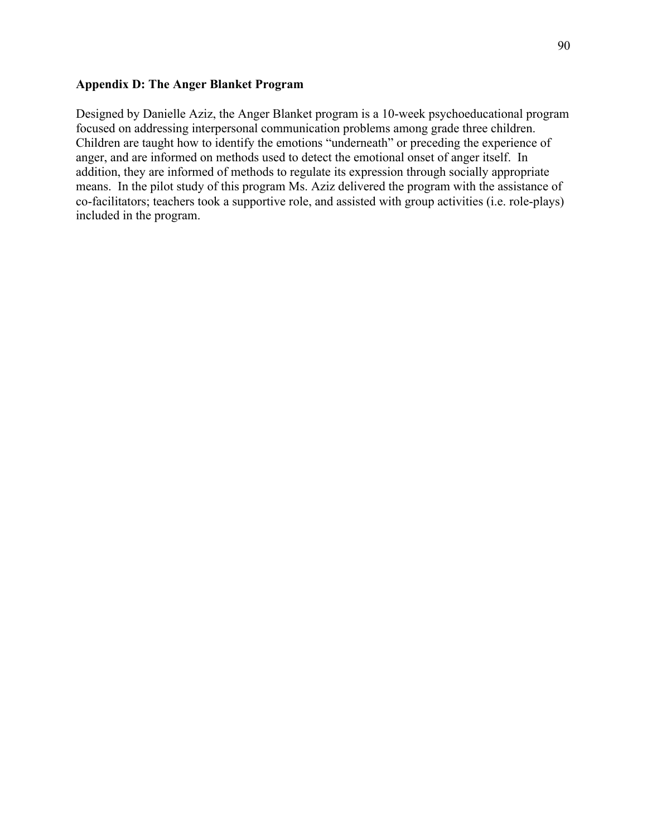## **Appendix D: The Anger Blanket Program**

Designed by Danielle Aziz, the Anger Blanket program is a 10-week psychoeducational program focused on addressing interpersonal communication problems among grade three children. Children are taught how to identify the emotions "underneath" or preceding the experience of anger, and are informed on methods used to detect the emotional onset of anger itself. In addition, they are informed of methods to regulate its expression through socially appropriate means. In the pilot study of this program Ms. Aziz delivered the program with the assistance of co-facilitators; teachers took a supportive role, and assisted with group activities (i.e. role-plays) included in the program.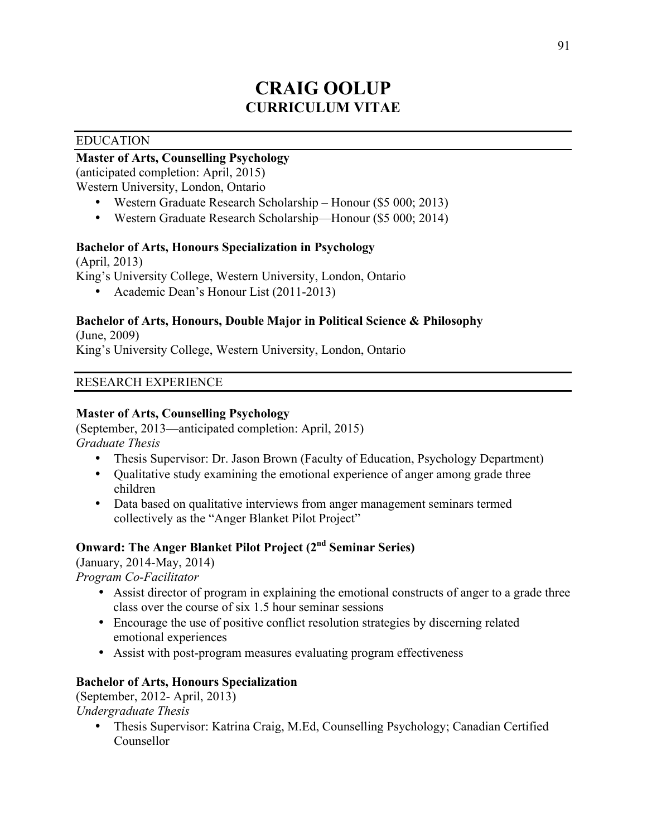# **CRAIG OOLUP CURRICULUM VITAE**

### EDUCATION

# **Master of Arts, Counselling Psychology**

(anticipated completion: April, 2015)

Western University, London, Ontario

- Western Graduate Research Scholarship Honour (\$5 000; 2013)
- Western Graduate Research Scholarship—Honour (\$5 000; 2014)

## **Bachelor of Arts, Honours Specialization in Psychology**

(April, 2013) King's University College, Western University, London, Ontario

• Academic Dean's Honour List (2011-2013)

## **Bachelor of Arts, Honours, Double Major in Political Science & Philosophy**

(June, 2009) King's University College, Western University, London, Ontario

#### RESEARCH EXPERIENCE

## **Master of Arts, Counselling Psychology**

(September, 2013—anticipated completion: April, 2015) *Graduate Thesis*

- Thesis Supervisor: Dr. Jason Brown (Faculty of Education, Psychology Department)
- Qualitative study examining the emotional experience of anger among grade three children
- Data based on qualitative interviews from anger management seminars termed collectively as the "Anger Blanket Pilot Project"

## **Onward: The Anger Blanket Pilot Project (2nd Seminar Series)**

(January, 2014-May, 2014)

*Program Co-Facilitator* 

- Assist director of program in explaining the emotional constructs of anger to a grade three class over the course of six 1.5 hour seminar sessions
- Encourage the use of positive conflict resolution strategies by discerning related emotional experiences
- Assist with post-program measures evaluating program effectiveness

#### **Bachelor of Arts, Honours Specialization**

(September, 2012- April, 2013) *Undergraduate Thesis*

> • Thesis Supervisor: Katrina Craig, M.Ed, Counselling Psychology; Canadian Certified Counsellor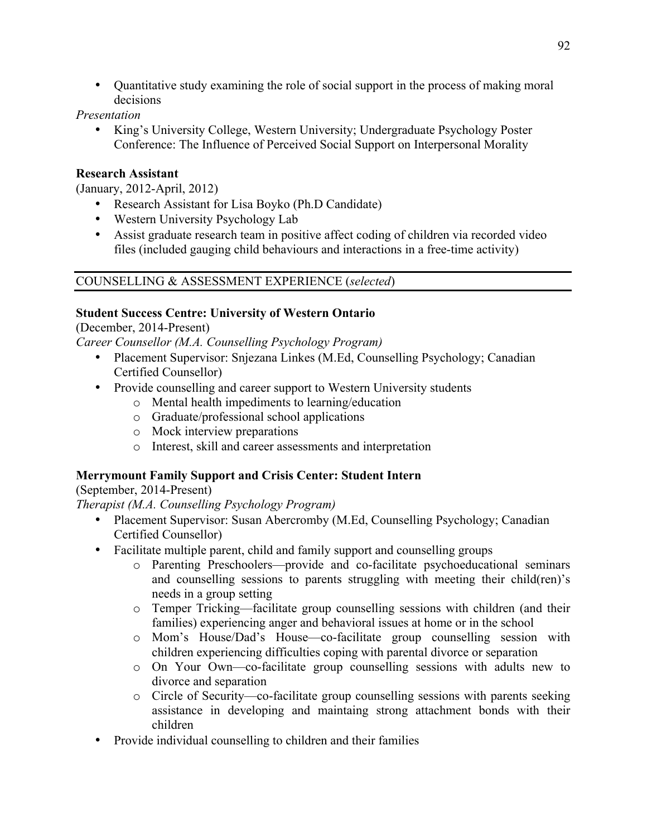• Quantitative study examining the role of social support in the process of making moral decisions

## *Presentation*

• King's University College, Western University; Undergraduate Psychology Poster Conference: The Influence of Perceived Social Support on Interpersonal Morality

## **Research Assistant**

(January, 2012-April, 2012)

- Research Assistant for Lisa Boyko (Ph.D Candidate)
- Western University Psychology Lab
- Assist graduate research team in positive affect coding of children via recorded video files (included gauging child behaviours and interactions in a free-time activity)

## COUNSELLING & ASSESSMENT EXPERIENCE (*selected*)

## **Student Success Centre: University of Western Ontario**

(December, 2014-Present)

*Career Counsellor (M.A. Counselling Psychology Program)*

- Placement Supervisor: Snjezana Linkes (M.Ed, Counselling Psychology; Canadian Certified Counsellor)
- Provide counselling and career support to Western University students
	- o Mental health impediments to learning/education
	- o Graduate/professional school applications
	- o Mock interview preparations
	- o Interest, skill and career assessments and interpretation

## **Merrymount Family Support and Crisis Center: Student Intern**

(September, 2014-Present)

*Therapist (M.A. Counselling Psychology Program)*

- Placement Supervisor: Susan Abercromby (M.Ed. Counselling Psychology; Canadian Certified Counsellor)
- Facilitate multiple parent, child and family support and counselling groups
	- o Parenting Preschoolers—provide and co-facilitate psychoeducational seminars and counselling sessions to parents struggling with meeting their child(ren)'s needs in a group setting
	- o Temper Tricking—facilitate group counselling sessions with children (and their families) experiencing anger and behavioral issues at home or in the school
	- o Mom's House/Dad's House—co-facilitate group counselling session with children experiencing difficulties coping with parental divorce or separation
	- o On Your Own—co-facilitate group counselling sessions with adults new to divorce and separation
	- o Circle of Security—co-facilitate group counselling sessions with parents seeking assistance in developing and maintaing strong attachment bonds with their children
- Provide individual counselling to children and their families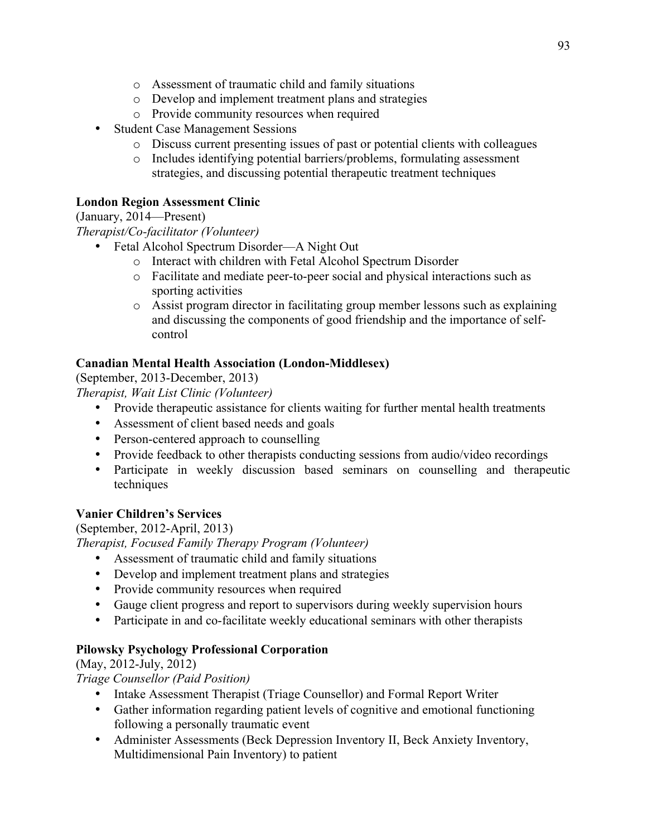- o Assessment of traumatic child and family situations
- o Develop and implement treatment plans and strategies
- o Provide community resources when required
- Student Case Management Sessions
	- o Discuss current presenting issues of past or potential clients with colleagues
	- o Includes identifying potential barriers/problems, formulating assessment strategies, and discussing potential therapeutic treatment techniques

## **London Region Assessment Clinic**

(January, 2014—Present)

*Therapist/Co-facilitator (Volunteer)*

- Fetal Alcohol Spectrum Disorder—A Night Out
	- o Interact with children with Fetal Alcohol Spectrum Disorder
	- o Facilitate and mediate peer-to-peer social and physical interactions such as sporting activities
	- o Assist program director in facilitating group member lessons such as explaining and discussing the components of good friendship and the importance of selfcontrol

# **Canadian Mental Health Association (London-Middlesex)**

(September, 2013-December, 2013)

*Therapist, Wait List Clinic (Volunteer)*

- Provide therapeutic assistance for clients waiting for further mental health treatments
- Assessment of client based needs and goals
- Person-centered approach to counselling
- Provide feedback to other therapists conducting sessions from audio/video recordings
- Participate in weekly discussion based seminars on counselling and therapeutic techniques

# **Vanier Children's Services**

(September, 2012-April, 2013) *Therapist, Focused Family Therapy Program (Volunteer)*

- Assessment of traumatic child and family situations
- Develop and implement treatment plans and strategies
- Provide community resources when required
- Gauge client progress and report to supervisors during weekly supervision hours
- Participate in and co-facilitate weekly educational seminars with other therapists

# **Pilowsky Psychology Professional Corporation**

(May, 2012-July, 2012)

*Triage Counsellor (Paid Position)*

- Intake Assessment Therapist (Triage Counsellor) and Formal Report Writer
- Gather information regarding patient levels of cognitive and emotional functioning following a personally traumatic event
- Administer Assessments (Beck Depression Inventory II, Beck Anxiety Inventory, Multidimensional Pain Inventory) to patient